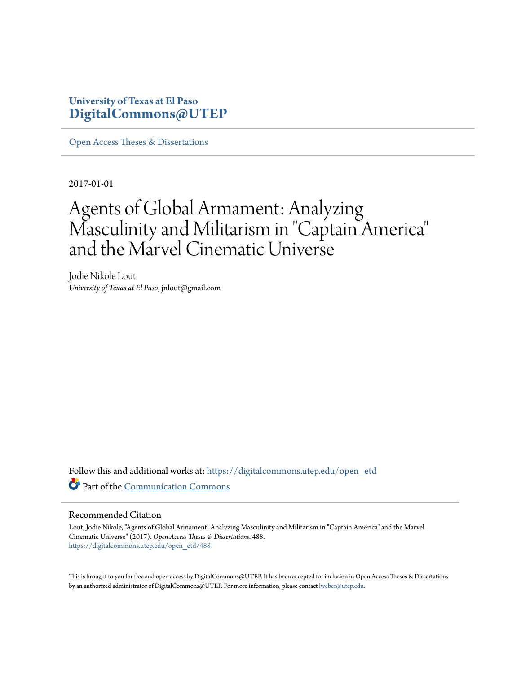### **University of Texas at El Paso [DigitalCommons@UTEP](https://digitalcommons.utep.edu/?utm_source=digitalcommons.utep.edu%2Fopen_etd%2F488&utm_medium=PDF&utm_campaign=PDFCoverPages)**

[Open Access Theses & Dissertations](https://digitalcommons.utep.edu/open_etd?utm_source=digitalcommons.utep.edu%2Fopen_etd%2F488&utm_medium=PDF&utm_campaign=PDFCoverPages)

2017-01-01

# Agents of Global Armament: Analyzing Masculinity and Militarism in "Captain America " and the Marvel Cinematic Universe

Jodie Nikole Lout *University of Texas at El Paso*, jnlout@gmail.com

Follow this and additional works at: [https://digitalcommons.utep.edu/open\\_etd](https://digitalcommons.utep.edu/open_etd?utm_source=digitalcommons.utep.edu%2Fopen_etd%2F488&utm_medium=PDF&utm_campaign=PDFCoverPages) Part of the [Communication Commons](http://network.bepress.com/hgg/discipline/325?utm_source=digitalcommons.utep.edu%2Fopen_etd%2F488&utm_medium=PDF&utm_campaign=PDFCoverPages)

#### Recommended Citation

Lout, Jodie Nikole, "Agents of Global Armament: Analyzing Masculinity and Militarism in "Captain America" and the Marvel Cinematic Universe" (2017). *Open Access Theses & Dissertations*. 488. [https://digitalcommons.utep.edu/open\\_etd/488](https://digitalcommons.utep.edu/open_etd/488?utm_source=digitalcommons.utep.edu%2Fopen_etd%2F488&utm_medium=PDF&utm_campaign=PDFCoverPages)

This is brought to you for free and open access by DigitalCommons@UTEP. It has been accepted for inclusion in Open Access Theses & Dissertations by an authorized administrator of DigitalCommons@UTEP. For more information, please contact [lweber@utep.edu.](mailto:lweber@utep.edu)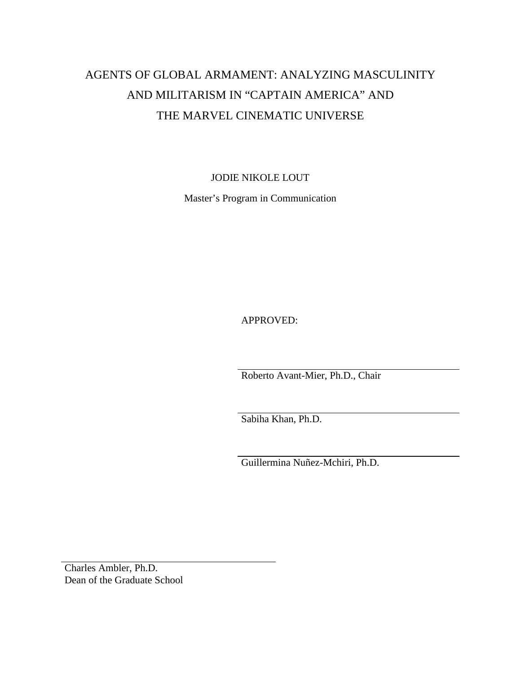# AGENTS OF GLOBAL ARMAMENT: ANALYZING MASCULINITY AND MILITARISM IN "CAPTAIN AMERICA" AND THE MARVEL CINEMATIC UNIVERSE

JODIE NIKOLE LOUT

Master's Program in Communication

APPROVED:

Roberto Avant-Mier, Ph.D., Chair

Sabiha Khan, Ph.D.

Guillermina Nuñez-Mchiri, Ph.D.

Charles Ambler, Ph.D. Dean of the Graduate School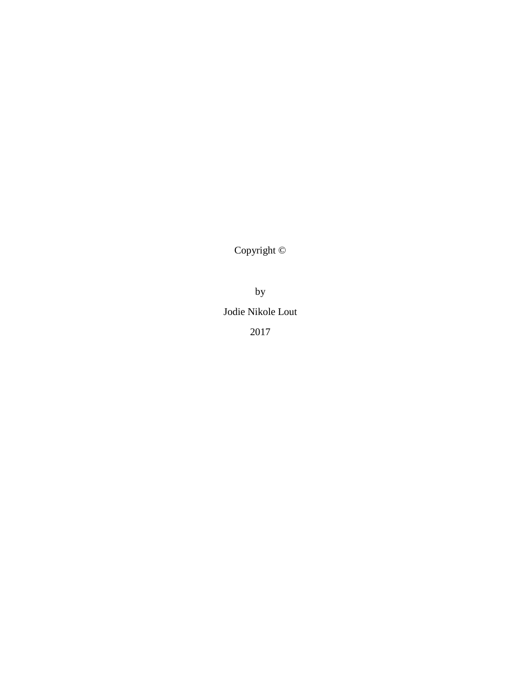Copyright ©

by

Jodie Nikole Lout

2017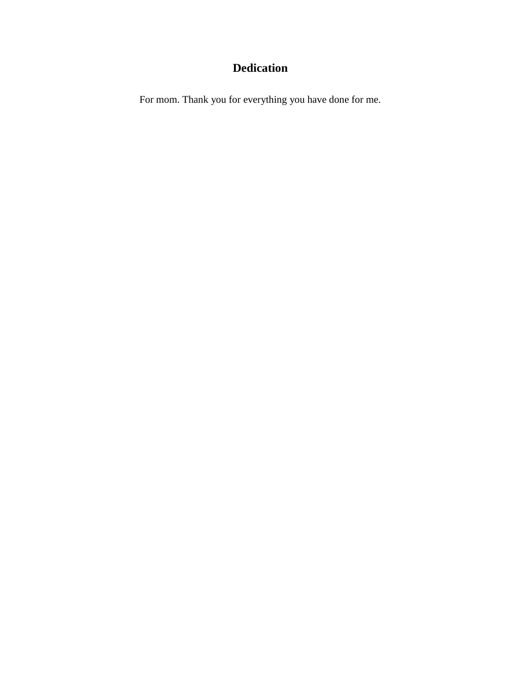# **Dedication**

For mom. Thank you for everything you have done for me.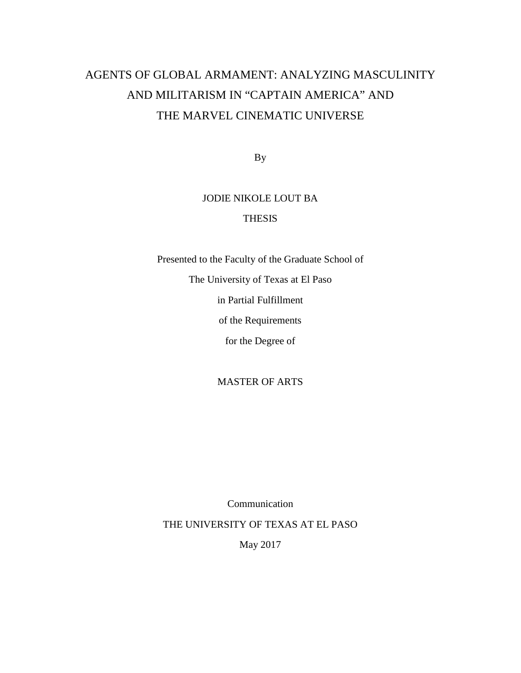# AGENTS OF GLOBAL ARMAMENT: ANALYZING MASCULINITY AND MILITARISM IN "CAPTAIN AMERICA" AND THE MARVEL CINEMATIC UNIVERSE

By

## JODIE NIKOLE LOUT BA THESIS

Presented to the Faculty of the Graduate School of The University of Texas at El Paso in Partial Fulfillment of the Requirements for the Degree of

### MASTER OF ARTS

Communication

THE UNIVERSITY OF TEXAS AT EL PASO

May 2017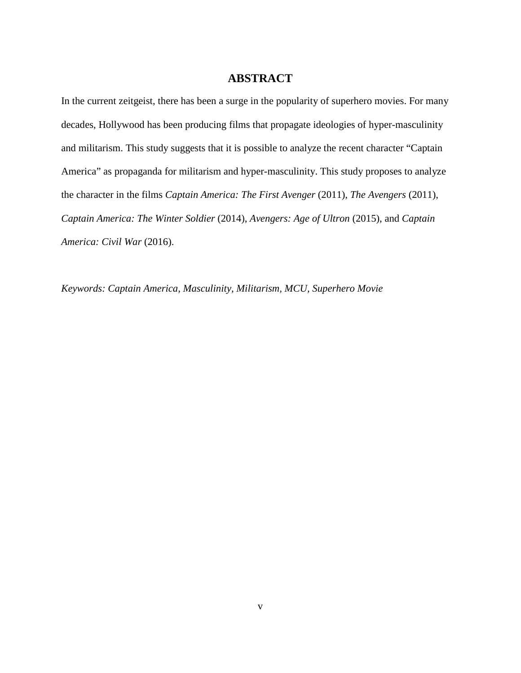### **ABSTRACT**

In the current zeitgeist, there has been a surge in the popularity of superhero movies. For many decades, Hollywood has been producing films that propagate ideologies of hyper-masculinity and militarism. This study suggests that it is possible to analyze the recent character "Captain America" as propaganda for militarism and hyper-masculinity. This study proposes to analyze the character in the films *Captain America: The First Avenger* (2011), *The Avengers* (2011), *Captain America: The Winter Soldier* (2014), *Avengers: Age of Ultron* (2015), and *Captain America: Civil War* (2016).

*Keywords: Captain America, Masculinity, Militarism, MCU, Superhero Movie*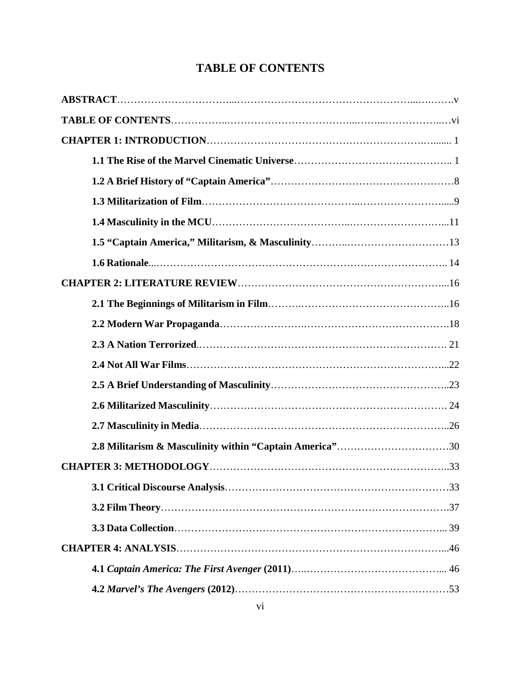### **TABLE OF CONTENTS**

| 2.8 Militarism & Masculinity within "Captain America"30 |  |
|---------------------------------------------------------|--|
|                                                         |  |
|                                                         |  |
|                                                         |  |
|                                                         |  |
|                                                         |  |
|                                                         |  |
|                                                         |  |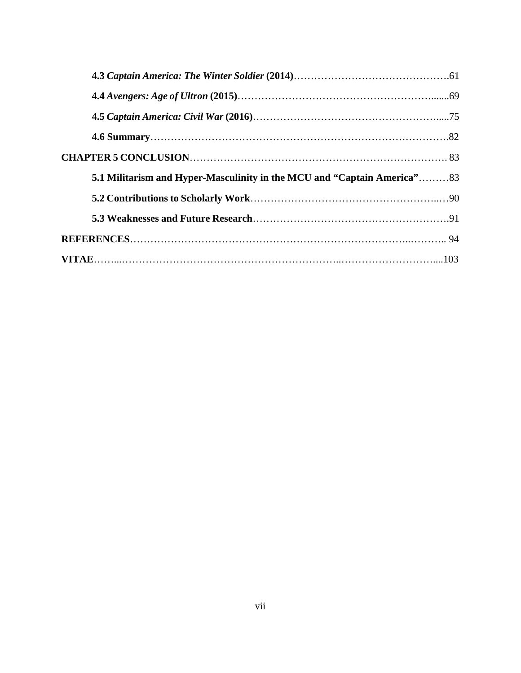| 5.1 Militarism and Hyper-Masculinity in the MCU and "Captain America"83 |  |
|-------------------------------------------------------------------------|--|
|                                                                         |  |
|                                                                         |  |
|                                                                         |  |
|                                                                         |  |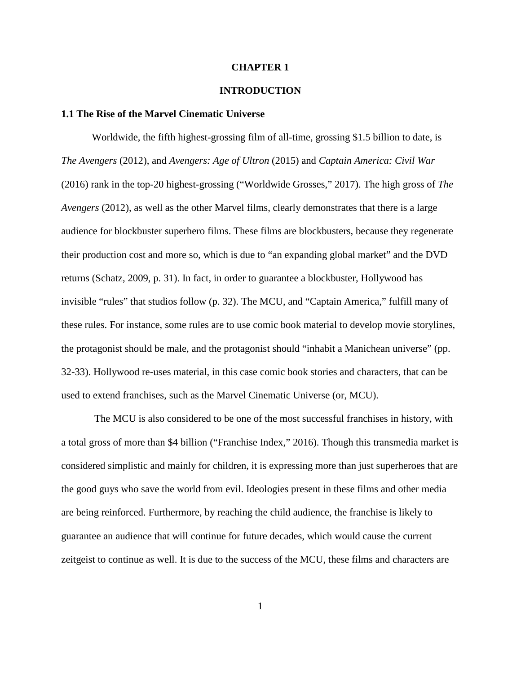#### **CHAPTER 1**

#### **INTRODUCTION**

#### **1.1 The Rise of the Marvel Cinematic Universe**

Worldwide, the fifth highest-grossing film of all-time, grossing \$1.5 billion to date, is *The Avengers* (2012), and *Avengers: Age of Ultron* (2015) and *Captain America: Civil War* (2016) rank in the top-20 highest-grossing ("Worldwide Grosses," 2017). The high gross of *The Avengers* (2012), as well as the other Marvel films, clearly demonstrates that there is a large audience for blockbuster superhero films. These films are blockbusters, because they regenerate their production cost and more so, which is due to "an expanding global market" and the DVD returns (Schatz, 2009, p. 31). In fact, in order to guarantee a blockbuster, Hollywood has invisible "rules" that studios follow (p. 32). The MCU, and "Captain America," fulfill many of these rules. For instance, some rules are to use comic book material to develop movie storylines, the protagonist should be male, and the protagonist should "inhabit a Manichean universe" (pp. 32-33). Hollywood re-uses material, in this case comic book stories and characters, that can be used to extend franchises, such as the Marvel Cinematic Universe (or, MCU).

The MCU is also considered to be one of the most successful franchises in history, with a total gross of more than \$4 billion ("Franchise Index," 2016). Though this transmedia market is considered simplistic and mainly for children, it is expressing more than just superheroes that are the good guys who save the world from evil. Ideologies present in these films and other media are being reinforced. Furthermore, by reaching the child audience, the franchise is likely to guarantee an audience that will continue for future decades, which would cause the current zeitgeist to continue as well. It is due to the success of the MCU, these films and characters are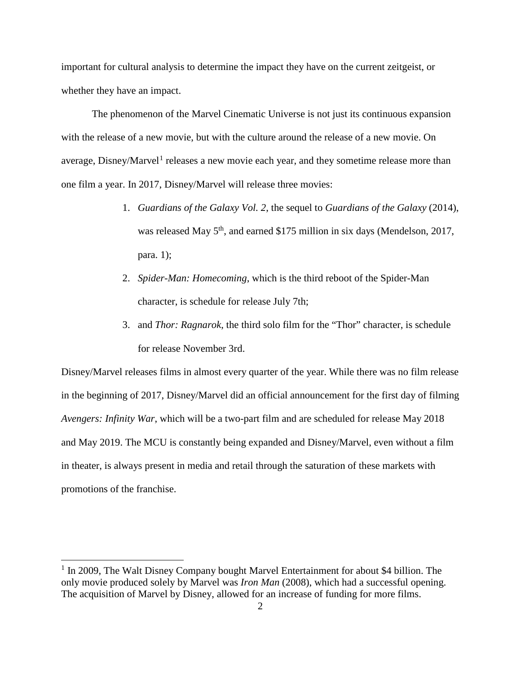important for cultural analysis to determine the impact they have on the current zeitgeist, or whether they have an impact.

The phenomenon of the Marvel Cinematic Universe is not just its continuous expansion with the release of a new movie, but with the culture around the release of a new movie. On average, Disney/Marvel<sup>[1](#page-9-0)</sup> releases a new movie each year, and they sometime release more than one film a year. In 2017, Disney/Marvel will release three movies:

- 1. *Guardians of the Galaxy Vol. 2*, the sequel to *Guardians of the Galaxy* (2014), was released May  $5<sup>th</sup>$ , and earned \$175 million in six days (Mendelson, 2017, para. 1);
- 2. *Spider-Man: Homecoming*, which is the third reboot of the Spider-Man character, is schedule for release July 7th;
- 3. and *Thor: Ragnarok*, the third solo film for the "Thor" character, is schedule for release November 3rd.

Disney/Marvel releases films in almost every quarter of the year. While there was no film release in the beginning of 2017, Disney/Marvel did an official announcement for the first day of filming *Avengers: Infinity War*, which will be a two-part film and are scheduled for release May 2018 and May 2019. The MCU is constantly being expanded and Disney/Marvel, even without a film in theater, is always present in media and retail through the saturation of these markets with promotions of the franchise.

<span id="page-9-0"></span> $1$  In 2009, The Walt Disney Company bought Marvel Entertainment for about \$4 billion. The only movie produced solely by Marvel was *Iron Man* (2008), which had a successful opening. The acquisition of Marvel by Disney, allowed for an increase of funding for more films.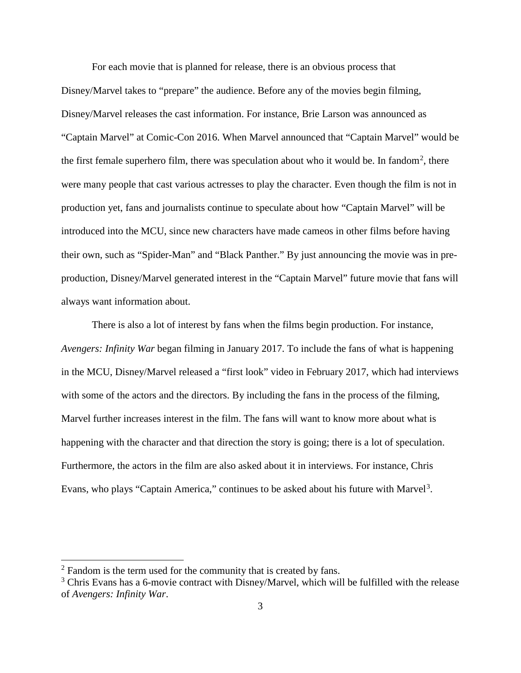For each movie that is planned for release, there is an obvious process that

Disney/Marvel takes to "prepare" the audience. Before any of the movies begin filming, Disney/Marvel releases the cast information. For instance, Brie Larson was announced as "Captain Marvel" at Comic-Con 2016. When Marvel announced that "Captain Marvel" would be the first female superhero film, there was speculation about who it would be. In fandom<sup>[2](#page-10-0)</sup>, there were many people that cast various actresses to play the character. Even though the film is not in production yet, fans and journalists continue to speculate about how "Captain Marvel" will be introduced into the MCU, since new characters have made cameos in other films before having their own, such as "Spider-Man" and "Black Panther." By just announcing the movie was in preproduction, Disney/Marvel generated interest in the "Captain Marvel" future movie that fans will always want information about.

There is also a lot of interest by fans when the films begin production. For instance, *Avengers: Infinity War* began filming in January 2017. To include the fans of what is happening in the MCU, Disney/Marvel released a "first look" video in February 2017, which had interviews with some of the actors and the directors. By including the fans in the process of the filming, Marvel further increases interest in the film. The fans will want to know more about what is happening with the character and that direction the story is going; there is a lot of speculation. Furthermore, the actors in the film are also asked about it in interviews. For instance, Chris Evans, who plays "Captain America," continues to be asked about his future with Marvel<sup>[3](#page-10-1)</sup>.

<span id="page-10-0"></span> $2$  Fandom is the term used for the community that is created by fans.

<span id="page-10-1"></span><sup>&</sup>lt;sup>3</sup> Chris Evans has a 6-movie contract with Disney/Marvel, which will be fulfilled with the release of *Avengers: Infinity War*.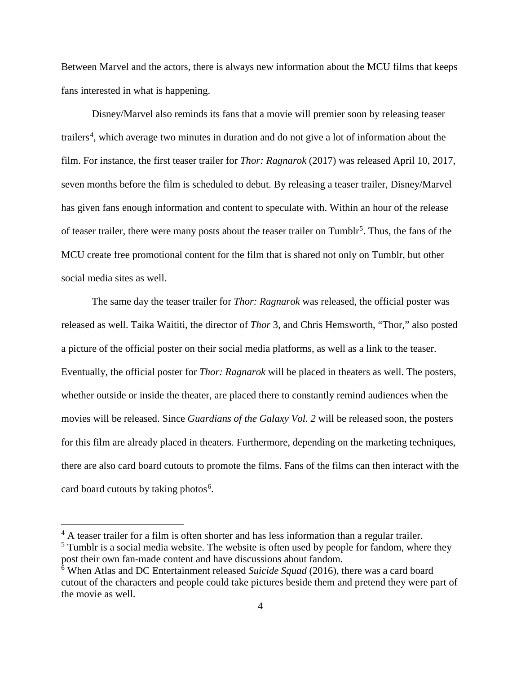Between Marvel and the actors, there is always new information about the MCU films that keeps fans interested in what is happening.

Disney/Marvel also reminds its fans that a movie will premier soon by releasing teaser trailers<sup>[4](#page-11-0)</sup>, which average two minutes in duration and do not give a lot of information about the film. For instance, the first teaser trailer for *Thor: Ragnarok* (2017) was released April 10, 2017, seven months before the film is scheduled to debut. By releasing a teaser trailer, Disney/Marvel has given fans enough information and content to speculate with. Within an hour of the release of teaser trailer, there were many posts about the teaser trailer on Tumblr<sup>[5](#page-11-1)</sup>. Thus, the fans of the MCU create free promotional content for the film that is shared not only on Tumblr, but other social media sites as well.

The same day the teaser trailer for *Thor: Ragnarok* was released, the official poster was released as well. Taika Waititi, the director of *Thor* 3, and Chris Hemsworth, "Thor," also posted a picture of the official poster on their social media platforms, as well as a link to the teaser. Eventually, the official poster for *Thor: Ragnarok* will be placed in theaters as well. The posters, whether outside or inside the theater, are placed there to constantly remind audiences when the movies will be released. Since *Guardians of the Galaxy Vol. 2* will be released soon, the posters for this film are already placed in theaters. Furthermore, depending on the marketing techniques, there are also card board cutouts to promote the films. Fans of the films can then interact with the card board cutouts by taking photos<sup>[6](#page-11-2)</sup>.

<span id="page-11-0"></span> $<sup>4</sup>$  A teaser trailer for a film is often shorter and has less information than a regular trailer.</sup>

<span id="page-11-1"></span><sup>&</sup>lt;sup>5</sup> Tumblr is a social media website. The website is often used by people for fandom, where they post their own fan-made content and have discussions about fandom.

<span id="page-11-2"></span><sup>6</sup> When Atlas and DC Entertainment released *Suicide Squad* (2016), there was a card board cutout of the characters and people could take pictures beside them and pretend they were part of the movie as well.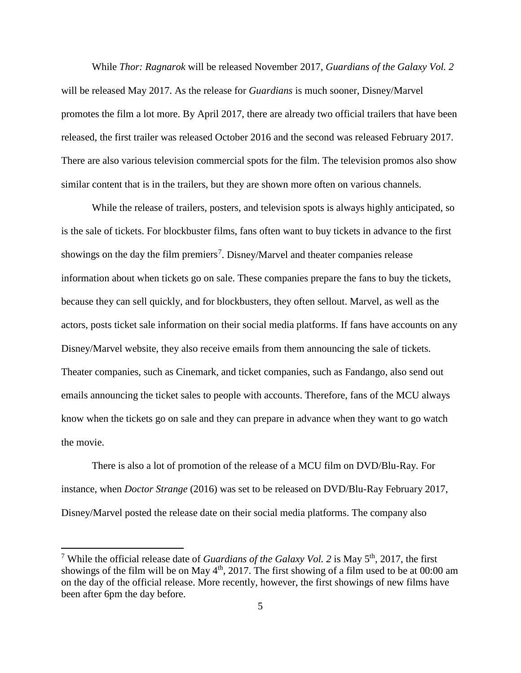While *Thor: Ragnarok* will be released November 2017, *Guardians of the Galaxy Vol. 2* will be released May 2017. As the release for *Guardians* is much sooner, Disney/Marvel promotes the film a lot more. By April 2017, there are already two official trailers that have been released, the first trailer was released October 2016 and the second was released February 2017. There are also various television commercial spots for the film. The television promos also show similar content that is in the trailers, but they are shown more often on various channels.

While the release of trailers, posters, and television spots is always highly anticipated, so is the sale of tickets. For blockbuster films, fans often want to buy tickets in advance to the first showings on the day the film premiers<sup>[7](#page-12-0)</sup>. Disney/Marvel and theater companies release information about when tickets go on sale. These companies prepare the fans to buy the tickets, because they can sell quickly, and for blockbusters, they often sellout. Marvel, as well as the actors, posts ticket sale information on their social media platforms. If fans have accounts on any Disney/Marvel website, they also receive emails from them announcing the sale of tickets. Theater companies, such as Cinemark, and ticket companies, such as Fandango, also send out emails announcing the ticket sales to people with accounts. Therefore, fans of the MCU always know when the tickets go on sale and they can prepare in advance when they want to go watch the movie.

There is also a lot of promotion of the release of a MCU film on DVD/Blu-Ray. For instance, when *Doctor Strange* (2016) was set to be released on DVD/Blu-Ray February 2017, Disney/Marvel posted the release date on their social media platforms. The company also

<span id="page-12-0"></span> <sup>7</sup> While the official release date of *Guardians of the Galaxy Vol. 2* is May 5th, 2017, the first showings of the film will be on May  $4<sup>th</sup>$ , 2017. The first showing of a film used to be at 00:00 am on the day of the official release. More recently, however, the first showings of new films have been after 6pm the day before.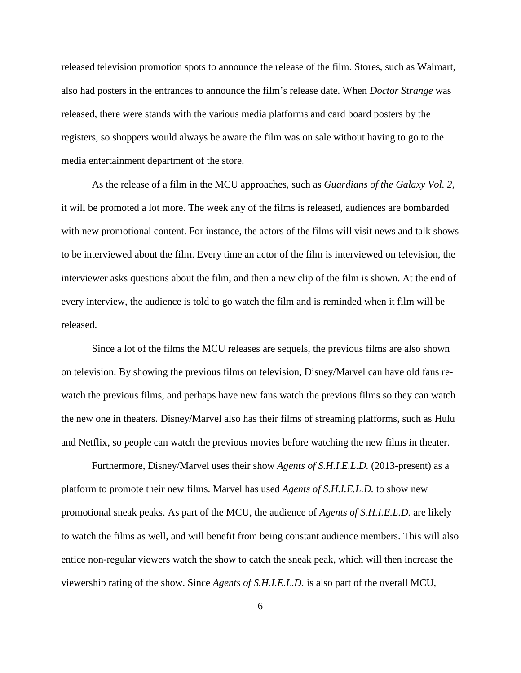released television promotion spots to announce the release of the film. Stores, such as Walmart, also had posters in the entrances to announce the film's release date. When *Doctor Strange* was released, there were stands with the various media platforms and card board posters by the registers, so shoppers would always be aware the film was on sale without having to go to the media entertainment department of the store.

As the release of a film in the MCU approaches, such as *Guardians of the Galaxy Vol. 2*, it will be promoted a lot more. The week any of the films is released, audiences are bombarded with new promotional content. For instance, the actors of the films will visit news and talk shows to be interviewed about the film. Every time an actor of the film is interviewed on television, the interviewer asks questions about the film, and then a new clip of the film is shown. At the end of every interview, the audience is told to go watch the film and is reminded when it film will be released.

Since a lot of the films the MCU releases are sequels, the previous films are also shown on television. By showing the previous films on television, Disney/Marvel can have old fans rewatch the previous films, and perhaps have new fans watch the previous films so they can watch the new one in theaters. Disney/Marvel also has their films of streaming platforms, such as Hulu and Netflix, so people can watch the previous movies before watching the new films in theater.

Furthermore, Disney/Marvel uses their show *Agents of S.H.I.E.L.D.* (2013-present) as a platform to promote their new films. Marvel has used *Agents of S.H.I.E.L.D.* to show new promotional sneak peaks. As part of the MCU, the audience of *Agents of S.H.I.E.L.D.* are likely to watch the films as well, and will benefit from being constant audience members. This will also entice non-regular viewers watch the show to catch the sneak peak, which will then increase the viewership rating of the show. Since *Agents of S.H.I.E.L.D.* is also part of the overall MCU,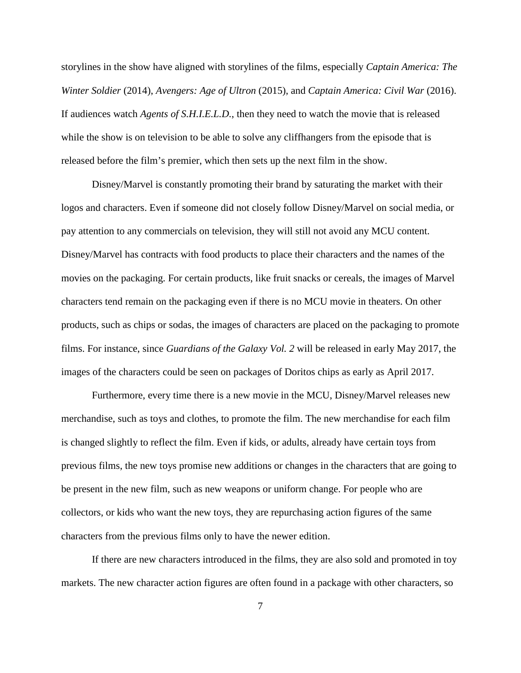storylines in the show have aligned with storylines of the films, especially *Captain America: The Winter Soldier* (2014), *Avengers: Age of Ultron* (2015), and *Captain America: Civil War* (2016). If audiences watch *Agents of S.H.I.E.L.D.*, then they need to watch the movie that is released while the show is on television to be able to solve any cliffhangers from the episode that is released before the film's premier, which then sets up the next film in the show.

Disney/Marvel is constantly promoting their brand by saturating the market with their logos and characters. Even if someone did not closely follow Disney/Marvel on social media, or pay attention to any commercials on television, they will still not avoid any MCU content. Disney/Marvel has contracts with food products to place their characters and the names of the movies on the packaging. For certain products, like fruit snacks or cereals, the images of Marvel characters tend remain on the packaging even if there is no MCU movie in theaters. On other products, such as chips or sodas, the images of characters are placed on the packaging to promote films. For instance, since *Guardians of the Galaxy Vol. 2* will be released in early May 2017, the images of the characters could be seen on packages of Doritos chips as early as April 2017.

Furthermore, every time there is a new movie in the MCU, Disney/Marvel releases new merchandise, such as toys and clothes, to promote the film. The new merchandise for each film is changed slightly to reflect the film. Even if kids, or adults, already have certain toys from previous films, the new toys promise new additions or changes in the characters that are going to be present in the new film, such as new weapons or uniform change. For people who are collectors, or kids who want the new toys, they are repurchasing action figures of the same characters from the previous films only to have the newer edition.

If there are new characters introduced in the films, they are also sold and promoted in toy markets. The new character action figures are often found in a package with other characters, so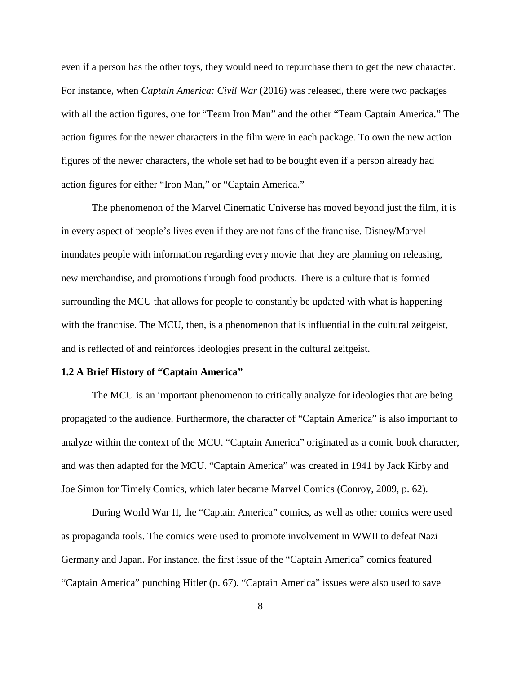even if a person has the other toys, they would need to repurchase them to get the new character. For instance, when *Captain America: Civil War* (2016) was released, there were two packages with all the action figures, one for "Team Iron Man" and the other "Team Captain America." The action figures for the newer characters in the film were in each package. To own the new action figures of the newer characters, the whole set had to be bought even if a person already had action figures for either "Iron Man," or "Captain America."

The phenomenon of the Marvel Cinematic Universe has moved beyond just the film, it is in every aspect of people's lives even if they are not fans of the franchise. Disney/Marvel inundates people with information regarding every movie that they are planning on releasing, new merchandise, and promotions through food products. There is a culture that is formed surrounding the MCU that allows for people to constantly be updated with what is happening with the franchise. The MCU, then, is a phenomenon that is influential in the cultural zeitgeist, and is reflected of and reinforces ideologies present in the cultural zeitgeist.

#### **1.2 A Brief History of "Captain America"**

The MCU is an important phenomenon to critically analyze for ideologies that are being propagated to the audience. Furthermore, the character of "Captain America" is also important to analyze within the context of the MCU. "Captain America" originated as a comic book character, and was then adapted for the MCU. "Captain America" was created in 1941 by Jack Kirby and Joe Simon for Timely Comics, which later became Marvel Comics (Conroy, 2009, p. 62).

During World War II, the "Captain America" comics, as well as other comics were used as propaganda tools. The comics were used to promote involvement in WWII to defeat Nazi Germany and Japan. For instance, the first issue of the "Captain America" comics featured "Captain America" punching Hitler (p. 67). "Captain America" issues were also used to save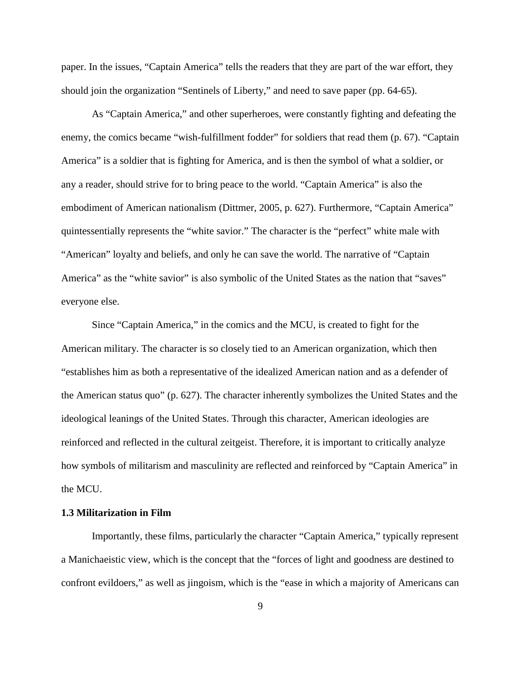paper. In the issues, "Captain America" tells the readers that they are part of the war effort, they should join the organization "Sentinels of Liberty," and need to save paper (pp. 64-65).

As "Captain America," and other superheroes, were constantly fighting and defeating the enemy, the comics became "wish-fulfillment fodder" for soldiers that read them (p. 67). "Captain America" is a soldier that is fighting for America, and is then the symbol of what a soldier, or any a reader, should strive for to bring peace to the world. "Captain America" is also the embodiment of American nationalism (Dittmer, 2005, p. 627). Furthermore, "Captain America" quintessentially represents the "white savior." The character is the "perfect" white male with "American" loyalty and beliefs, and only he can save the world. The narrative of "Captain America" as the "white savior" is also symbolic of the United States as the nation that "saves" everyone else.

Since "Captain America," in the comics and the MCU, is created to fight for the American military. The character is so closely tied to an American organization, which then "establishes him as both a representative of the idealized American nation and as a defender of the American status quo" (p. 627). The character inherently symbolizes the United States and the ideological leanings of the United States. Through this character, American ideologies are reinforced and reflected in the cultural zeitgeist. Therefore, it is important to critically analyze how symbols of militarism and masculinity are reflected and reinforced by "Captain America" in the MCU.

#### **1.3 Militarization in Film**

Importantly, these films, particularly the character "Captain America," typically represent a Manichaeistic view, which is the concept that the "forces of light and goodness are destined to confront evildoers," as well as jingoism, which is the "ease in which a majority of Americans can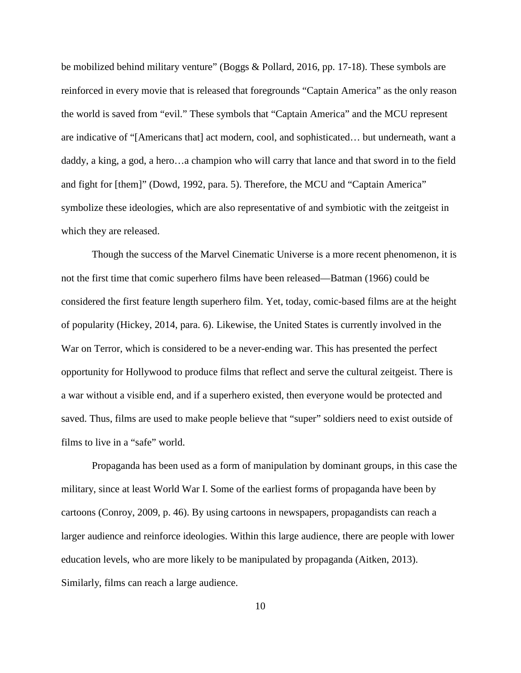be mobilized behind military venture" (Boggs & Pollard, 2016, pp. 17-18). These symbols are reinforced in every movie that is released that foregrounds "Captain America" as the only reason the world is saved from "evil." These symbols that "Captain America" and the MCU represent are indicative of "[Americans that] act modern, cool, and sophisticated… but underneath, want a daddy, a king, a god, a hero…a champion who will carry that lance and that sword in to the field and fight for [them]" (Dowd, 1992, para. 5). Therefore, the MCU and "Captain America" symbolize these ideologies, which are also representative of and symbiotic with the zeitgeist in which they are released.

Though the success of the Marvel Cinematic Universe is a more recent phenomenon, it is not the first time that comic superhero films have been released—Batman (1966) could be considered the first feature length superhero film. Yet, today, comic-based films are at the height of popularity (Hickey, 2014, para. 6). Likewise, the United States is currently involved in the War on Terror, which is considered to be a never-ending war. This has presented the perfect opportunity for Hollywood to produce films that reflect and serve the cultural zeitgeist. There is a war without a visible end, and if a superhero existed, then everyone would be protected and saved. Thus, films are used to make people believe that "super" soldiers need to exist outside of films to live in a "safe" world.

Propaganda has been used as a form of manipulation by dominant groups, in this case the military, since at least World War I. Some of the earliest forms of propaganda have been by cartoons (Conroy, 2009, p. 46). By using cartoons in newspapers, propagandists can reach a larger audience and reinforce ideologies. Within this large audience, there are people with lower education levels, who are more likely to be manipulated by propaganda (Aitken, 2013). Similarly, films can reach a large audience.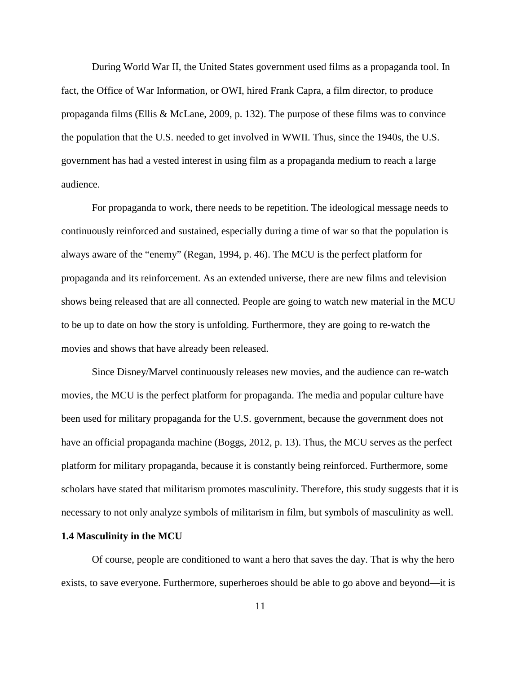During World War II, the United States government used films as a propaganda tool. In fact, the Office of War Information, or OWI, hired Frank Capra, a film director, to produce propaganda films (Ellis & McLane, 2009, p. 132). The purpose of these films was to convince the population that the U.S. needed to get involved in WWII. Thus, since the 1940s, the U.S. government has had a vested interest in using film as a propaganda medium to reach a large audience.

For propaganda to work, there needs to be repetition. The ideological message needs to continuously reinforced and sustained, especially during a time of war so that the population is always aware of the "enemy" (Regan, 1994, p. 46). The MCU is the perfect platform for propaganda and its reinforcement. As an extended universe, there are new films and television shows being released that are all connected. People are going to watch new material in the MCU to be up to date on how the story is unfolding. Furthermore, they are going to re-watch the movies and shows that have already been released.

Since Disney/Marvel continuously releases new movies, and the audience can re-watch movies, the MCU is the perfect platform for propaganda. The media and popular culture have been used for military propaganda for the U.S. government, because the government does not have an official propaganda machine (Boggs, 2012, p. 13). Thus, the MCU serves as the perfect platform for military propaganda, because it is constantly being reinforced. Furthermore, some scholars have stated that militarism promotes masculinity. Therefore, this study suggests that it is necessary to not only analyze symbols of militarism in film, but symbols of masculinity as well.

#### **1.4 Masculinity in the MCU**

Of course, people are conditioned to want a hero that saves the day. That is why the hero exists, to save everyone. Furthermore, superheroes should be able to go above and beyond—it is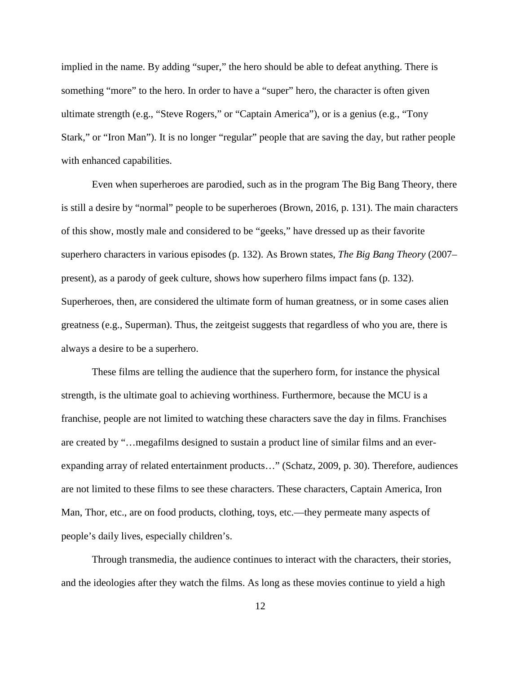implied in the name. By adding "super," the hero should be able to defeat anything. There is something "more" to the hero. In order to have a "super" hero, the character is often given ultimate strength (e.g., "Steve Rogers," or "Captain America"), or is a genius (e.g., "Tony Stark," or "Iron Man"). It is no longer "regular" people that are saving the day, but rather people with enhanced capabilities.

Even when superheroes are parodied, such as in the program The Big Bang Theory, there is still a desire by "normal" people to be superheroes (Brown, 2016, p. 131). The main characters of this show, mostly male and considered to be "geeks," have dressed up as their favorite superhero characters in various episodes (p. 132). As Brown states, *The Big Bang Theory* (2007– present), as a parody of geek culture, shows how superhero films impact fans (p. 132). Superheroes, then, are considered the ultimate form of human greatness, or in some cases alien greatness (e.g., Superman). Thus, the zeitgeist suggests that regardless of who you are, there is always a desire to be a superhero.

These films are telling the audience that the superhero form, for instance the physical strength, is the ultimate goal to achieving worthiness. Furthermore, because the MCU is a franchise, people are not limited to watching these characters save the day in films. Franchises are created by "…megafilms designed to sustain a product line of similar films and an everexpanding array of related entertainment products…" (Schatz, 2009, p. 30). Therefore, audiences are not limited to these films to see these characters. These characters, Captain America, Iron Man, Thor, etc., are on food products, clothing, toys, etc.—they permeate many aspects of people's daily lives, especially children's.

Through transmedia, the audience continues to interact with the characters, their stories, and the ideologies after they watch the films. As long as these movies continue to yield a high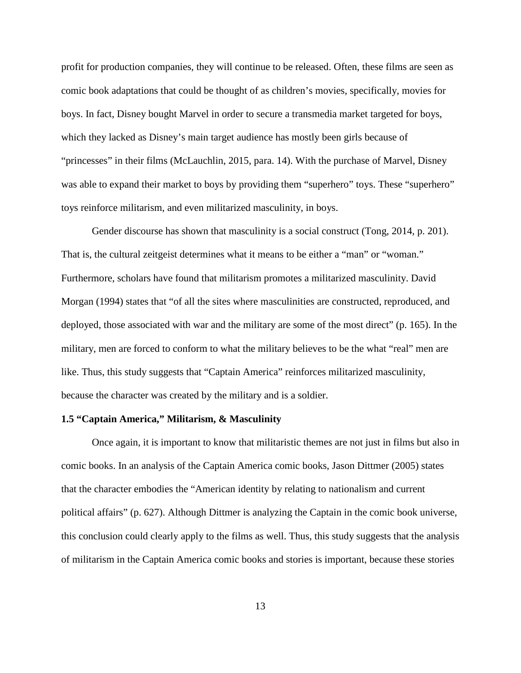profit for production companies, they will continue to be released. Often, these films are seen as comic book adaptations that could be thought of as children's movies, specifically, movies for boys. In fact, Disney bought Marvel in order to secure a transmedia market targeted for boys, which they lacked as Disney's main target audience has mostly been girls because of "princesses" in their films (McLauchlin, 2015, para. 14). With the purchase of Marvel, Disney was able to expand their market to boys by providing them "superhero" toys. These "superhero" toys reinforce militarism, and even militarized masculinity, in boys.

Gender discourse has shown that masculinity is a social construct (Tong, 2014, p. 201). That is, the cultural zeitgeist determines what it means to be either a "man" or "woman." Furthermore, scholars have found that militarism promotes a militarized masculinity. David Morgan (1994) states that "of all the sites where masculinities are constructed, reproduced, and deployed, those associated with war and the military are some of the most direct" (p. 165). In the military, men are forced to conform to what the military believes to be the what "real" men are like. Thus, this study suggests that "Captain America" reinforces militarized masculinity, because the character was created by the military and is a soldier.

#### **1.5 "Captain America," Militarism, & Masculinity**

Once again, it is important to know that militaristic themes are not just in films but also in comic books. In an analysis of the Captain America comic books, Jason Dittmer (2005) states that the character embodies the "American identity by relating to nationalism and current political affairs" (p. 627). Although Dittmer is analyzing the Captain in the comic book universe, this conclusion could clearly apply to the films as well. Thus, this study suggests that the analysis of militarism in the Captain America comic books and stories is important, because these stories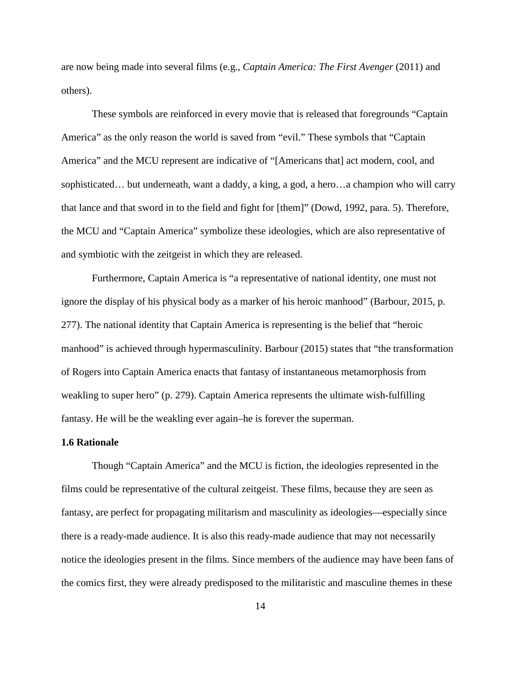are now being made into several films (e.g., *Captain America: The First Avenger* (2011) and others).

These symbols are reinforced in every movie that is released that foregrounds "Captain America" as the only reason the world is saved from "evil." These symbols that "Captain America" and the MCU represent are indicative of "[Americans that] act modern, cool, and sophisticated… but underneath, want a daddy, a king, a god, a hero…a champion who will carry that lance and that sword in to the field and fight for [them]" (Dowd, 1992, para. 5). Therefore, the MCU and "Captain America" symbolize these ideologies, which are also representative of and symbiotic with the zeitgeist in which they are released.

Furthermore, Captain America is "a representative of national identity, one must not ignore the display of his physical body as a marker of his heroic manhood" (Barbour, 2015, p. 277). The national identity that Captain America is representing is the belief that "heroic manhood" is achieved through hypermasculinity. Barbour (2015) states that "the transformation of Rogers into Captain America enacts that fantasy of instantaneous metamorphosis from weakling to super hero" (p. 279). Captain America represents the ultimate wish-fulfilling fantasy. He will be the weakling ever again–he is forever the superman.

#### **1.6 Rationale**

Though "Captain America" and the MCU is fiction, the ideologies represented in the films could be representative of the cultural zeitgeist. These films, because they are seen as fantasy, are perfect for propagating militarism and masculinity as ideologies—especially since there is a ready-made audience. It is also this ready-made audience that may not necessarily notice the ideologies present in the films. Since members of the audience may have been fans of the comics first, they were already predisposed to the militaristic and masculine themes in these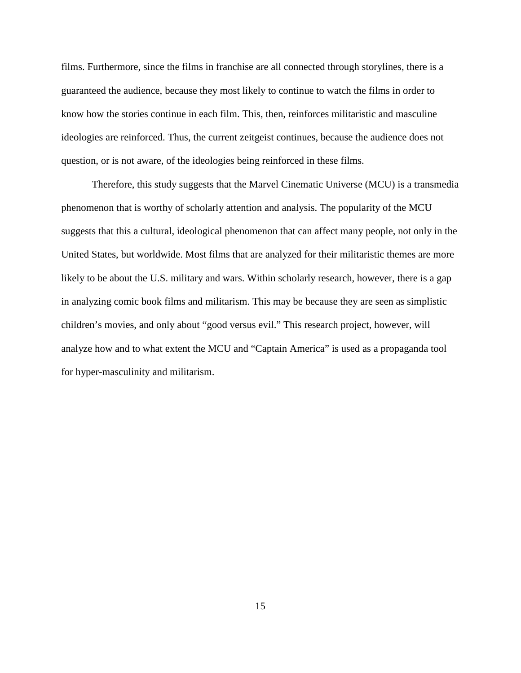films. Furthermore, since the films in franchise are all connected through storylines, there is a guaranteed the audience, because they most likely to continue to watch the films in order to know how the stories continue in each film. This, then, reinforces militaristic and masculine ideologies are reinforced. Thus, the current zeitgeist continues, because the audience does not question, or is not aware, of the ideologies being reinforced in these films.

Therefore, this study suggests that the Marvel Cinematic Universe (MCU) is a transmedia phenomenon that is worthy of scholarly attention and analysis. The popularity of the MCU suggests that this a cultural, ideological phenomenon that can affect many people, not only in the United States, but worldwide. Most films that are analyzed for their militaristic themes are more likely to be about the U.S. military and wars. Within scholarly research, however, there is a gap in analyzing comic book films and militarism. This may be because they are seen as simplistic children's movies, and only about "good versus evil." This research project, however, will analyze how and to what extent the MCU and "Captain America" is used as a propaganda tool for hyper-masculinity and militarism.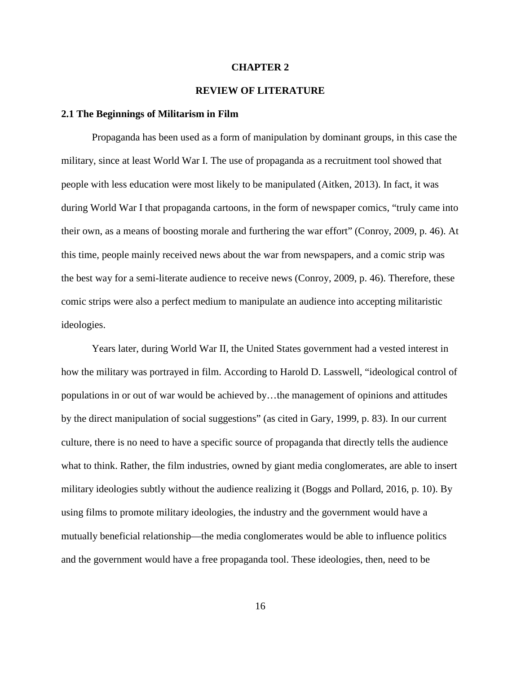#### **CHAPTER 2**

#### **REVIEW OF LITERATURE**

#### **2.1 The Beginnings of Militarism in Film**

Propaganda has been used as a form of manipulation by dominant groups, in this case the military, since at least World War I. The use of propaganda as a recruitment tool showed that people with less education were most likely to be manipulated (Aitken, 2013). In fact, it was during World War I that propaganda cartoons, in the form of newspaper comics, "truly came into their own, as a means of boosting morale and furthering the war effort" (Conroy, 2009, p. 46). At this time, people mainly received news about the war from newspapers, and a comic strip was the best way for a semi-literate audience to receive news (Conroy, 2009, p. 46). Therefore, these comic strips were also a perfect medium to manipulate an audience into accepting militaristic ideologies.

Years later, during World War II, the United States government had a vested interest in how the military was portrayed in film. According to Harold D. Lasswell, "ideological control of populations in or out of war would be achieved by…the management of opinions and attitudes by the direct manipulation of social suggestions" (as cited in Gary, 1999, p. 83). In our current culture, there is no need to have a specific source of propaganda that directly tells the audience what to think. Rather, the film industries, owned by giant media conglomerates, are able to insert military ideologies subtly without the audience realizing it (Boggs and Pollard, 2016, p. 10). By using films to promote military ideologies, the industry and the government would have a mutually beneficial relationship—the media conglomerates would be able to influence politics and the government would have a free propaganda tool. These ideologies, then, need to be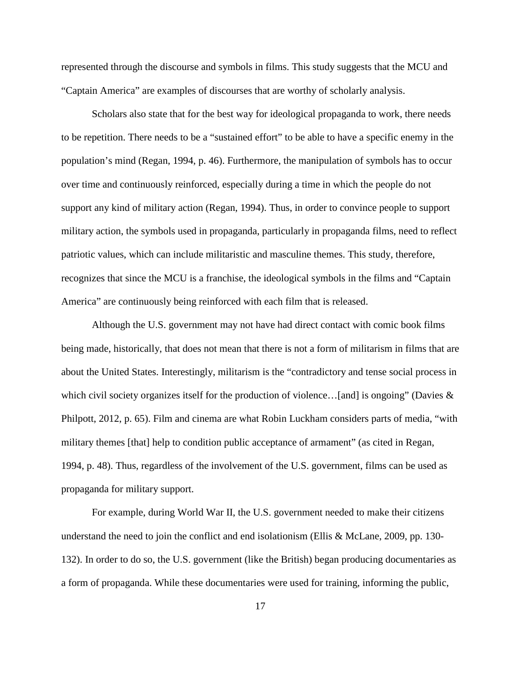represented through the discourse and symbols in films. This study suggests that the MCU and "Captain America" are examples of discourses that are worthy of scholarly analysis.

Scholars also state that for the best way for ideological propaganda to work, there needs to be repetition. There needs to be a "sustained effort" to be able to have a specific enemy in the population's mind (Regan, 1994, p. 46). Furthermore, the manipulation of symbols has to occur over time and continuously reinforced, especially during a time in which the people do not support any kind of military action (Regan, 1994). Thus, in order to convince people to support military action, the symbols used in propaganda, particularly in propaganda films, need to reflect patriotic values, which can include militaristic and masculine themes. This study, therefore, recognizes that since the MCU is a franchise, the ideological symbols in the films and "Captain America" are continuously being reinforced with each film that is released.

Although the U.S. government may not have had direct contact with comic book films being made, historically, that does not mean that there is not a form of militarism in films that are about the United States. Interestingly, militarism is the "contradictory and tense social process in which civil society organizes itself for the production of violence...[and] is ongoing" (Davies & Philpott, 2012, p. 65). Film and cinema are what Robin Luckham considers parts of media, "with military themes [that] help to condition public acceptance of armament" (as cited in Regan, 1994, p. 48). Thus, regardless of the involvement of the U.S. government, films can be used as propaganda for military support.

For example, during World War II, the U.S. government needed to make their citizens understand the need to join the conflict and end isolationism (Ellis & McLane, 2009, pp. 130-132). In order to do so, the U.S. government (like the British) began producing documentaries as a form of propaganda. While these documentaries were used for training, informing the public,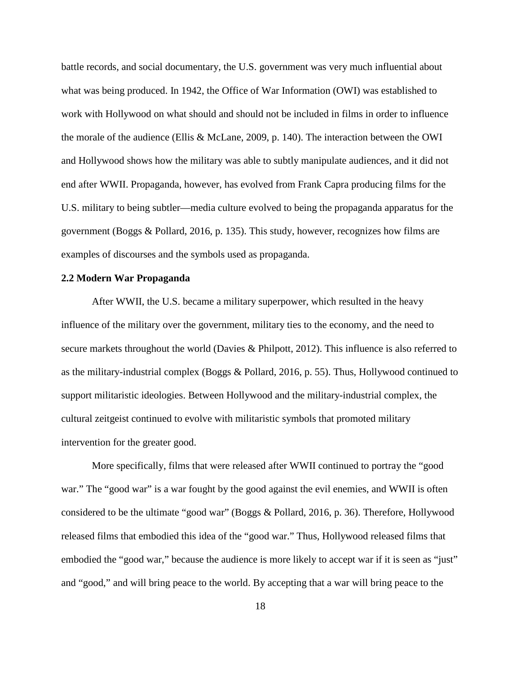battle records, and social documentary, the U.S. government was very much influential about what was being produced. In 1942, the Office of War Information (OWI) was established to work with Hollywood on what should and should not be included in films in order to influence the morale of the audience (Ellis & McLane, 2009, p. 140). The interaction between the OWI and Hollywood shows how the military was able to subtly manipulate audiences, and it did not end after WWII. Propaganda, however, has evolved from Frank Capra producing films for the U.S. military to being subtler—media culture evolved to being the propaganda apparatus for the government (Boggs & Pollard, 2016, p. 135). This study, however, recognizes how films are examples of discourses and the symbols used as propaganda.

#### **2.2 Modern War Propaganda**

After WWII, the U.S. became a military superpower, which resulted in the heavy influence of the military over the government, military ties to the economy, and the need to secure markets throughout the world (Davies & Philpott, 2012). This influence is also referred to as the military-industrial complex (Boggs & Pollard, 2016, p. 55). Thus, Hollywood continued to support militaristic ideologies. Between Hollywood and the military-industrial complex, the cultural zeitgeist continued to evolve with militaristic symbols that promoted military intervention for the greater good.

More specifically, films that were released after WWII continued to portray the "good war." The "good war" is a war fought by the good against the evil enemies, and WWII is often considered to be the ultimate "good war" (Boggs & Pollard, 2016, p. 36). Therefore, Hollywood released films that embodied this idea of the "good war." Thus, Hollywood released films that embodied the "good war," because the audience is more likely to accept war if it is seen as "just" and "good," and will bring peace to the world. By accepting that a war will bring peace to the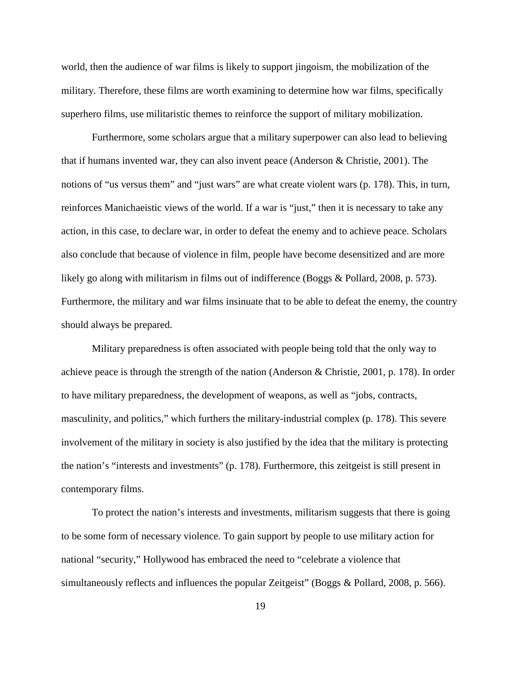world, then the audience of war films is likely to support jingoism, the mobilization of the military. Therefore, these films are worth examining to determine how war films, specifically superhero films, use militaristic themes to reinforce the support of military mobilization.

Furthermore, some scholars argue that a military superpower can also lead to believing that if humans invented war, they can also invent peace (Anderson & Christie, 2001). The notions of "us versus them" and "just wars" are what create violent wars (p. 178). This, in turn, reinforces Manichaeistic views of the world. If a war is "just," then it is necessary to take any action, in this case, to declare war, in order to defeat the enemy and to achieve peace. Scholars also conclude that because of violence in film, people have become desensitized and are more likely go along with militarism in films out of indifference (Boggs & Pollard, 2008, p. 573). Furthermore, the military and war films insinuate that to be able to defeat the enemy, the country should always be prepared.

Military preparedness is often associated with people being told that the only way to achieve peace is through the strength of the nation (Anderson & Christie, 2001, p. 178). In order to have military preparedness, the development of weapons, as well as "jobs, contracts, masculinity, and politics," which furthers the military-industrial complex (p. 178). This severe involvement of the military in society is also justified by the idea that the military is protecting the nation's "interests and investments" (p. 178). Furthermore, this zeitgeist is still present in contemporary films.

To protect the nation's interests and investments, militarism suggests that there is going to be some form of necessary violence. To gain support by people to use military action for national "security," Hollywood has embraced the need to "celebrate a violence that simultaneously reflects and influences the popular Zeitgeist" (Boggs & Pollard, 2008, p. 566).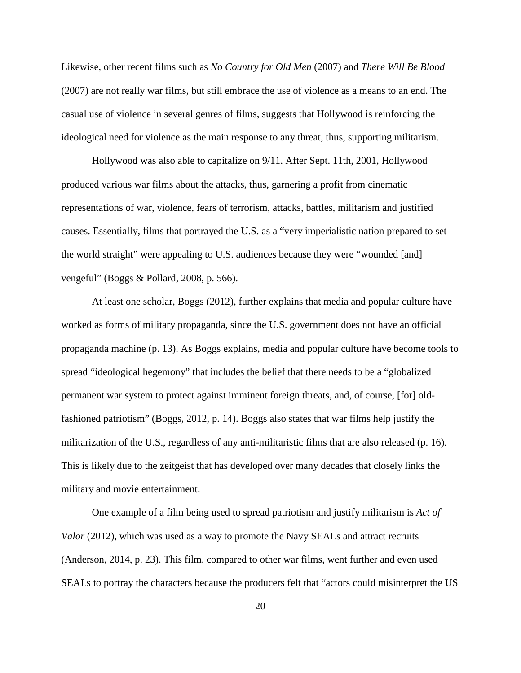Likewise, other recent films such as *No Country for Old Men* (2007) and *There Will Be Blood* (2007) are not really war films, but still embrace the use of violence as a means to an end. The casual use of violence in several genres of films, suggests that Hollywood is reinforcing the ideological need for violence as the main response to any threat, thus, supporting militarism.

Hollywood was also able to capitalize on 9/11. After Sept. 11th, 2001, Hollywood produced various war films about the attacks, thus, garnering a profit from cinematic representations of war, violence, fears of terrorism, attacks, battles, militarism and justified causes. Essentially, films that portrayed the U.S. as a "very imperialistic nation prepared to set the world straight" were appealing to U.S. audiences because they were "wounded [and] vengeful" (Boggs & Pollard, 2008, p. 566).

At least one scholar, Boggs (2012), further explains that media and popular culture have worked as forms of military propaganda, since the U.S. government does not have an official propaganda machine (p. 13). As Boggs explains, media and popular culture have become tools to spread "ideological hegemony" that includes the belief that there needs to be a "globalized permanent war system to protect against imminent foreign threats, and, of course, [for] oldfashioned patriotism" (Boggs, 2012, p. 14). Boggs also states that war films help justify the militarization of the U.S., regardless of any anti-militaristic films that are also released (p. 16). This is likely due to the zeitgeist that has developed over many decades that closely links the military and movie entertainment.

One example of a film being used to spread patriotism and justify militarism is *Act of Valor* (2012), which was used as a way to promote the Navy SEALs and attract recruits (Anderson, 2014, p. 23). This film, compared to other war films, went further and even used SEALs to portray the characters because the producers felt that "actors could misinterpret the US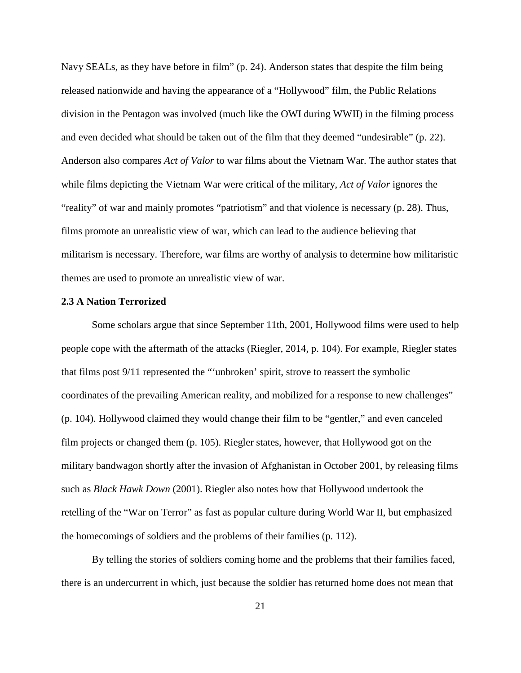Navy SEALs, as they have before in film" (p. 24). Anderson states that despite the film being released nationwide and having the appearance of a "Hollywood" film, the Public Relations division in the Pentagon was involved (much like the OWI during WWII) in the filming process and even decided what should be taken out of the film that they deemed "undesirable" (p. 22). Anderson also compares *Act of Valor* to war films about the Vietnam War. The author states that while films depicting the Vietnam War were critical of the military, *Act of Valor* ignores the "reality" of war and mainly promotes "patriotism" and that violence is necessary (p. 28). Thus, films promote an unrealistic view of war, which can lead to the audience believing that militarism is necessary. Therefore, war films are worthy of analysis to determine how militaristic themes are used to promote an unrealistic view of war.

#### **2.3 A Nation Terrorized**

Some scholars argue that since September 11th, 2001, Hollywood films were used to help people cope with the aftermath of the attacks (Riegler, 2014, p. 104). For example, Riegler states that films post 9/11 represented the "'unbroken' spirit, strove to reassert the symbolic coordinates of the prevailing American reality, and mobilized for a response to new challenges" (p. 104). Hollywood claimed they would change their film to be "gentler," and even canceled film projects or changed them (p. 105). Riegler states, however, that Hollywood got on the military bandwagon shortly after the invasion of Afghanistan in October 2001, by releasing films such as *Black Hawk Down* (2001). Riegler also notes how that Hollywood undertook the retelling of the "War on Terror" as fast as popular culture during World War II, but emphasized the homecomings of soldiers and the problems of their families (p. 112).

By telling the stories of soldiers coming home and the problems that their families faced, there is an undercurrent in which, just because the soldier has returned home does not mean that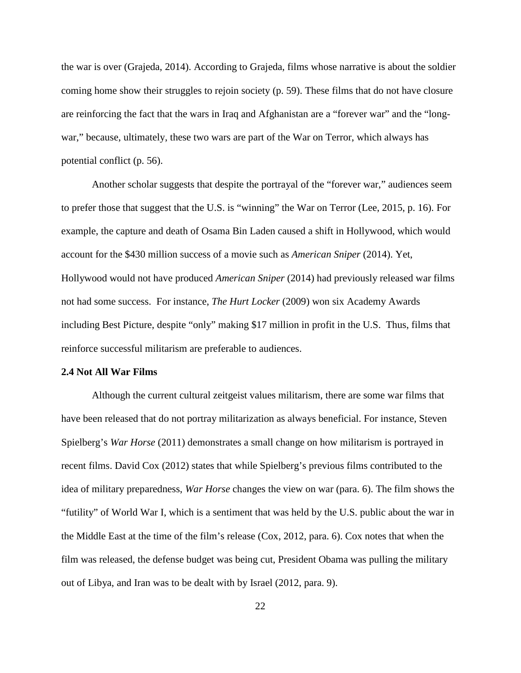the war is over (Grajeda, 2014). According to Grajeda, films whose narrative is about the soldier coming home show their struggles to rejoin society (p. 59). These films that do not have closure are reinforcing the fact that the wars in Iraq and Afghanistan are a "forever war" and the "longwar," because, ultimately, these two wars are part of the War on Terror, which always has potential conflict (p. 56).

Another scholar suggests that despite the portrayal of the "forever war," audiences seem to prefer those that suggest that the U.S. is "winning" the War on Terror (Lee, 2015, p. 16). For example, the capture and death of Osama Bin Laden caused a shift in Hollywood, which would account for the \$430 million success of a movie such as *American Sniper* (2014). Yet, Hollywood would not have produced *American Sniper* (2014) had previously released war films not had some success. For instance, *The Hurt Locker* (2009) won six Academy Awards including Best Picture, despite "only" making \$17 million in profit in the U.S. Thus, films that reinforce successful militarism are preferable to audiences.

#### **2.4 Not All War Films**

Although the current cultural zeitgeist values militarism, there are some war films that have been released that do not portray militarization as always beneficial. For instance, Steven Spielberg's *War Horse* (2011) demonstrates a small change on how militarism is portrayed in recent films. David Cox (2012) states that while Spielberg's previous films contributed to the idea of military preparedness, *War Horse* changes the view on war (para. 6). The film shows the "futility" of World War I, which is a sentiment that was held by the U.S. public about the war in the Middle East at the time of the film's release (Cox, 2012, para. 6). Cox notes that when the film was released, the defense budget was being cut, President Obama was pulling the military out of Libya, and Iran was to be dealt with by Israel (2012, para. 9).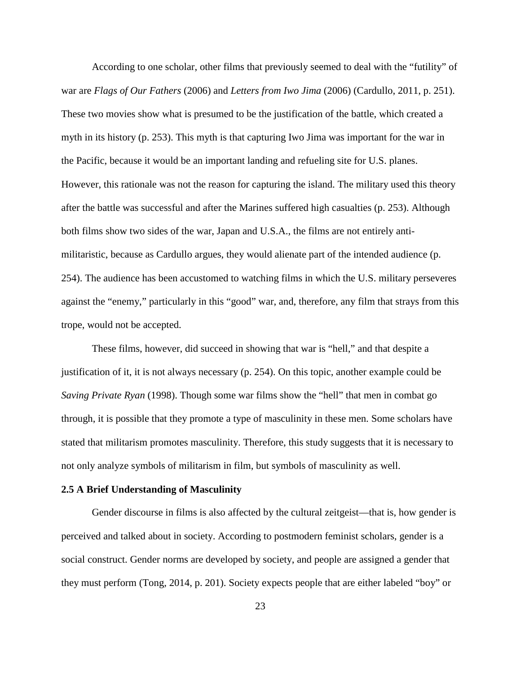According to one scholar, other films that previously seemed to deal with the "futility" of war are *Flags of Our Fathers* (2006) and *Letters from Iwo Jima* (2006) (Cardullo, 2011, p. 251). These two movies show what is presumed to be the justification of the battle, which created a myth in its history (p. 253). This myth is that capturing Iwo Jima was important for the war in the Pacific, because it would be an important landing and refueling site for U.S. planes. However, this rationale was not the reason for capturing the island. The military used this theory after the battle was successful and after the Marines suffered high casualties (p. 253). Although both films show two sides of the war, Japan and U.S.A., the films are not entirely antimilitaristic, because as Cardullo argues, they would alienate part of the intended audience (p. 254). The audience has been accustomed to watching films in which the U.S. military perseveres against the "enemy," particularly in this "good" war, and, therefore, any film that strays from this trope, would not be accepted.

These films, however, did succeed in showing that war is "hell," and that despite a justification of it, it is not always necessary (p. 254). On this topic, another example could be *Saving Private Ryan* (1998). Though some war films show the "hell" that men in combat go through, it is possible that they promote a type of masculinity in these men. Some scholars have stated that militarism promotes masculinity. Therefore, this study suggests that it is necessary to not only analyze symbols of militarism in film, but symbols of masculinity as well.

#### **2.5 A Brief Understanding of Masculinity**

Gender discourse in films is also affected by the cultural zeitgeist—that is, how gender is perceived and talked about in society. According to postmodern feminist scholars, gender is a social construct. Gender norms are developed by society, and people are assigned a gender that they must perform (Tong, 2014, p. 201). Society expects people that are either labeled "boy" or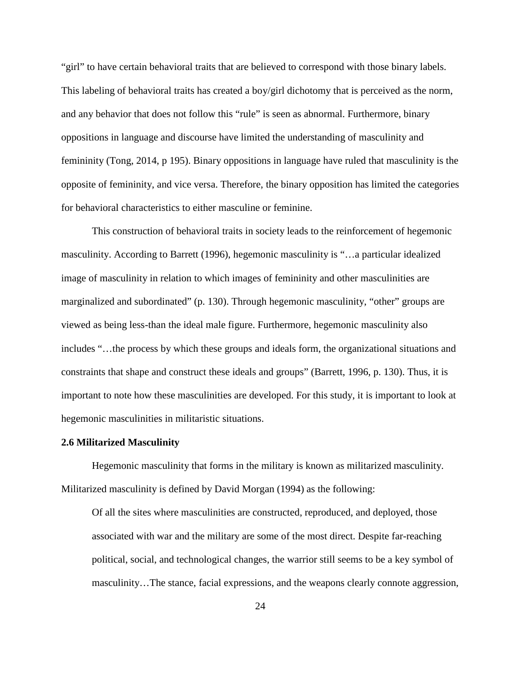"girl" to have certain behavioral traits that are believed to correspond with those binary labels. This labeling of behavioral traits has created a boy/girl dichotomy that is perceived as the norm, and any behavior that does not follow this "rule" is seen as abnormal. Furthermore, binary oppositions in language and discourse have limited the understanding of masculinity and femininity (Tong, 2014, p 195). Binary oppositions in language have ruled that masculinity is the opposite of femininity, and vice versa. Therefore, the binary opposition has limited the categories for behavioral characteristics to either masculine or feminine.

This construction of behavioral traits in society leads to the reinforcement of hegemonic masculinity. According to Barrett (1996), hegemonic masculinity is "…a particular idealized image of masculinity in relation to which images of femininity and other masculinities are marginalized and subordinated" (p. 130). Through hegemonic masculinity, "other" groups are viewed as being less-than the ideal male figure. Furthermore, hegemonic masculinity also includes "…the process by which these groups and ideals form, the organizational situations and constraints that shape and construct these ideals and groups" (Barrett, 1996, p. 130). Thus, it is important to note how these masculinities are developed. For this study, it is important to look at hegemonic masculinities in militaristic situations.

#### **2.6 Militarized Masculinity**

Hegemonic masculinity that forms in the military is known as militarized masculinity. Militarized masculinity is defined by David Morgan (1994) as the following:

Of all the sites where masculinities are constructed, reproduced, and deployed, those associated with war and the military are some of the most direct. Despite far-reaching political, social, and technological changes, the warrior still seems to be a key symbol of masculinity…The stance, facial expressions, and the weapons clearly connote aggression,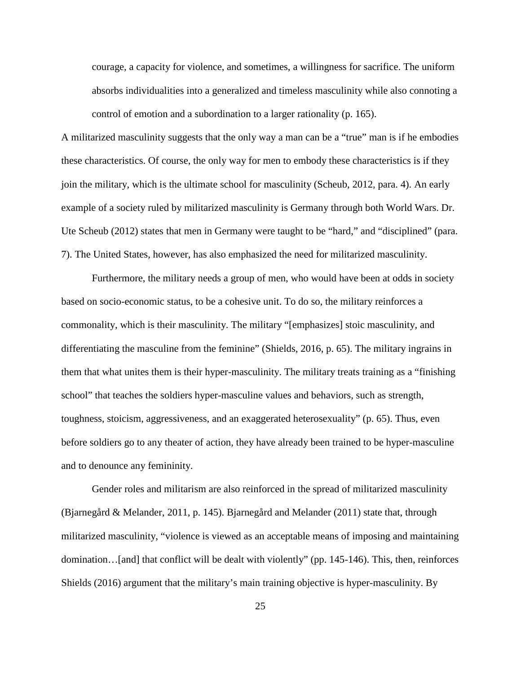courage, a capacity for violence, and sometimes, a willingness for sacrifice. The uniform absorbs individualities into a generalized and timeless masculinity while also connoting a control of emotion and a subordination to a larger rationality (p. 165).

A militarized masculinity suggests that the only way a man can be a "true" man is if he embodies these characteristics. Of course, the only way for men to embody these characteristics is if they join the military, which is the ultimate school for masculinity (Scheub, 2012, para. 4). An early example of a society ruled by militarized masculinity is Germany through both World Wars. Dr. Ute Scheub (2012) states that men in Germany were taught to be "hard," and "disciplined" (para. 7). The United States, however, has also emphasized the need for militarized masculinity.

Furthermore, the military needs a group of men, who would have been at odds in society based on socio-economic status, to be a cohesive unit. To do so, the military reinforces a commonality, which is their masculinity. The military "[emphasizes] stoic masculinity, and differentiating the masculine from the feminine" (Shields, 2016, p. 65). The military ingrains in them that what unites them is their hyper-masculinity. The military treats training as a "finishing school" that teaches the soldiers hyper-masculine values and behaviors, such as strength, toughness, stoicism, aggressiveness, and an exaggerated heterosexuality" (p. 65). Thus, even before soldiers go to any theater of action, they have already been trained to be hyper-masculine and to denounce any femininity.

Gender roles and militarism are also reinforced in the spread of militarized masculinity (Bjarnegård & Melander, 2011, p. 145). Bjarnegård and Melander (2011) state that, through militarized masculinity, "violence is viewed as an acceptable means of imposing and maintaining domination…[and] that conflict will be dealt with violently" (pp. 145-146). This, then, reinforces Shields (2016) argument that the military's main training objective is hyper-masculinity. By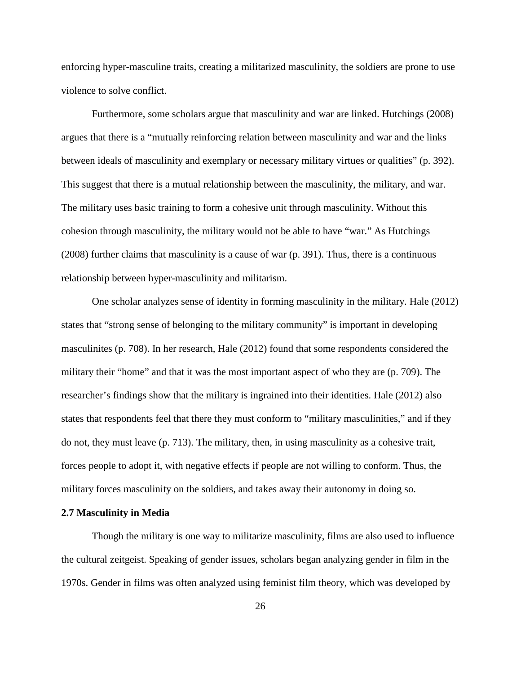enforcing hyper-masculine traits, creating a militarized masculinity, the soldiers are prone to use violence to solve conflict.

Furthermore, some scholars argue that masculinity and war are linked. Hutchings (2008) argues that there is a "mutually reinforcing relation between masculinity and war and the links between ideals of masculinity and exemplary or necessary military virtues or qualities" (p. 392). This suggest that there is a mutual relationship between the masculinity, the military, and war. The military uses basic training to form a cohesive unit through masculinity. Without this cohesion through masculinity, the military would not be able to have "war." As Hutchings (2008) further claims that masculinity is a cause of war (p. 391). Thus, there is a continuous relationship between hyper-masculinity and militarism.

One scholar analyzes sense of identity in forming masculinity in the military. Hale (2012) states that "strong sense of belonging to the military community" is important in developing masculinites (p. 708). In her research, Hale (2012) found that some respondents considered the military their "home" and that it was the most important aspect of who they are (p. 709). The researcher's findings show that the military is ingrained into their identities. Hale (2012) also states that respondents feel that there they must conform to "military masculinities," and if they do not, they must leave (p. 713). The military, then, in using masculinity as a cohesive trait, forces people to adopt it, with negative effects if people are not willing to conform. Thus, the military forces masculinity on the soldiers, and takes away their autonomy in doing so.

#### **2.7 Masculinity in Media**

Though the military is one way to militarize masculinity, films are also used to influence the cultural zeitgeist. Speaking of gender issues, scholars began analyzing gender in film in the 1970s. Gender in films was often analyzed using feminist film theory, which was developed by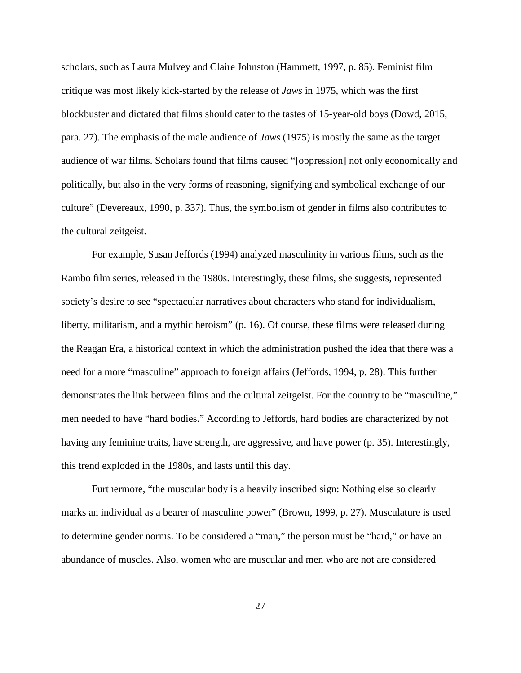scholars, such as Laura Mulvey and Claire Johnston (Hammett, 1997, p. 85). Feminist film critique was most likely kick-started by the release of *Jaws* in 1975, which was the first blockbuster and dictated that films should cater to the tastes of 15-year-old boys (Dowd, 2015, para. 27). The emphasis of the male audience of *Jaws* (1975) is mostly the same as the target audience of war films. Scholars found that films caused "[oppression] not only economically and politically, but also in the very forms of reasoning, signifying and symbolical exchange of our culture" (Devereaux, 1990, p. 337). Thus, the symbolism of gender in films also contributes to the cultural zeitgeist.

For example, Susan Jeffords (1994) analyzed masculinity in various films, such as the Rambo film series, released in the 1980s. Interestingly, these films, she suggests, represented society's desire to see "spectacular narratives about characters who stand for individualism, liberty, militarism, and a mythic heroism" (p. 16). Of course, these films were released during the Reagan Era, a historical context in which the administration pushed the idea that there was a need for a more "masculine" approach to foreign affairs (Jeffords, 1994, p. 28). This further demonstrates the link between films and the cultural zeitgeist. For the country to be "masculine," men needed to have "hard bodies." According to Jeffords, hard bodies are characterized by not having any feminine traits, have strength, are aggressive, and have power (p. 35). Interestingly, this trend exploded in the 1980s, and lasts until this day.

Furthermore, "the muscular body is a heavily inscribed sign: Nothing else so clearly marks an individual as a bearer of masculine power" (Brown, 1999, p. 27). Musculature is used to determine gender norms. To be considered a "man," the person must be "hard," or have an abundance of muscles. Also, women who are muscular and men who are not are considered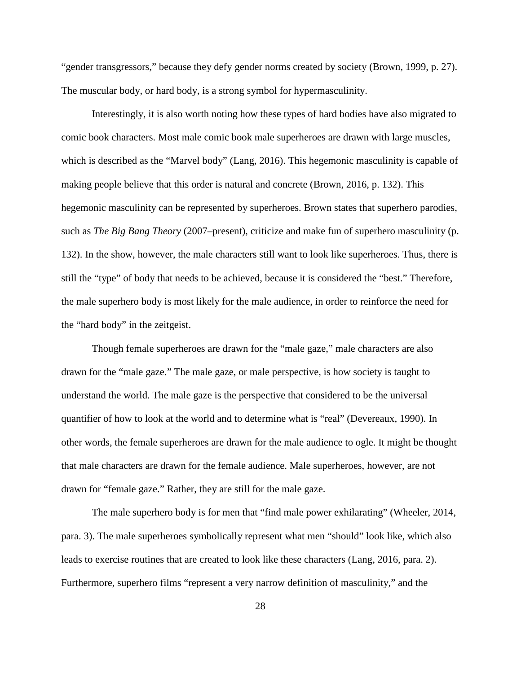"gender transgressors," because they defy gender norms created by society (Brown, 1999, p. 27). The muscular body, or hard body, is a strong symbol for hypermasculinity.

Interestingly, it is also worth noting how these types of hard bodies have also migrated to comic book characters. Most male comic book male superheroes are drawn with large muscles, which is described as the "Marvel body" (Lang, 2016). This hegemonic masculinity is capable of making people believe that this order is natural and concrete (Brown, 2016, p. 132). This hegemonic masculinity can be represented by superheroes. Brown states that superhero parodies, such as *The Big Bang Theory* (2007–present), criticize and make fun of superhero masculinity (p. 132). In the show, however, the male characters still want to look like superheroes. Thus, there is still the "type" of body that needs to be achieved, because it is considered the "best." Therefore, the male superhero body is most likely for the male audience, in order to reinforce the need for the "hard body" in the zeitgeist.

Though female superheroes are drawn for the "male gaze," male characters are also drawn for the "male gaze." The male gaze, or male perspective, is how society is taught to understand the world. The male gaze is the perspective that considered to be the universal quantifier of how to look at the world and to determine what is "real" (Devereaux, 1990). In other words, the female superheroes are drawn for the male audience to ogle. It might be thought that male characters are drawn for the female audience. Male superheroes, however, are not drawn for "female gaze." Rather, they are still for the male gaze.

The male superhero body is for men that "find male power exhilarating" (Wheeler, 2014, para. 3). The male superheroes symbolically represent what men "should" look like, which also leads to exercise routines that are created to look like these characters (Lang, 2016, para. 2). Furthermore, superhero films "represent a very narrow definition of masculinity," and the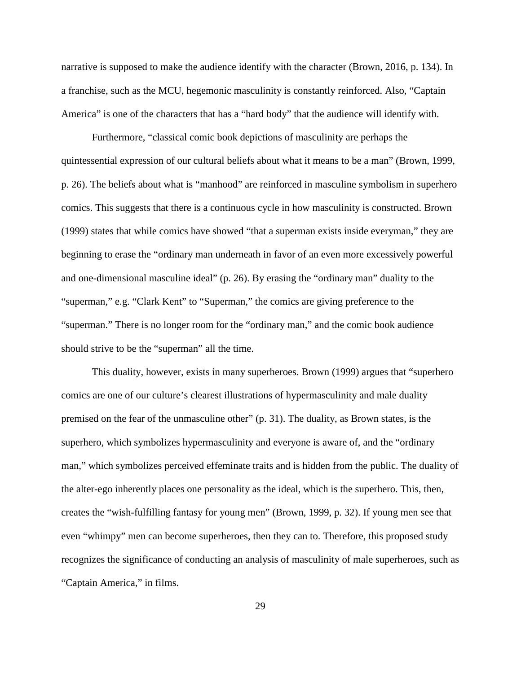narrative is supposed to make the audience identify with the character (Brown, 2016, p. 134). In a franchise, such as the MCU, hegemonic masculinity is constantly reinforced. Also, "Captain America" is one of the characters that has a "hard body" that the audience will identify with.

Furthermore, "classical comic book depictions of masculinity are perhaps the quintessential expression of our cultural beliefs about what it means to be a man" (Brown, 1999, p. 26). The beliefs about what is "manhood" are reinforced in masculine symbolism in superhero comics. This suggests that there is a continuous cycle in how masculinity is constructed. Brown (1999) states that while comics have showed "that a superman exists inside everyman," they are beginning to erase the "ordinary man underneath in favor of an even more excessively powerful and one-dimensional masculine ideal" (p. 26). By erasing the "ordinary man" duality to the "superman," e.g. "Clark Kent" to "Superman," the comics are giving preference to the "superman." There is no longer room for the "ordinary man," and the comic book audience should strive to be the "superman" all the time.

This duality, however, exists in many superheroes. Brown (1999) argues that "superhero comics are one of our culture's clearest illustrations of hypermasculinity and male duality premised on the fear of the unmasculine other" (p. 31). The duality, as Brown states, is the superhero, which symbolizes hypermasculinity and everyone is aware of, and the "ordinary man," which symbolizes perceived effeminate traits and is hidden from the public. The duality of the alter-ego inherently places one personality as the ideal, which is the superhero. This, then, creates the "wish-fulfilling fantasy for young men" (Brown, 1999, p. 32). If young men see that even "whimpy" men can become superheroes, then they can to. Therefore, this proposed study recognizes the significance of conducting an analysis of masculinity of male superheroes, such as "Captain America," in films.

29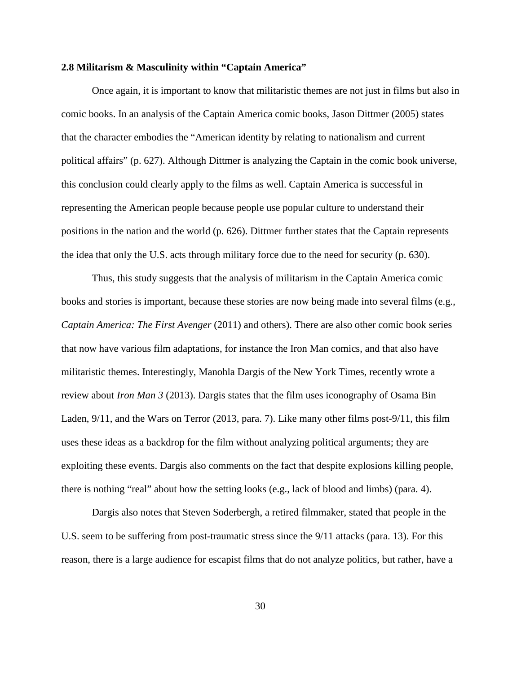#### **2.8 Militarism & Masculinity within "Captain America"**

Once again, it is important to know that militaristic themes are not just in films but also in comic books. In an analysis of the Captain America comic books, Jason Dittmer (2005) states that the character embodies the "American identity by relating to nationalism and current political affairs" (p. 627). Although Dittmer is analyzing the Captain in the comic book universe, this conclusion could clearly apply to the films as well. Captain America is successful in representing the American people because people use popular culture to understand their positions in the nation and the world (p. 626). Dittmer further states that the Captain represents the idea that only the U.S. acts through military force due to the need for security (p. 630).

Thus, this study suggests that the analysis of militarism in the Captain America comic books and stories is important, because these stories are now being made into several films (e.g., *Captain America: The First Avenger* (2011) and others). There are also other comic book series that now have various film adaptations, for instance the Iron Man comics, and that also have militaristic themes. Interestingly, Manohla Dargis of the New York Times, recently wrote a review about *Iron Man 3* (2013). Dargis states that the film uses iconography of Osama Bin Laden, 9/11, and the Wars on Terror (2013, para. 7). Like many other films post-9/11, this film uses these ideas as a backdrop for the film without analyzing political arguments; they are exploiting these events. Dargis also comments on the fact that despite explosions killing people, there is nothing "real" about how the setting looks (e.g., lack of blood and limbs) (para. 4).

Dargis also notes that Steven Soderbergh, a retired filmmaker, stated that people in the U.S. seem to be suffering from post-traumatic stress since the 9/11 attacks (para. 13). For this reason, there is a large audience for escapist films that do not analyze politics, but rather, have a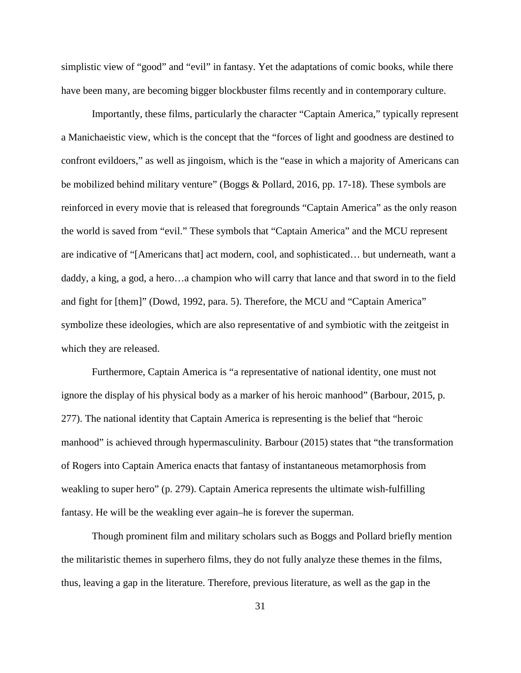simplistic view of "good" and "evil" in fantasy. Yet the adaptations of comic books, while there have been many, are becoming bigger blockbuster films recently and in contemporary culture.

Importantly, these films, particularly the character "Captain America," typically represent a Manichaeistic view, which is the concept that the "forces of light and goodness are destined to confront evildoers," as well as jingoism, which is the "ease in which a majority of Americans can be mobilized behind military venture" (Boggs & Pollard, 2016, pp. 17-18). These symbols are reinforced in every movie that is released that foregrounds "Captain America" as the only reason the world is saved from "evil." These symbols that "Captain America" and the MCU represent are indicative of "[Americans that] act modern, cool, and sophisticated… but underneath, want a daddy, a king, a god, a hero…a champion who will carry that lance and that sword in to the field and fight for [them]" (Dowd, 1992, para. 5). Therefore, the MCU and "Captain America" symbolize these ideologies, which are also representative of and symbiotic with the zeitgeist in which they are released.

Furthermore, Captain America is "a representative of national identity, one must not ignore the display of his physical body as a marker of his heroic manhood" (Barbour, 2015, p. 277). The national identity that Captain America is representing is the belief that "heroic manhood" is achieved through hypermasculinity. Barbour (2015) states that "the transformation of Rogers into Captain America enacts that fantasy of instantaneous metamorphosis from weakling to super hero" (p. 279). Captain America represents the ultimate wish-fulfilling fantasy. He will be the weakling ever again–he is forever the superman.

Though prominent film and military scholars such as Boggs and Pollard briefly mention the militaristic themes in superhero films, they do not fully analyze these themes in the films, thus, leaving a gap in the literature. Therefore, previous literature, as well as the gap in the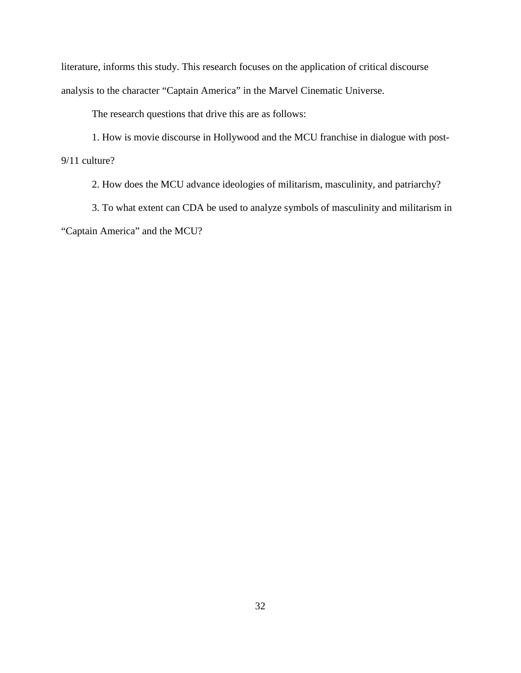literature, informs this study. This research focuses on the application of critical discourse analysis to the character "Captain America" in the Marvel Cinematic Universe.

The research questions that drive this are as follows:

1. How is movie discourse in Hollywood and the MCU franchise in dialogue with post-9/11 culture?

2. How does the MCU advance ideologies of militarism, masculinity, and patriarchy?

3. To what extent can CDA be used to analyze symbols of masculinity and militarism in "Captain America" and the MCU?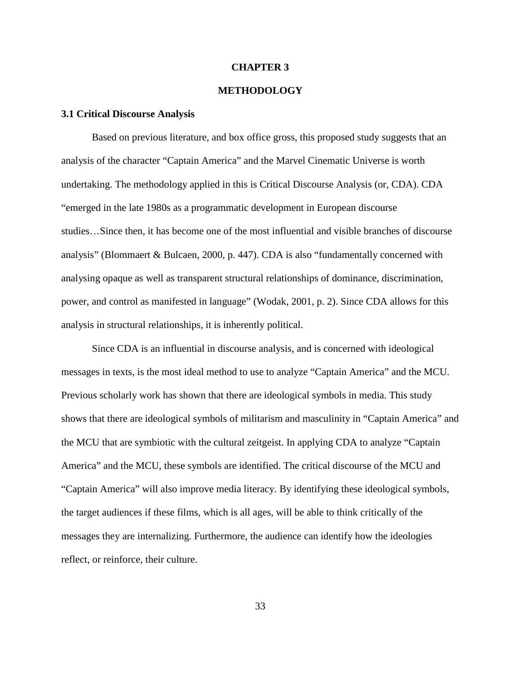#### **CHAPTER 3**

# **METHODOLOGY**

## **3.1 Critical Discourse Analysis**

Based on previous literature, and box office gross, this proposed study suggests that an analysis of the character "Captain America" and the Marvel Cinematic Universe is worth undertaking. The methodology applied in this is Critical Discourse Analysis (or, CDA). CDA "emerged in the late 1980s as a programmatic development in European discourse studies…Since then, it has become one of the most influential and visible branches of discourse analysis" (Blommaert & Bulcaen, 2000, p. 447). CDA is also "fundamentally concerned with analysing opaque as well as transparent structural relationships of dominance, discrimination, power, and control as manifested in language" (Wodak, 2001, p. 2). Since CDA allows for this analysis in structural relationships, it is inherently political.

Since CDA is an influential in discourse analysis, and is concerned with ideological messages in texts, is the most ideal method to use to analyze "Captain America" and the MCU. Previous scholarly work has shown that there are ideological symbols in media. This study shows that there are ideological symbols of militarism and masculinity in "Captain America" and the MCU that are symbiotic with the cultural zeitgeist. In applying CDA to analyze "Captain America" and the MCU, these symbols are identified. The critical discourse of the MCU and "Captain America" will also improve media literacy. By identifying these ideological symbols, the target audiences if these films, which is all ages, will be able to think critically of the messages they are internalizing. Furthermore, the audience can identify how the ideologies reflect, or reinforce, their culture.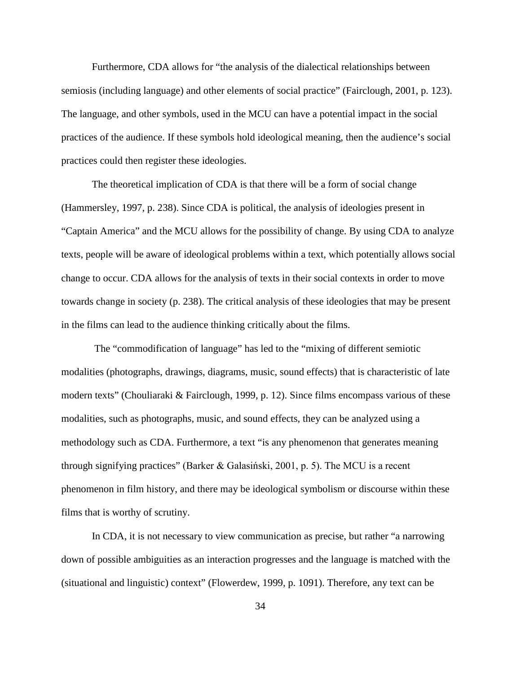Furthermore, CDA allows for "the analysis of the dialectical relationships between semiosis (including language) and other elements of social practice" (Fairclough, 2001, p. 123). The language, and other symbols, used in the MCU can have a potential impact in the social practices of the audience. If these symbols hold ideological meaning, then the audience's social practices could then register these ideologies.

The theoretical implication of CDA is that there will be a form of social change (Hammersley, 1997, p. 238). Since CDA is political, the analysis of ideologies present in "Captain America" and the MCU allows for the possibility of change. By using CDA to analyze texts, people will be aware of ideological problems within a text, which potentially allows social change to occur. CDA allows for the analysis of texts in their social contexts in order to move towards change in society (p. 238). The critical analysis of these ideologies that may be present in the films can lead to the audience thinking critically about the films.

The "commodification of language" has led to the "mixing of different semiotic modalities (photographs, drawings, diagrams, music, sound effects) that is characteristic of late modern texts" (Chouliaraki & Fairclough, 1999, p. 12). Since films encompass various of these modalities, such as photographs, music, and sound effects, they can be analyzed using a methodology such as CDA. Furthermore, a text "is any phenomenon that generates meaning through signifying practices" (Barker & Galasiński, 2001, p. 5). The MCU is a recent phenomenon in film history, and there may be ideological symbolism or discourse within these films that is worthy of scrutiny.

In CDA, it is not necessary to view communication as precise, but rather "a narrowing down of possible ambiguities as an interaction progresses and the language is matched with the (situational and linguistic) context" (Flowerdew, 1999, p. 1091). Therefore, any text can be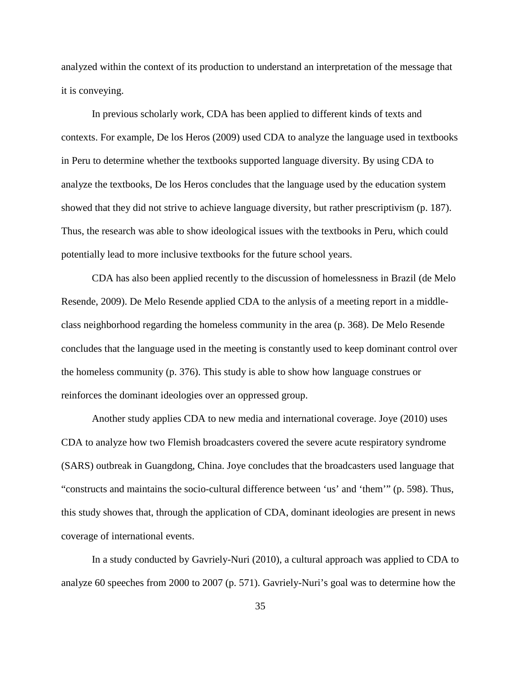analyzed within the context of its production to understand an interpretation of the message that it is conveying.

In previous scholarly work, CDA has been applied to different kinds of texts and contexts. For example, De los Heros (2009) used CDA to analyze the language used in textbooks in Peru to determine whether the textbooks supported language diversity. By using CDA to analyze the textbooks, De los Heros concludes that the language used by the education system showed that they did not strive to achieve language diversity, but rather prescriptivism (p. 187). Thus, the research was able to show ideological issues with the textbooks in Peru, which could potentially lead to more inclusive textbooks for the future school years.

CDA has also been applied recently to the discussion of homelessness in Brazil (de Melo Resende, 2009). De Melo Resende applied CDA to the anlysis of a meeting report in a middleclass neighborhood regarding the homeless community in the area (p. 368). De Melo Resende concludes that the language used in the meeting is constantly used to keep dominant control over the homeless community (p. 376). This study is able to show how language construes or reinforces the dominant ideologies over an oppressed group.

Another study applies CDA to new media and international coverage. Joye (2010) uses CDA to analyze how two Flemish broadcasters covered the severe acute respiratory syndrome (SARS) outbreak in Guangdong, China. Joye concludes that the broadcasters used language that "constructs and maintains the socio-cultural difference between 'us' and 'them'" (p. 598). Thus, this study showes that, through the application of CDA, dominant ideologies are present in news coverage of international events.

In a study conducted by Gavriely-Nuri (2010), a cultural approach was applied to CDA to analyze 60 speeches from 2000 to 2007 (p. 571). Gavriely-Nuri's goal was to determine how the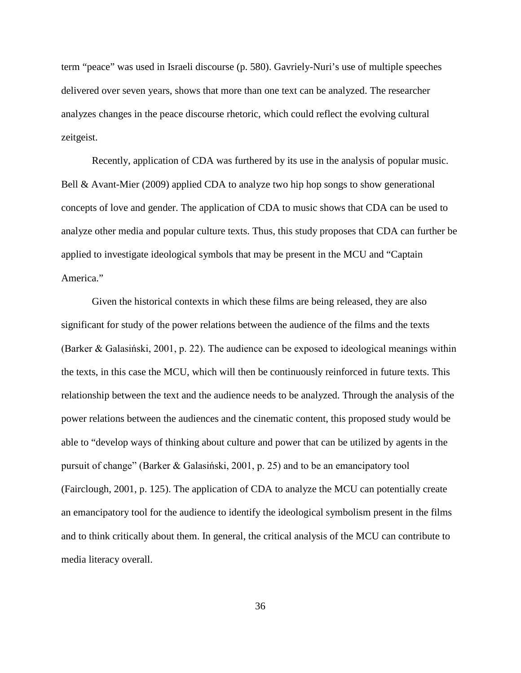term "peace" was used in Israeli discourse (p. 580). Gavriely-Nuri's use of multiple speeches delivered over seven years, shows that more than one text can be analyzed. The researcher analyzes changes in the peace discourse rhetoric, which could reflect the evolving cultural zeitgeist.

Recently, application of CDA was furthered by its use in the analysis of popular music. Bell & Avant-Mier (2009) applied CDA to analyze two hip hop songs to show generational concepts of love and gender. The application of CDA to music shows that CDA can be used to analyze other media and popular culture texts. Thus, this study proposes that CDA can further be applied to investigate ideological symbols that may be present in the MCU and "Captain America."

Given the historical contexts in which these films are being released, they are also significant for study of the power relations between the audience of the films and the texts (Barker & Galasiński, 2001, p. 22). The audience can be exposed to ideological meanings within the texts, in this case the MCU, which will then be continuously reinforced in future texts. This relationship between the text and the audience needs to be analyzed. Through the analysis of the power relations between the audiences and the cinematic content, this proposed study would be able to "develop ways of thinking about culture and power that can be utilized by agents in the pursuit of change" (Barker & Galasiński, 2001, p. 25) and to be an emancipatory tool (Fairclough, 2001, p. 125). The application of CDA to analyze the MCU can potentially create an emancipatory tool for the audience to identify the ideological symbolism present in the films and to think critically about them. In general, the critical analysis of the MCU can contribute to media literacy overall.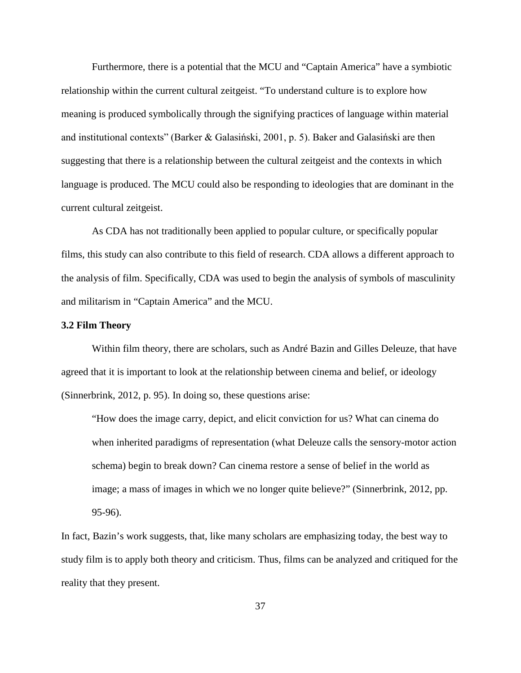Furthermore, there is a potential that the MCU and "Captain America" have a symbiotic relationship within the current cultural zeitgeist. "To understand culture is to explore how meaning is produced symbolically through the signifying practices of language within material and institutional contexts" (Barker & Galasiński, 2001, p. 5). Baker and Galasiński are then suggesting that there is a relationship between the cultural zeitgeist and the contexts in which language is produced. The MCU could also be responding to ideologies that are dominant in the current cultural zeitgeist.

As CDA has not traditionally been applied to popular culture, or specifically popular films, this study can also contribute to this field of research. CDA allows a different approach to the analysis of film. Specifically, CDA was used to begin the analysis of symbols of masculinity and militarism in "Captain America" and the MCU.

## **3.2 Film Theory**

Within film theory, there are scholars, such as André Bazin and Gilles Deleuze, that have agreed that it is important to look at the relationship between cinema and belief, or ideology (Sinnerbrink, 2012, p. 95). In doing so, these questions arise:

"How does the image carry, depict, and elicit conviction for us? What can cinema do when inherited paradigms of representation (what Deleuze calls the sensory-motor action schema) begin to break down? Can cinema restore a sense of belief in the world as image; a mass of images in which we no longer quite believe?" (Sinnerbrink, 2012, pp. 95-96).

In fact, Bazin's work suggests, that, like many scholars are emphasizing today, the best way to study film is to apply both theory and criticism. Thus, films can be analyzed and critiqued for the reality that they present.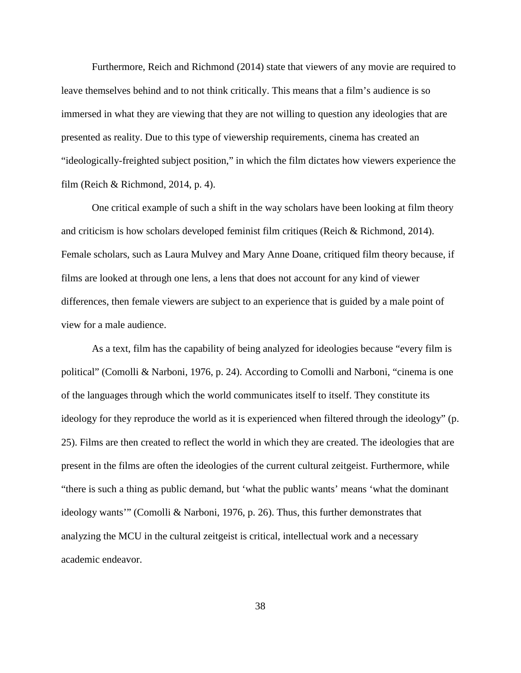Furthermore, Reich and Richmond (2014) state that viewers of any movie are required to leave themselves behind and to not think critically. This means that a film's audience is so immersed in what they are viewing that they are not willing to question any ideologies that are presented as reality. Due to this type of viewership requirements, cinema has created an "ideologically-freighted subject position," in which the film dictates how viewers experience the film (Reich & Richmond, 2014, p. 4).

One critical example of such a shift in the way scholars have been looking at film theory and criticism is how scholars developed feminist film critiques (Reich & Richmond, 2014). Female scholars, such as Laura Mulvey and Mary Anne Doane, critiqued film theory because, if films are looked at through one lens, a lens that does not account for any kind of viewer differences, then female viewers are subject to an experience that is guided by a male point of view for a male audience.

As a text, film has the capability of being analyzed for ideologies because "every film is political" (Comolli & Narboni, 1976, p. 24). According to Comolli and Narboni, "cinema is one of the languages through which the world communicates itself to itself. They constitute its ideology for they reproduce the world as it is experienced when filtered through the ideology" (p. 25). Films are then created to reflect the world in which they are created. The ideologies that are present in the films are often the ideologies of the current cultural zeitgeist. Furthermore, while "there is such a thing as public demand, but 'what the public wants' means 'what the dominant ideology wants'" (Comolli & Narboni, 1976, p. 26). Thus, this further demonstrates that analyzing the MCU in the cultural zeitgeist is critical, intellectual work and a necessary academic endeavor.

38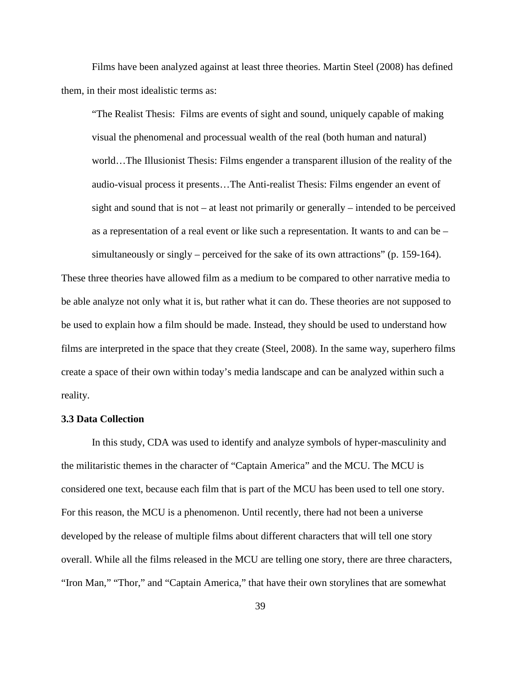Films have been analyzed against at least three theories. Martin Steel (2008) has defined them, in their most idealistic terms as:

"The Realist Thesis: Films are events of sight and sound, uniquely capable of making visual the phenomenal and processual wealth of the real (both human and natural) world…The Illusionist Thesis: Films engender a transparent illusion of the reality of the audio-visual process it presents…The Anti-realist Thesis: Films engender an event of sight and sound that is not – at least not primarily or generally – intended to be perceived as a representation of a real event or like such a representation. It wants to and can be –

simultaneously or singly – perceived for the sake of its own attractions" (p. 159-164). These three theories have allowed film as a medium to be compared to other narrative media to be able analyze not only what it is, but rather what it can do. These theories are not supposed to be used to explain how a film should be made. Instead, they should be used to understand how films are interpreted in the space that they create (Steel, 2008). In the same way, superhero films create a space of their own within today's media landscape and can be analyzed within such a reality.

## **3.3 Data Collection**

In this study, CDA was used to identify and analyze symbols of hyper-masculinity and the militaristic themes in the character of "Captain America" and the MCU. The MCU is considered one text, because each film that is part of the MCU has been used to tell one story. For this reason, the MCU is a phenomenon. Until recently, there had not been a universe developed by the release of multiple films about different characters that will tell one story overall. While all the films released in the MCU are telling one story, there are three characters, "Iron Man," "Thor," and "Captain America," that have their own storylines that are somewhat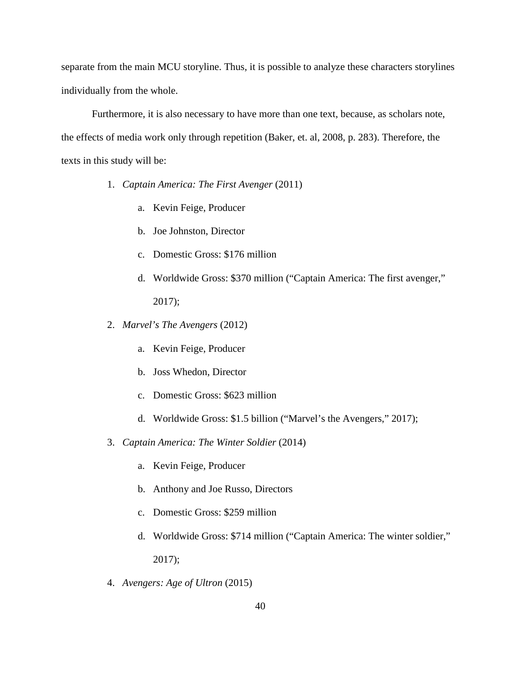separate from the main MCU storyline. Thus, it is possible to analyze these characters storylines individually from the whole.

Furthermore, it is also necessary to have more than one text, because, as scholars note, the effects of media work only through repetition (Baker, et. al, 2008, p. 283). Therefore, the texts in this study will be:

- 1. *Captain America: The First Avenger* (2011)
	- a. Kevin Feige, Producer
	- b. Joe Johnston, Director
	- c. Domestic Gross: \$176 million
	- d. Worldwide Gross: \$370 million ("Captain America: The first avenger," 2017);
- 2. *Marvel's The Avengers* (2012)
	- a. Kevin Feige, Producer
	- b. Joss Whedon, Director
	- c. Domestic Gross: \$623 million
	- d. Worldwide Gross: \$1.5 billion ("Marvel's the Avengers," 2017);
- 3. *Captain America: The Winter Soldier* (2014)
	- a. Kevin Feige, Producer
	- b. Anthony and Joe Russo, Directors
	- c. Domestic Gross: \$259 million
	- d. Worldwide Gross: \$714 million ("Captain America: The winter soldier," 2017);
- 4. *Avengers: Age of Ultron* (2015)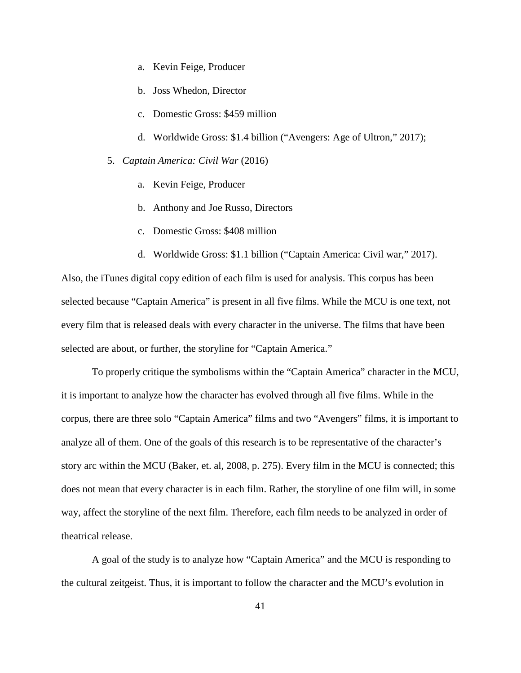- a. Kevin Feige, Producer
- b. Joss Whedon, Director
- c. Domestic Gross: \$459 million
- d. Worldwide Gross: \$1.4 billion ("Avengers: Age of Ultron," 2017);
- 5. *Captain America: Civil War* (2016)
	- a. Kevin Feige, Producer
	- b. Anthony and Joe Russo, Directors
	- c. Domestic Gross: \$408 million
	- d. Worldwide Gross: \$1.1 billion ("Captain America: Civil war," 2017).

Also, the iTunes digital copy edition of each film is used for analysis. This corpus has been selected because "Captain America" is present in all five films. While the MCU is one text, not every film that is released deals with every character in the universe. The films that have been selected are about, or further, the storyline for "Captain America."

To properly critique the symbolisms within the "Captain America" character in the MCU, it is important to analyze how the character has evolved through all five films. While in the corpus, there are three solo "Captain America" films and two "Avengers" films, it is important to analyze all of them. One of the goals of this research is to be representative of the character's story arc within the MCU (Baker, et. al, 2008, p. 275). Every film in the MCU is connected; this does not mean that every character is in each film. Rather, the storyline of one film will, in some way, affect the storyline of the next film. Therefore, each film needs to be analyzed in order of theatrical release.

A goal of the study is to analyze how "Captain America" and the MCU is responding to the cultural zeitgeist. Thus, it is important to follow the character and the MCU's evolution in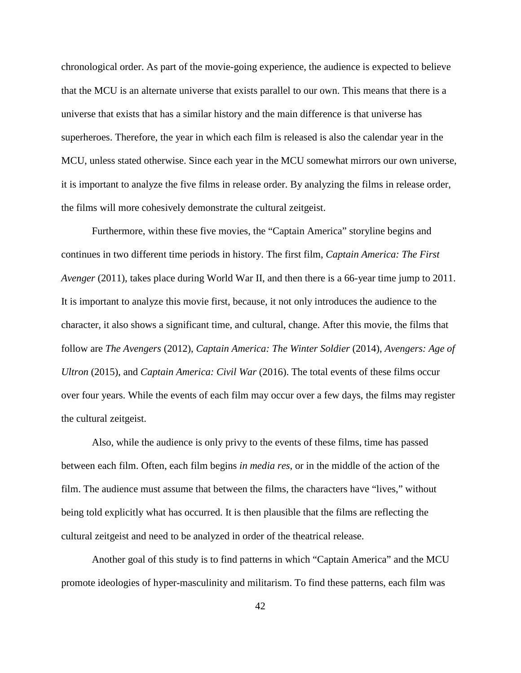chronological order. As part of the movie-going experience, the audience is expected to believe that the MCU is an alternate universe that exists parallel to our own. This means that there is a universe that exists that has a similar history and the main difference is that universe has superheroes. Therefore, the year in which each film is released is also the calendar year in the MCU, unless stated otherwise. Since each year in the MCU somewhat mirrors our own universe, it is important to analyze the five films in release order. By analyzing the films in release order, the films will more cohesively demonstrate the cultural zeitgeist.

Furthermore, within these five movies, the "Captain America" storyline begins and continues in two different time periods in history. The first film, *Captain America: The First Avenger* (2011), takes place during World War II, and then there is a 66-year time jump to 2011. It is important to analyze this movie first, because, it not only introduces the audience to the character, it also shows a significant time, and cultural, change. After this movie, the films that follow are *The Avengers* (2012), *Captain America: The Winter Soldier* (2014), *Avengers: Age of Ultron* (2015), and *Captain America: Civil War* (2016). The total events of these films occur over four years. While the events of each film may occur over a few days, the films may register the cultural zeitgeist.

Also, while the audience is only privy to the events of these films, time has passed between each film. Often, each film begins *in media res*, or in the middle of the action of the film. The audience must assume that between the films, the characters have "lives," without being told explicitly what has occurred. It is then plausible that the films are reflecting the cultural zeitgeist and need to be analyzed in order of the theatrical release.

Another goal of this study is to find patterns in which "Captain America" and the MCU promote ideologies of hyper-masculinity and militarism. To find these patterns, each film was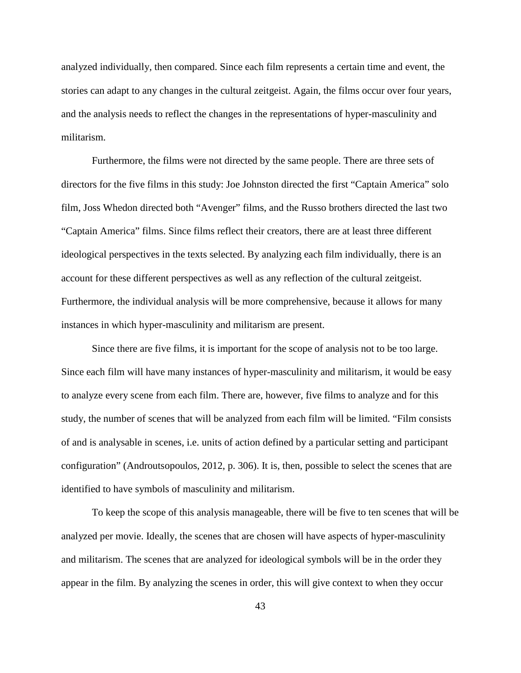analyzed individually, then compared. Since each film represents a certain time and event, the stories can adapt to any changes in the cultural zeitgeist. Again, the films occur over four years, and the analysis needs to reflect the changes in the representations of hyper-masculinity and militarism.

Furthermore, the films were not directed by the same people. There are three sets of directors for the five films in this study: Joe Johnston directed the first "Captain America" solo film, Joss Whedon directed both "Avenger" films, and the Russo brothers directed the last two "Captain America" films. Since films reflect their creators, there are at least three different ideological perspectives in the texts selected. By analyzing each film individually, there is an account for these different perspectives as well as any reflection of the cultural zeitgeist. Furthermore, the individual analysis will be more comprehensive, because it allows for many instances in which hyper-masculinity and militarism are present.

Since there are five films, it is important for the scope of analysis not to be too large. Since each film will have many instances of hyper-masculinity and militarism, it would be easy to analyze every scene from each film. There are, however, five films to analyze and for this study, the number of scenes that will be analyzed from each film will be limited. "Film consists of and is analysable in scenes, i.e. units of action defined by a particular setting and participant configuration" (Androutsopoulos, 2012, p. 306). It is, then, possible to select the scenes that are identified to have symbols of masculinity and militarism.

To keep the scope of this analysis manageable, there will be five to ten scenes that will be analyzed per movie. Ideally, the scenes that are chosen will have aspects of hyper-masculinity and militarism. The scenes that are analyzed for ideological symbols will be in the order they appear in the film. By analyzing the scenes in order, this will give context to when they occur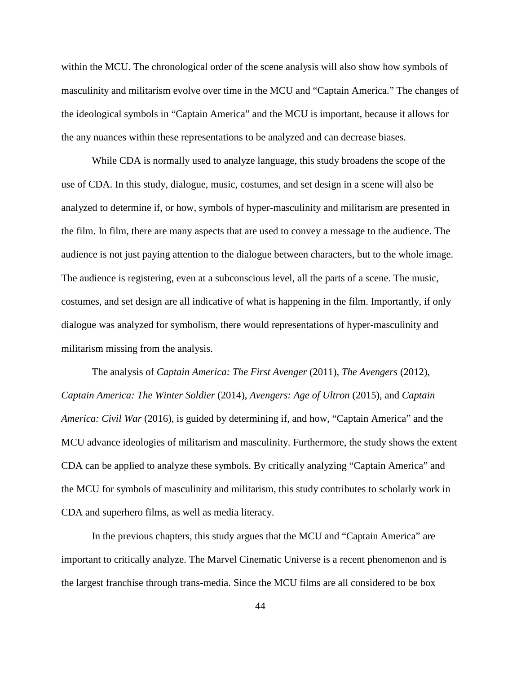within the MCU. The chronological order of the scene analysis will also show how symbols of masculinity and militarism evolve over time in the MCU and "Captain America." The changes of the ideological symbols in "Captain America" and the MCU is important, because it allows for the any nuances within these representations to be analyzed and can decrease biases.

While CDA is normally used to analyze language, this study broadens the scope of the use of CDA. In this study, dialogue, music, costumes, and set design in a scene will also be analyzed to determine if, or how, symbols of hyper-masculinity and militarism are presented in the film. In film, there are many aspects that are used to convey a message to the audience. The audience is not just paying attention to the dialogue between characters, but to the whole image. The audience is registering, even at a subconscious level, all the parts of a scene. The music, costumes, and set design are all indicative of what is happening in the film. Importantly, if only dialogue was analyzed for symbolism, there would representations of hyper-masculinity and militarism missing from the analysis.

The analysis of *Captain America: The First Avenger* (2011), *The Avengers* (2012), *Captain America: The Winter Soldier* (2014), *Avengers: Age of Ultron* (2015), and *Captain America: Civil War* (2016), is guided by determining if, and how, "Captain America" and the MCU advance ideologies of militarism and masculinity. Furthermore, the study shows the extent CDA can be applied to analyze these symbols. By critically analyzing "Captain America" and the MCU for symbols of masculinity and militarism, this study contributes to scholarly work in CDA and superhero films, as well as media literacy.

In the previous chapters, this study argues that the MCU and "Captain America" are important to critically analyze. The Marvel Cinematic Universe is a recent phenomenon and is the largest franchise through trans-media. Since the MCU films are all considered to be box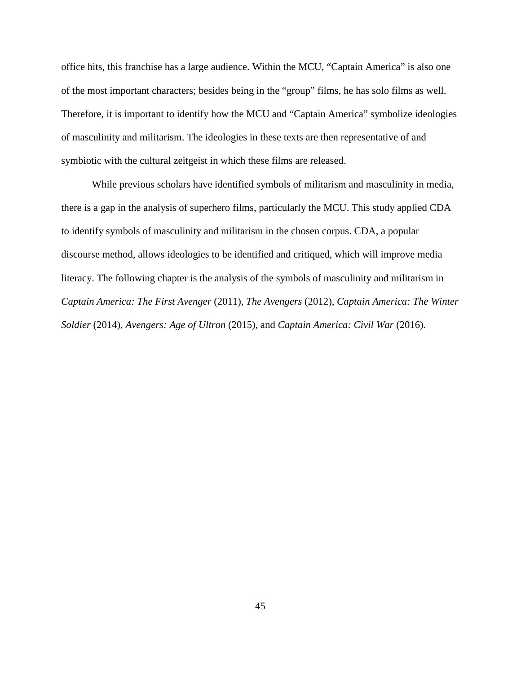office hits, this franchise has a large audience. Within the MCU, "Captain America" is also one of the most important characters; besides being in the "group" films, he has solo films as well. Therefore, it is important to identify how the MCU and "Captain America" symbolize ideologies of masculinity and militarism. The ideologies in these texts are then representative of and symbiotic with the cultural zeitgeist in which these films are released.

While previous scholars have identified symbols of militarism and masculinity in media, there is a gap in the analysis of superhero films, particularly the MCU. This study applied CDA to identify symbols of masculinity and militarism in the chosen corpus. CDA, a popular discourse method, allows ideologies to be identified and critiqued, which will improve media literacy. The following chapter is the analysis of the symbols of masculinity and militarism in *Captain America: The First Avenger* (2011), *The Avengers* (2012), *Captain America: The Winter Soldier* (2014), *Avengers: Age of Ultron* (2015), and *Captain America: Civil War* (2016).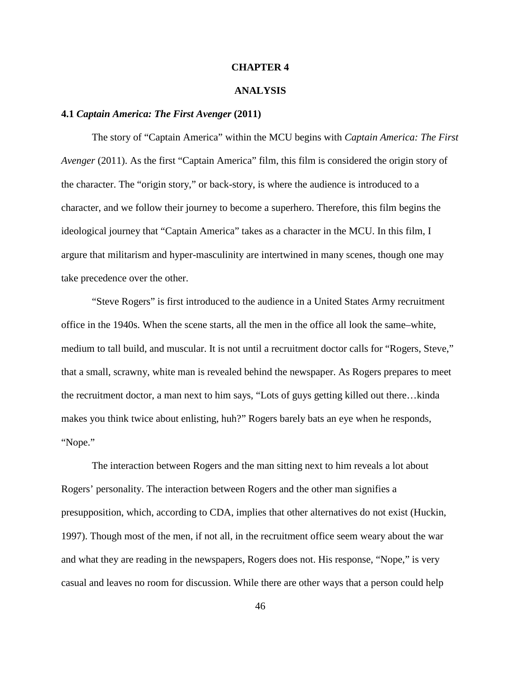#### **CHAPTER 4**

## **ANALYSIS**

## **4.1** *Captain America: The First Avenger* **(2011)**

The story of "Captain America" within the MCU begins with *Captain America: The First Avenger* (2011). As the first "Captain America" film, this film is considered the origin story of the character. The "origin story," or back-story, is where the audience is introduced to a character, and we follow their journey to become a superhero. Therefore, this film begins the ideological journey that "Captain America" takes as a character in the MCU. In this film, I argure that militarism and hyper-masculinity are intertwined in many scenes, though one may take precedence over the other.

"Steve Rogers" is first introduced to the audience in a United States Army recruitment office in the 1940s. When the scene starts, all the men in the office all look the same–white, medium to tall build, and muscular. It is not until a recruitment doctor calls for "Rogers, Steve," that a small, scrawny, white man is revealed behind the newspaper. As Rogers prepares to meet the recruitment doctor, a man next to him says, "Lots of guys getting killed out there…kinda makes you think twice about enlisting, huh?" Rogers barely bats an eye when he responds, "Nope."

The interaction between Rogers and the man sitting next to him reveals a lot about Rogers' personality. The interaction between Rogers and the other man signifies a presupposition, which, according to CDA, implies that other alternatives do not exist (Huckin, 1997). Though most of the men, if not all, in the recruitment office seem weary about the war and what they are reading in the newspapers, Rogers does not. His response, "Nope," is very casual and leaves no room for discussion. While there are other ways that a person could help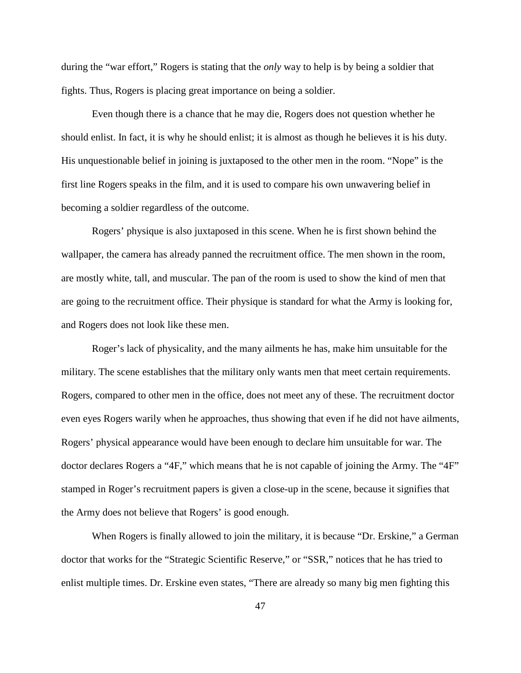during the "war effort," Rogers is stating that the *only* way to help is by being a soldier that fights. Thus, Rogers is placing great importance on being a soldier.

Even though there is a chance that he may die, Rogers does not question whether he should enlist. In fact, it is why he should enlist; it is almost as though he believes it is his duty. His unquestionable belief in joining is juxtaposed to the other men in the room. "Nope" is the first line Rogers speaks in the film, and it is used to compare his own unwavering belief in becoming a soldier regardless of the outcome.

Rogers' physique is also juxtaposed in this scene. When he is first shown behind the wallpaper, the camera has already panned the recruitment office. The men shown in the room, are mostly white, tall, and muscular. The pan of the room is used to show the kind of men that are going to the recruitment office. Their physique is standard for what the Army is looking for, and Rogers does not look like these men.

Roger's lack of physicality, and the many ailments he has, make him unsuitable for the military. The scene establishes that the military only wants men that meet certain requirements. Rogers, compared to other men in the office, does not meet any of these. The recruitment doctor even eyes Rogers warily when he approaches, thus showing that even if he did not have ailments, Rogers' physical appearance would have been enough to declare him unsuitable for war. The doctor declares Rogers a "4F," which means that he is not capable of joining the Army. The "4F" stamped in Roger's recruitment papers is given a close-up in the scene, because it signifies that the Army does not believe that Rogers' is good enough.

When Rogers is finally allowed to join the military, it is because "Dr. Erskine," a German doctor that works for the "Strategic Scientific Reserve," or "SSR," notices that he has tried to enlist multiple times. Dr. Erskine even states, "There are already so many big men fighting this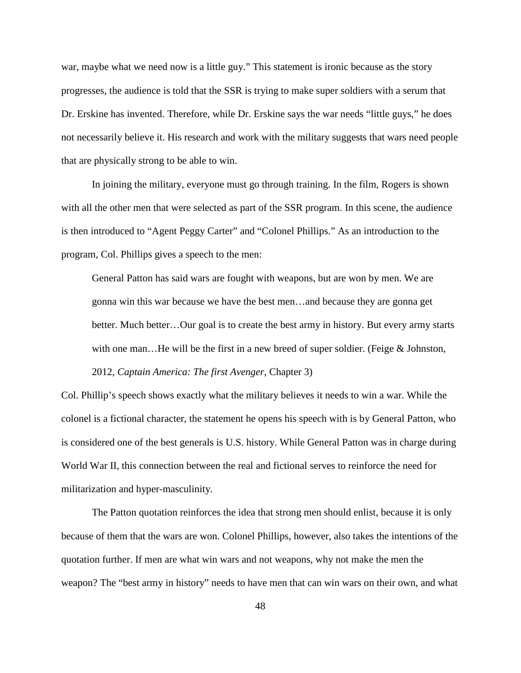war, maybe what we need now is a little guy." This statement is ironic because as the story progresses, the audience is told that the SSR is trying to make super soldiers with a serum that Dr. Erskine has invented. Therefore, while Dr. Erskine says the war needs "little guys," he does not necessarily believe it. His research and work with the military suggests that wars need people that are physically strong to be able to win.

In joining the military, everyone must go through training. In the film, Rogers is shown with all the other men that were selected as part of the SSR program. In this scene, the audience is then introduced to "Agent Peggy Carter" and "Colonel Phillips." As an introduction to the program, Col. Phillips gives a speech to the men:

General Patton has said wars are fought with weapons, but are won by men. We are gonna win this war because we have the best men…and because they are gonna get better. Much better…Our goal is to create the best army in history. But every army starts with one man...He will be the first in a new breed of super soldier. (Feige & Johnston,

2012, *Captain America: The first Avenger*, Chapter 3)

Col. Phillip's speech shows exactly what the military believes it needs to win a war. While the colonel is a fictional character, the statement he opens his speech with is by General Patton, who is considered one of the best generals is U.S. history. While General Patton was in charge during World War II, this connection between the real and fictional serves to reinforce the need for militarization and hyper-masculinity.

The Patton quotation reinforces the idea that strong men should enlist, because it is only because of them that the wars are won. Colonel Phillips, however, also takes the intentions of the quotation further. If men are what win wars and not weapons, why not make the men the weapon? The "best army in history" needs to have men that can win wars on their own, and what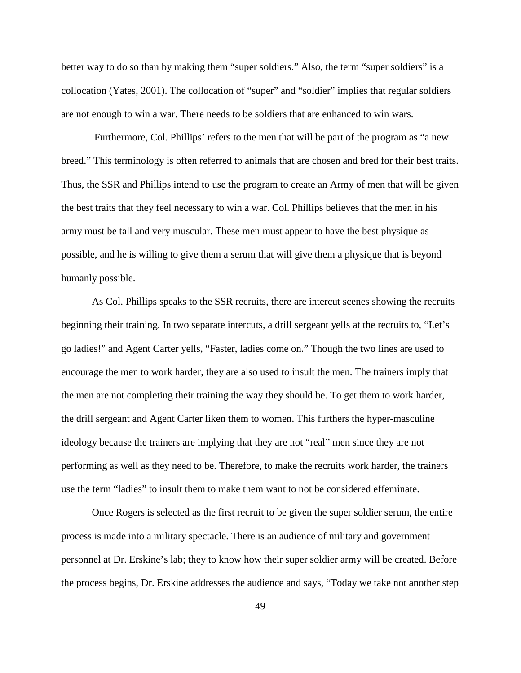better way to do so than by making them "super soldiers." Also, the term "super soldiers" is a collocation (Yates, 2001). The collocation of "super" and "soldier" implies that regular soldiers are not enough to win a war. There needs to be soldiers that are enhanced to win wars.

Furthermore, Col. Phillips' refers to the men that will be part of the program as "a new breed." This terminology is often referred to animals that are chosen and bred for their best traits. Thus, the SSR and Phillips intend to use the program to create an Army of men that will be given the best traits that they feel necessary to win a war. Col. Phillips believes that the men in his army must be tall and very muscular. These men must appear to have the best physique as possible, and he is willing to give them a serum that will give them a physique that is beyond humanly possible.

As Col. Phillips speaks to the SSR recruits, there are intercut scenes showing the recruits beginning their training. In two separate intercuts, a drill sergeant yells at the recruits to, "Let's go ladies!" and Agent Carter yells, "Faster, ladies come on." Though the two lines are used to encourage the men to work harder, they are also used to insult the men. The trainers imply that the men are not completing their training the way they should be. To get them to work harder, the drill sergeant and Agent Carter liken them to women. This furthers the hyper-masculine ideology because the trainers are implying that they are not "real" men since they are not performing as well as they need to be. Therefore, to make the recruits work harder, the trainers use the term "ladies" to insult them to make them want to not be considered effeminate.

Once Rogers is selected as the first recruit to be given the super soldier serum, the entire process is made into a military spectacle. There is an audience of military and government personnel at Dr. Erskine's lab; they to know how their super soldier army will be created. Before the process begins, Dr. Erskine addresses the audience and says, "Today we take not another step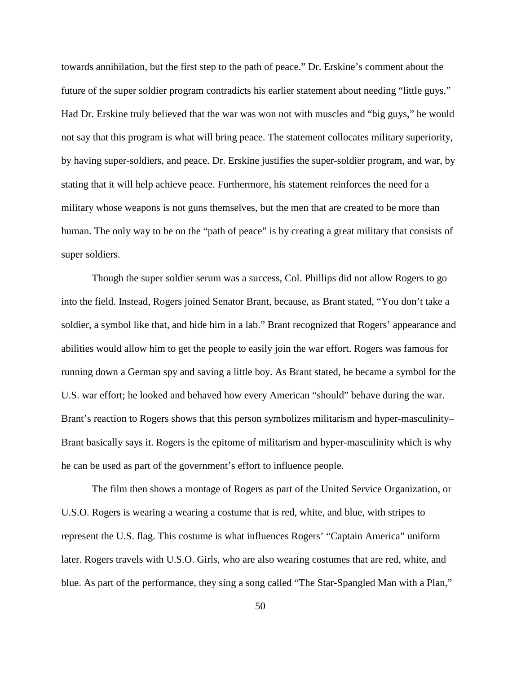towards annihilation, but the first step to the path of peace." Dr. Erskine's comment about the future of the super soldier program contradicts his earlier statement about needing "little guys." Had Dr. Erskine truly believed that the war was won not with muscles and "big guys," he would not say that this program is what will bring peace. The statement collocates military superiority, by having super-soldiers, and peace. Dr. Erskine justifies the super-soldier program, and war, by stating that it will help achieve peace. Furthermore, his statement reinforces the need for a military whose weapons is not guns themselves, but the men that are created to be more than human. The only way to be on the "path of peace" is by creating a great military that consists of super soldiers.

Though the super soldier serum was a success, Col. Phillips did not allow Rogers to go into the field. Instead, Rogers joined Senator Brant, because, as Brant stated, "You don't take a soldier, a symbol like that, and hide him in a lab." Brant recognized that Rogers' appearance and abilities would allow him to get the people to easily join the war effort. Rogers was famous for running down a German spy and saving a little boy. As Brant stated, he became a symbol for the U.S. war effort; he looked and behaved how every American "should" behave during the war. Brant's reaction to Rogers shows that this person symbolizes militarism and hyper-masculinity– Brant basically says it. Rogers is the epitome of militarism and hyper-masculinity which is why he can be used as part of the government's effort to influence people.

The film then shows a montage of Rogers as part of the United Service Organization, or U.S.O. Rogers is wearing a wearing a costume that is red, white, and blue, with stripes to represent the U.S. flag. This costume is what influences Rogers' "Captain America" uniform later. Rogers travels with U.S.O. Girls, who are also wearing costumes that are red, white, and blue. As part of the performance, they sing a song called "The Star-Spangled Man with a Plan,"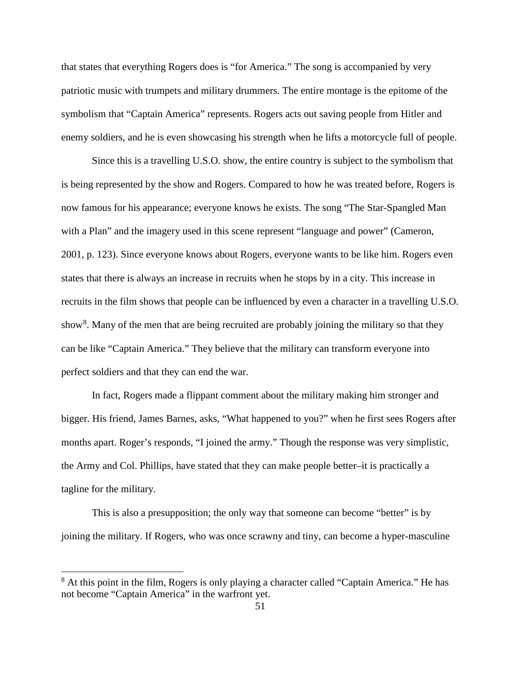that states that everything Rogers does is "for America." The song is accompanied by very patriotic music with trumpets and military drummers. The entire montage is the epitome of the symbolism that "Captain America" represents. Rogers acts out saving people from Hitler and enemy soldiers, and he is even showcasing his strength when he lifts a motorcycle full of people.

Since this is a travelling U.S.O. show, the entire country is subject to the symbolism that is being represented by the show and Rogers. Compared to how he was treated before, Rogers is now famous for his appearance; everyone knows he exists. The song "The Star-Spangled Man with a Plan" and the imagery used in this scene represent "language and power" (Cameron, 2001, p. 123). Since everyone knows about Rogers, everyone wants to be like him. Rogers even states that there is always an increase in recruits when he stops by in a city. This increase in recruits in the film shows that people can be influenced by even a character in a travelling U.S.O. show<sup>[8](#page-58-0)</sup>. Many of the men that are being recruited are probably joining the military so that they can be like "Captain America." They believe that the military can transform everyone into perfect soldiers and that they can end the war.

In fact, Rogers made a flippant comment about the military making him stronger and bigger. His friend, James Barnes, asks, "What happened to you?" when he first sees Rogers after months apart. Roger's responds, "I joined the army." Though the response was very simplistic, the Army and Col. Phillips, have stated that they can make people better–it is practically a tagline for the military.

This is also a presupposition; the only way that someone can become "better" is by joining the military. If Rogers, who was once scrawny and tiny, can become a hyper-masculine

<span id="page-58-0"></span><sup>&</sup>lt;sup>8</sup> At this point in the film, Rogers is only playing a character called "Captain America." He has not become "Captain America" in the warfront yet.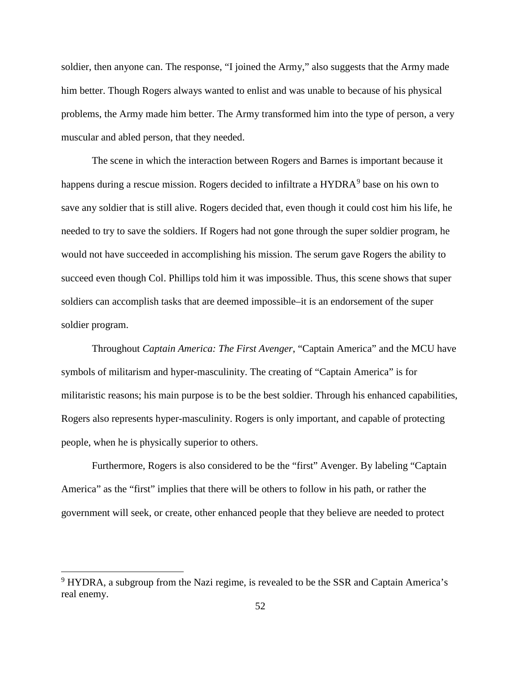soldier, then anyone can. The response, "I joined the Army," also suggests that the Army made him better. Though Rogers always wanted to enlist and was unable to because of his physical problems, the Army made him better. The Army transformed him into the type of person, a very muscular and abled person, that they needed.

The scene in which the interaction between Rogers and Barnes is important because it happens during a rescue mission. Rogers decided to infiltrate a HYDRA<sup>[9](#page-59-0)</sup> base on his own to save any soldier that is still alive. Rogers decided that, even though it could cost him his life, he needed to try to save the soldiers. If Rogers had not gone through the super soldier program, he would not have succeeded in accomplishing his mission. The serum gave Rogers the ability to succeed even though Col. Phillips told him it was impossible. Thus, this scene shows that super soldiers can accomplish tasks that are deemed impossible–it is an endorsement of the super soldier program.

Throughout *Captain America: The First Avenger*, "Captain America" and the MCU have symbols of militarism and hyper-masculinity. The creating of "Captain America" is for militaristic reasons; his main purpose is to be the best soldier. Through his enhanced capabilities, Rogers also represents hyper-masculinity. Rogers is only important, and capable of protecting people, when he is physically superior to others.

Furthermore, Rogers is also considered to be the "first" Avenger. By labeling "Captain America" as the "first" implies that there will be others to follow in his path, or rather the government will seek, or create, other enhanced people that they believe are needed to protect

<span id="page-59-0"></span> $9$  HYDRA, a subgroup from the Nazi regime, is revealed to be the SSR and Captain America's real enemy.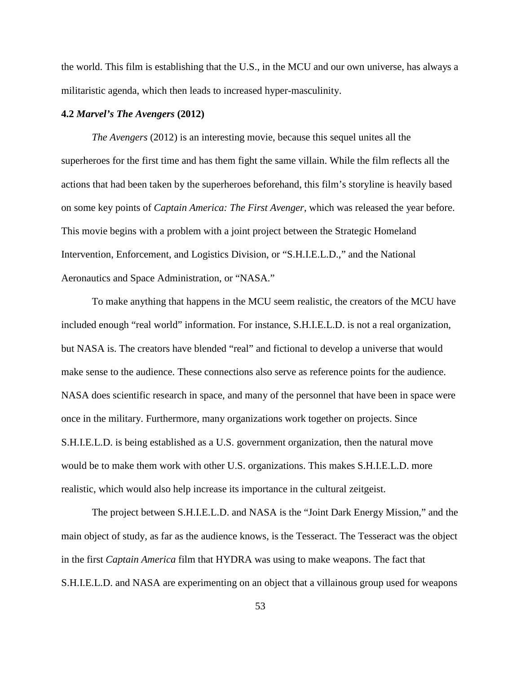the world. This film is establishing that the U.S., in the MCU and our own universe, has always a militaristic agenda, which then leads to increased hyper-masculinity.

#### **4.2** *Marvel's The Avengers* **(2012)**

*The Avengers* (2012) is an interesting movie, because this sequel unites all the superheroes for the first time and has them fight the same villain. While the film reflects all the actions that had been taken by the superheroes beforehand, this film's storyline is heavily based on some key points of *Captain America: The First Avenger*, which was released the year before. This movie begins with a problem with a joint project between the Strategic Homeland Intervention, Enforcement, and Logistics Division, or "S.H.I.E.L.D.," and the National Aeronautics and Space Administration, or "NASA."

To make anything that happens in the MCU seem realistic, the creators of the MCU have included enough "real world" information. For instance, S.H.I.E.L.D. is not a real organization, but NASA is. The creators have blended "real" and fictional to develop a universe that would make sense to the audience. These connections also serve as reference points for the audience. NASA does scientific research in space, and many of the personnel that have been in space were once in the military. Furthermore, many organizations work together on projects. Since S.H.I.E.L.D. is being established as a U.S. government organization, then the natural move would be to make them work with other U.S. organizations. This makes S.H.I.E.L.D. more realistic, which would also help increase its importance in the cultural zeitgeist.

The project between S.H.I.E.L.D. and NASA is the "Joint Dark Energy Mission," and the main object of study, as far as the audience knows, is the Tesseract. The Tesseract was the object in the first *Captain America* film that HYDRA was using to make weapons. The fact that S.H.I.E.L.D. and NASA are experimenting on an object that a villainous group used for weapons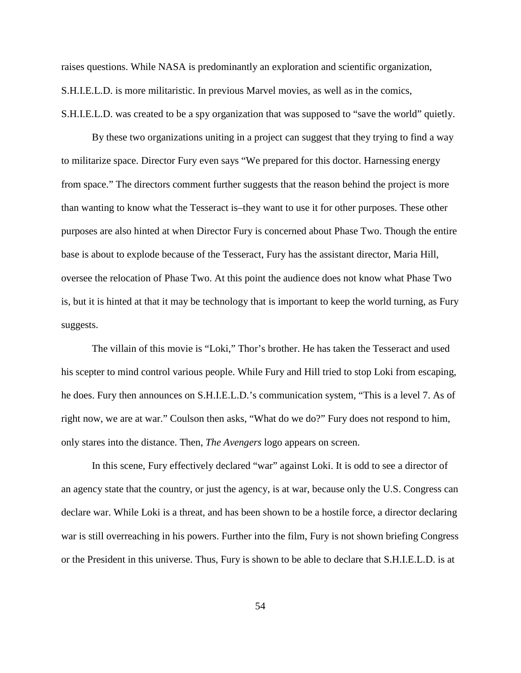raises questions. While NASA is predominantly an exploration and scientific organization, S.H.I.E.L.D. is more militaristic. In previous Marvel movies, as well as in the comics, S.H.I.E.L.D. was created to be a spy organization that was supposed to "save the world" quietly.

By these two organizations uniting in a project can suggest that they trying to find a way to militarize space. Director Fury even says "We prepared for this doctor. Harnessing energy from space." The directors comment further suggests that the reason behind the project is more than wanting to know what the Tesseract is–they want to use it for other purposes. These other purposes are also hinted at when Director Fury is concerned about Phase Two. Though the entire base is about to explode because of the Tesseract, Fury has the assistant director, Maria Hill, oversee the relocation of Phase Two. At this point the audience does not know what Phase Two is, but it is hinted at that it may be technology that is important to keep the world turning, as Fury suggests.

The villain of this movie is "Loki," Thor's brother. He has taken the Tesseract and used his scepter to mind control various people. While Fury and Hill tried to stop Loki from escaping, he does. Fury then announces on S.H.I.E.L.D.'s communication system, "This is a level 7. As of right now, we are at war." Coulson then asks, "What do we do?" Fury does not respond to him, only stares into the distance. Then, *The Avengers* logo appears on screen.

In this scene, Fury effectively declared "war" against Loki. It is odd to see a director of an agency state that the country, or just the agency, is at war, because only the U.S. Congress can declare war. While Loki is a threat, and has been shown to be a hostile force, a director declaring war is still overreaching in his powers. Further into the film, Fury is not shown briefing Congress or the President in this universe. Thus, Fury is shown to be able to declare that S.H.I.E.L.D. is at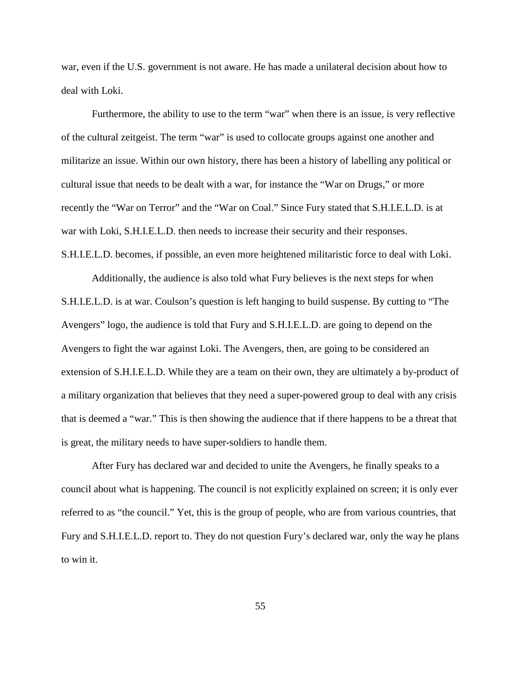war, even if the U.S. government is not aware. He has made a unilateral decision about how to deal with Loki.

Furthermore, the ability to use to the term "war" when there is an issue, is very reflective of the cultural zeitgeist. The term "war" is used to collocate groups against one another and militarize an issue. Within our own history, there has been a history of labelling any political or cultural issue that needs to be dealt with a war, for instance the "War on Drugs," or more recently the "War on Terror" and the "War on Coal." Since Fury stated that S.H.I.E.L.D. is at war with Loki, S.H.I.E.L.D. then needs to increase their security and their responses. S.H.I.E.L.D. becomes, if possible, an even more heightened militaristic force to deal with Loki.

Additionally, the audience is also told what Fury believes is the next steps for when S.H.I.E.L.D. is at war. Coulson's question is left hanging to build suspense. By cutting to "The Avengers" logo, the audience is told that Fury and S.H.I.E.L.D. are going to depend on the Avengers to fight the war against Loki. The Avengers, then, are going to be considered an extension of S.H.I.E.L.D. While they are a team on their own, they are ultimately a by-product of a military organization that believes that they need a super-powered group to deal with any crisis that is deemed a "war." This is then showing the audience that if there happens to be a threat that is great, the military needs to have super-soldiers to handle them.

After Fury has declared war and decided to unite the Avengers, he finally speaks to a council about what is happening. The council is not explicitly explained on screen; it is only ever referred to as "the council." Yet, this is the group of people, who are from various countries, that Fury and S.H.I.E.L.D. report to. They do not question Fury's declared war, only the way he plans to win it.

55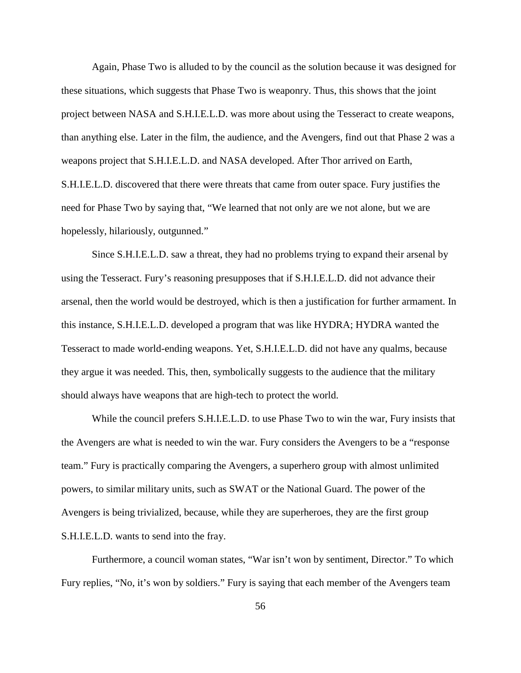Again, Phase Two is alluded to by the council as the solution because it was designed for these situations, which suggests that Phase Two is weaponry. Thus, this shows that the joint project between NASA and S.H.I.E.L.D. was more about using the Tesseract to create weapons, than anything else. Later in the film, the audience, and the Avengers, find out that Phase 2 was a weapons project that S.H.I.E.L.D. and NASA developed. After Thor arrived on Earth, S.H.I.E.L.D. discovered that there were threats that came from outer space. Fury justifies the need for Phase Two by saying that, "We learned that not only are we not alone, but we are hopelessly, hilariously, outgunned."

Since S.H.I.E.L.D. saw a threat, they had no problems trying to expand their arsenal by using the Tesseract. Fury's reasoning presupposes that if S.H.I.E.L.D. did not advance their arsenal, then the world would be destroyed, which is then a justification for further armament. In this instance, S.H.I.E.L.D. developed a program that was like HYDRA; HYDRA wanted the Tesseract to made world-ending weapons. Yet, S.H.I.E.L.D. did not have any qualms, because they argue it was needed. This, then, symbolically suggests to the audience that the military should always have weapons that are high-tech to protect the world.

While the council prefers S.H.I.E.L.D. to use Phase Two to win the war, Fury insists that the Avengers are what is needed to win the war. Fury considers the Avengers to be a "response team." Fury is practically comparing the Avengers, a superhero group with almost unlimited powers, to similar military units, such as SWAT or the National Guard. The power of the Avengers is being trivialized, because, while they are superheroes, they are the first group S.H.I.E.L.D. wants to send into the fray.

Furthermore, a council woman states, "War isn't won by sentiment, Director." To which Fury replies, "No, it's won by soldiers." Fury is saying that each member of the Avengers team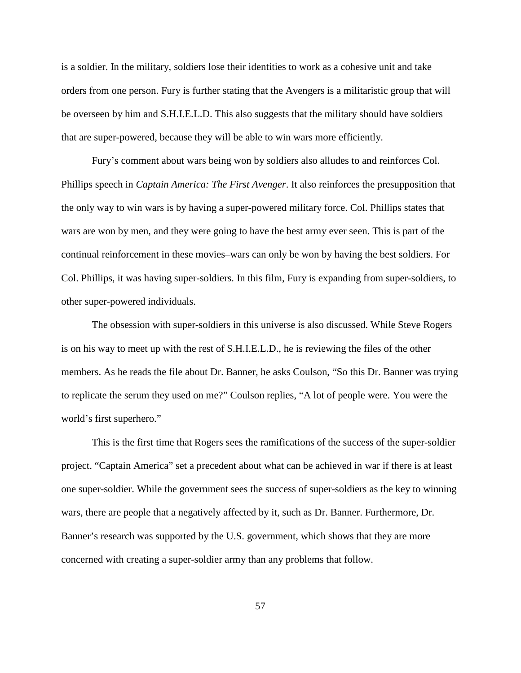is a soldier. In the military, soldiers lose their identities to work as a cohesive unit and take orders from one person. Fury is further stating that the Avengers is a militaristic group that will be overseen by him and S.H.I.E.L.D. This also suggests that the military should have soldiers that are super-powered, because they will be able to win wars more efficiently.

Fury's comment about wars being won by soldiers also alludes to and reinforces Col. Phillips speech in *Captain America: The First Avenger*. It also reinforces the presupposition that the only way to win wars is by having a super-powered military force. Col. Phillips states that wars are won by men, and they were going to have the best army ever seen. This is part of the continual reinforcement in these movies–wars can only be won by having the best soldiers. For Col. Phillips, it was having super-soldiers. In this film, Fury is expanding from super-soldiers, to other super-powered individuals.

The obsession with super-soldiers in this universe is also discussed. While Steve Rogers is on his way to meet up with the rest of S.H.I.E.L.D., he is reviewing the files of the other members. As he reads the file about Dr. Banner, he asks Coulson, "So this Dr. Banner was trying to replicate the serum they used on me?" Coulson replies, "A lot of people were. You were the world's first superhero."

This is the first time that Rogers sees the ramifications of the success of the super-soldier project. "Captain America" set a precedent about what can be achieved in war if there is at least one super-soldier. While the government sees the success of super-soldiers as the key to winning wars, there are people that a negatively affected by it, such as Dr. Banner. Furthermore, Dr. Banner's research was supported by the U.S. government, which shows that they are more concerned with creating a super-soldier army than any problems that follow.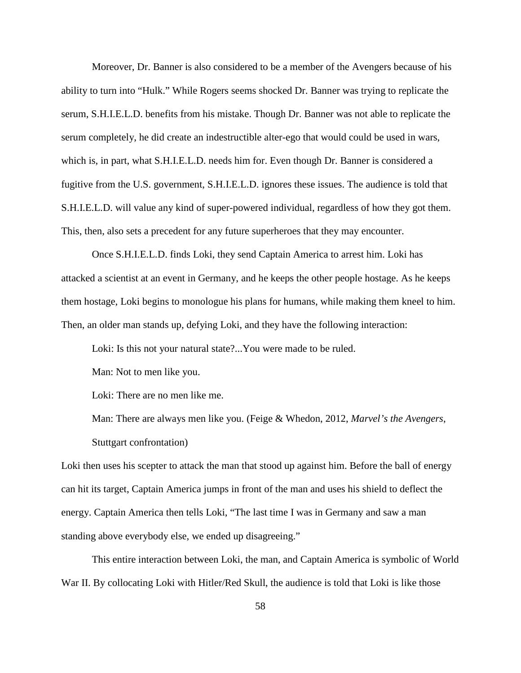Moreover, Dr. Banner is also considered to be a member of the Avengers because of his ability to turn into "Hulk." While Rogers seems shocked Dr. Banner was trying to replicate the serum, S.H.I.E.L.D. benefits from his mistake. Though Dr. Banner was not able to replicate the serum completely, he did create an indestructible alter-ego that would could be used in wars, which is, in part, what S.H.I.E.L.D. needs him for. Even though Dr. Banner is considered a fugitive from the U.S. government, S.H.I.E.L.D. ignores these issues. The audience is told that S.H.I.E.L.D. will value any kind of super-powered individual, regardless of how they got them. This, then, also sets a precedent for any future superheroes that they may encounter.

Once S.H.I.E.L.D. finds Loki, they send Captain America to arrest him. Loki has attacked a scientist at an event in Germany, and he keeps the other people hostage. As he keeps them hostage, Loki begins to monologue his plans for humans, while making them kneel to him. Then, an older man stands up, defying Loki, and they have the following interaction:

Loki: Is this not your natural state?...You were made to be ruled.

Man: Not to men like you.

Loki: There are no men like me.

Man: There are always men like you. (Feige & Whedon, 2012, *Marvel's the Avengers*, Stuttgart confrontation)

Loki then uses his scepter to attack the man that stood up against him. Before the ball of energy can hit its target, Captain America jumps in front of the man and uses his shield to deflect the energy. Captain America then tells Loki, "The last time I was in Germany and saw a man standing above everybody else, we ended up disagreeing."

This entire interaction between Loki, the man, and Captain America is symbolic of World War II. By collocating Loki with Hitler/Red Skull, the audience is told that Loki is like those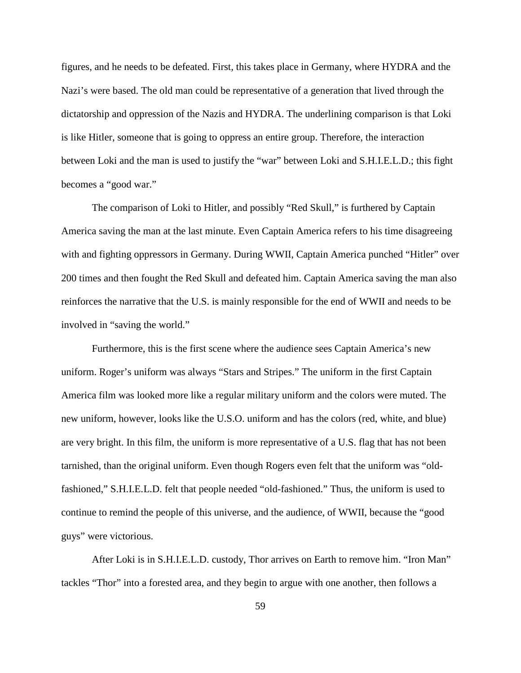figures, and he needs to be defeated. First, this takes place in Germany, where HYDRA and the Nazi's were based. The old man could be representative of a generation that lived through the dictatorship and oppression of the Nazis and HYDRA. The underlining comparison is that Loki is like Hitler, someone that is going to oppress an entire group. Therefore, the interaction between Loki and the man is used to justify the "war" between Loki and S.H.I.E.L.D.; this fight becomes a "good war."

The comparison of Loki to Hitler, and possibly "Red Skull," is furthered by Captain America saving the man at the last minute. Even Captain America refers to his time disagreeing with and fighting oppressors in Germany. During WWII, Captain America punched "Hitler" over 200 times and then fought the Red Skull and defeated him. Captain America saving the man also reinforces the narrative that the U.S. is mainly responsible for the end of WWII and needs to be involved in "saving the world."

Furthermore, this is the first scene where the audience sees Captain America's new uniform. Roger's uniform was always "Stars and Stripes." The uniform in the first Captain America film was looked more like a regular military uniform and the colors were muted. The new uniform, however, looks like the U.S.O. uniform and has the colors (red, white, and blue) are very bright. In this film, the uniform is more representative of a U.S. flag that has not been tarnished, than the original uniform. Even though Rogers even felt that the uniform was "oldfashioned," S.H.I.E.L.D. felt that people needed "old-fashioned." Thus, the uniform is used to continue to remind the people of this universe, and the audience, of WWII, because the "good guys" were victorious.

After Loki is in S.H.I.E.L.D. custody, Thor arrives on Earth to remove him. "Iron Man" tackles "Thor" into a forested area, and they begin to argue with one another, then follows a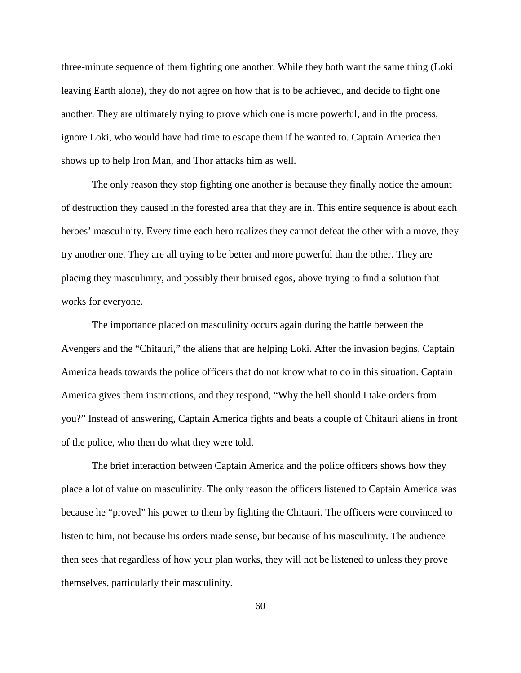three-minute sequence of them fighting one another. While they both want the same thing (Loki leaving Earth alone), they do not agree on how that is to be achieved, and decide to fight one another. They are ultimately trying to prove which one is more powerful, and in the process, ignore Loki, who would have had time to escape them if he wanted to. Captain America then shows up to help Iron Man, and Thor attacks him as well.

The only reason they stop fighting one another is because they finally notice the amount of destruction they caused in the forested area that they are in. This entire sequence is about each heroes' masculinity. Every time each hero realizes they cannot defeat the other with a move, they try another one. They are all trying to be better and more powerful than the other. They are placing they masculinity, and possibly their bruised egos, above trying to find a solution that works for everyone.

The importance placed on masculinity occurs again during the battle between the Avengers and the "Chitauri," the aliens that are helping Loki. After the invasion begins, Captain America heads towards the police officers that do not know what to do in this situation. Captain America gives them instructions, and they respond, "Why the hell should I take orders from you?" Instead of answering, Captain America fights and beats a couple of Chitauri aliens in front of the police, who then do what they were told.

The brief interaction between Captain America and the police officers shows how they place a lot of value on masculinity. The only reason the officers listened to Captain America was because he "proved" his power to them by fighting the Chitauri. The officers were convinced to listen to him, not because his orders made sense, but because of his masculinity. The audience then sees that regardless of how your plan works, they will not be listened to unless they prove themselves, particularly their masculinity.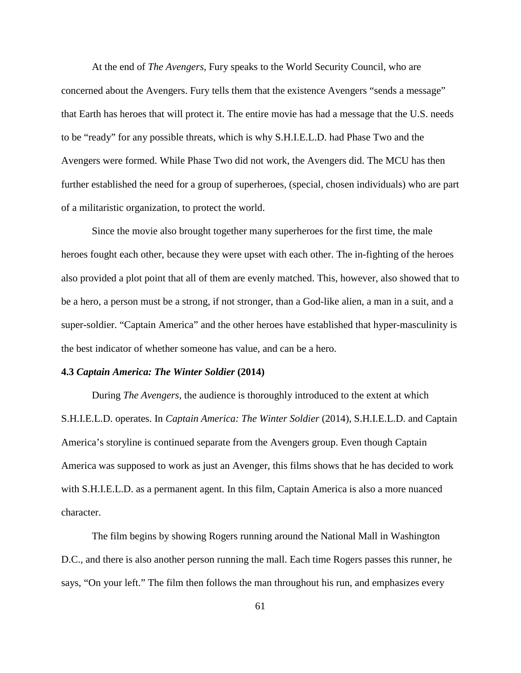At the end of *The Avengers*, Fury speaks to the World Security Council, who are concerned about the Avengers. Fury tells them that the existence Avengers "sends a message" that Earth has heroes that will protect it. The entire movie has had a message that the U.S. needs to be "ready" for any possible threats, which is why S.H.I.E.L.D. had Phase Two and the Avengers were formed. While Phase Two did not work, the Avengers did. The MCU has then further established the need for a group of superheroes, (special, chosen individuals) who are part of a militaristic organization, to protect the world.

Since the movie also brought together many superheroes for the first time, the male heroes fought each other, because they were upset with each other. The in-fighting of the heroes also provided a plot point that all of them are evenly matched. This, however, also showed that to be a hero, a person must be a strong, if not stronger, than a God-like alien, a man in a suit, and a super-soldier. "Captain America" and the other heroes have established that hyper-masculinity is the best indicator of whether someone has value, and can be a hero.

#### **4.3** *Captain America: The Winter Soldier* **(2014)**

During *The Avengers*, the audience is thoroughly introduced to the extent at which S.H.I.E.L.D. operates. In *Captain America: The Winter Soldier* (2014), S.H.I.E.L.D. and Captain America's storyline is continued separate from the Avengers group. Even though Captain America was supposed to work as just an Avenger, this films shows that he has decided to work with S.H.I.E.L.D. as a permanent agent. In this film, Captain America is also a more nuanced character.

The film begins by showing Rogers running around the National Mall in Washington D.C., and there is also another person running the mall. Each time Rogers passes this runner, he says, "On your left." The film then follows the man throughout his run, and emphasizes every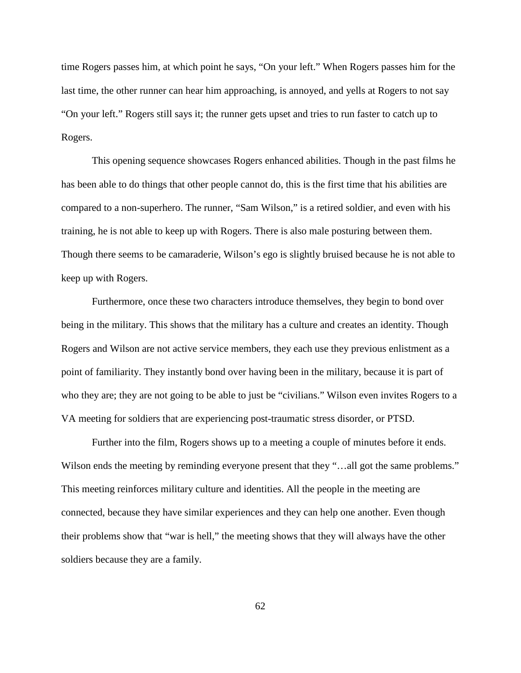time Rogers passes him, at which point he says, "On your left." When Rogers passes him for the last time, the other runner can hear him approaching, is annoyed, and yells at Rogers to not say "On your left." Rogers still says it; the runner gets upset and tries to run faster to catch up to Rogers.

This opening sequence showcases Rogers enhanced abilities. Though in the past films he has been able to do things that other people cannot do, this is the first time that his abilities are compared to a non-superhero. The runner, "Sam Wilson," is a retired soldier, and even with his training, he is not able to keep up with Rogers. There is also male posturing between them. Though there seems to be camaraderie, Wilson's ego is slightly bruised because he is not able to keep up with Rogers.

Furthermore, once these two characters introduce themselves, they begin to bond over being in the military. This shows that the military has a culture and creates an identity. Though Rogers and Wilson are not active service members, they each use they previous enlistment as a point of familiarity. They instantly bond over having been in the military, because it is part of who they are; they are not going to be able to just be "civilians." Wilson even invites Rogers to a VA meeting for soldiers that are experiencing post-traumatic stress disorder, or PTSD.

Further into the film, Rogers shows up to a meeting a couple of minutes before it ends. Wilson ends the meeting by reminding everyone present that they "...all got the same problems." This meeting reinforces military culture and identities. All the people in the meeting are connected, because they have similar experiences and they can help one another. Even though their problems show that "war is hell," the meeting shows that they will always have the other soldiers because they are a family.

62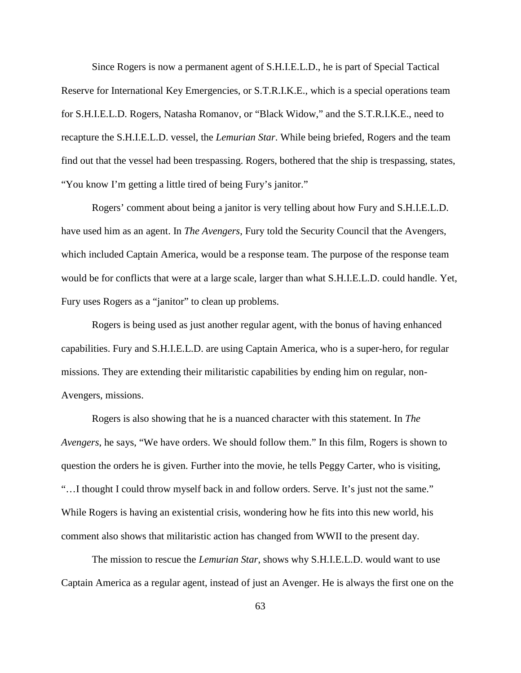Since Rogers is now a permanent agent of S.H.I.E.L.D., he is part of Special Tactical Reserve for International Key Emergencies, or S.T.R.I.K.E., which is a special operations team for S.H.I.E.L.D. Rogers, Natasha Romanov, or "Black Widow," and the S.T.R.I.K.E., need to recapture the S.H.I.E.L.D. vessel, the *Lemurian Star*. While being briefed, Rogers and the team find out that the vessel had been trespassing. Rogers, bothered that the ship is trespassing, states, "You know I'm getting a little tired of being Fury's janitor."

Rogers' comment about being a janitor is very telling about how Fury and S.H.I.E.L.D. have used him as an agent. In *The Avengers*, Fury told the Security Council that the Avengers, which included Captain America, would be a response team. The purpose of the response team would be for conflicts that were at a large scale, larger than what S.H.I.E.L.D. could handle. Yet, Fury uses Rogers as a "janitor" to clean up problems.

Rogers is being used as just another regular agent, with the bonus of having enhanced capabilities. Fury and S.H.I.E.L.D. are using Captain America, who is a super-hero, for regular missions. They are extending their militaristic capabilities by ending him on regular, non-Avengers, missions.

Rogers is also showing that he is a nuanced character with this statement. In *The Avengers*, he says, "We have orders. We should follow them." In this film, Rogers is shown to question the orders he is given. Further into the movie, he tells Peggy Carter, who is visiting, "…I thought I could throw myself back in and follow orders. Serve. It's just not the same." While Rogers is having an existential crisis, wondering how he fits into this new world, his comment also shows that militaristic action has changed from WWII to the present day.

The mission to rescue the *Lemurian Star*, shows why S.H.I.E.L.D. would want to use Captain America as a regular agent, instead of just an Avenger. He is always the first one on the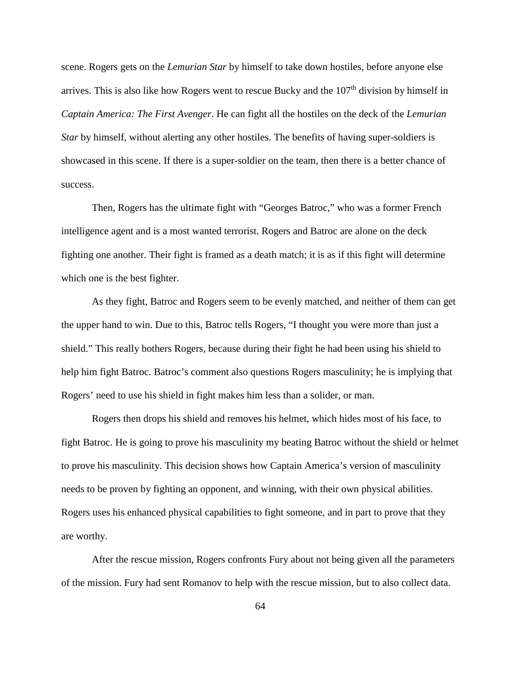scene. Rogers gets on the *Lemurian Star* by himself to take down hostiles, before anyone else arrives. This is also like how Rogers went to rescue Bucky and the  $107<sup>th</sup>$  division by himself in *Captain America: The First Avenger*. He can fight all the hostiles on the deck of the *Lemurian Star* by himself, without alerting any other hostiles. The benefits of having super-soldiers is showcased in this scene. If there is a super-soldier on the team, then there is a better chance of success.

Then, Rogers has the ultimate fight with "Georges Batroc," who was a former French intelligence agent and is a most wanted terrorist. Rogers and Batroc are alone on the deck fighting one another. Their fight is framed as a death match; it is as if this fight will determine which one is the best fighter.

As they fight, Batroc and Rogers seem to be evenly matched, and neither of them can get the upper hand to win. Due to this, Batroc tells Rogers, "I thought you were more than just a shield." This really bothers Rogers, because during their fight he had been using his shield to help him fight Batroc. Batroc's comment also questions Rogers masculinity; he is implying that Rogers' need to use his shield in fight makes him less than a solider, or man.

Rogers then drops his shield and removes his helmet, which hides most of his face, to fight Batroc. He is going to prove his masculinity my beating Batroc without the shield or helmet to prove his masculinity. This decision shows how Captain America's version of masculinity needs to be proven by fighting an opponent, and winning, with their own physical abilities. Rogers uses his enhanced physical capabilities to fight someone, and in part to prove that they are worthy.

After the rescue mission, Rogers confronts Fury about not being given all the parameters of the mission. Fury had sent Romanov to help with the rescue mission, but to also collect data.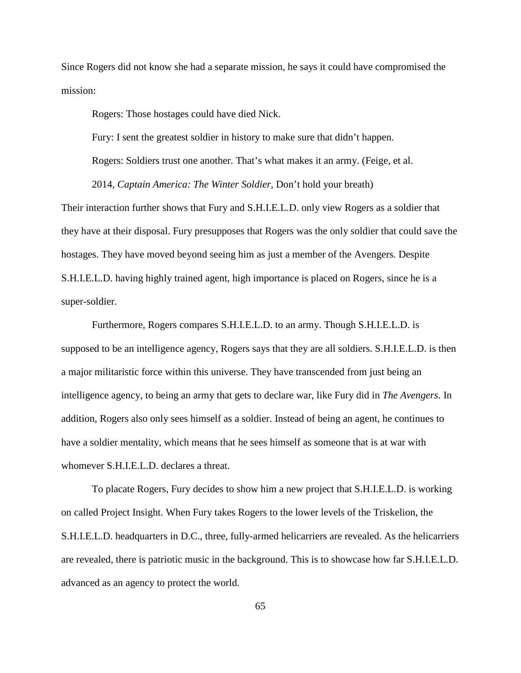Since Rogers did not know she had a separate mission, he says it could have compromised the mission:

Rogers: Those hostages could have died Nick.

Fury: I sent the greatest soldier in history to make sure that didn't happen.

Rogers: Soldiers trust one another. That's what makes it an army. (Feige, et al.

2014, *Captain America: The Winter Soldier*, Don't hold your breath)

Their interaction further shows that Fury and S.H.I.E.L.D. only view Rogers as a soldier that they have at their disposal. Fury presupposes that Rogers was the only soldier that could save the hostages. They have moved beyond seeing him as just a member of the Avengers. Despite S.H.I.E.L.D. having highly trained agent, high importance is placed on Rogers, since he is a super-soldier.

Furthermore, Rogers compares S.H.I.E.L.D. to an army. Though S.H.I.E.L.D. is supposed to be an intelligence agency, Rogers says that they are all soldiers. S.H.I.E.L.D. is then a major militaristic force within this universe. They have transcended from just being an intelligence agency, to being an army that gets to declare war, like Fury did in *The Avengers*. In addition, Rogers also only sees himself as a soldier. Instead of being an agent, he continues to have a soldier mentality, which means that he sees himself as someone that is at war with whomever S.H.I.E.L.D. declares a threat.

To placate Rogers, Fury decides to show him a new project that S.H.I.E.L.D. is working on called Project Insight. When Fury takes Rogers to the lower levels of the Triskelion, the S.H.I.E.L.D. headquarters in D.C., three, fully-armed helicarriers are revealed. As the helicarriers are revealed, there is patriotic music in the background. This is to showcase how far S.H.I.E.L.D. advanced as an agency to protect the world.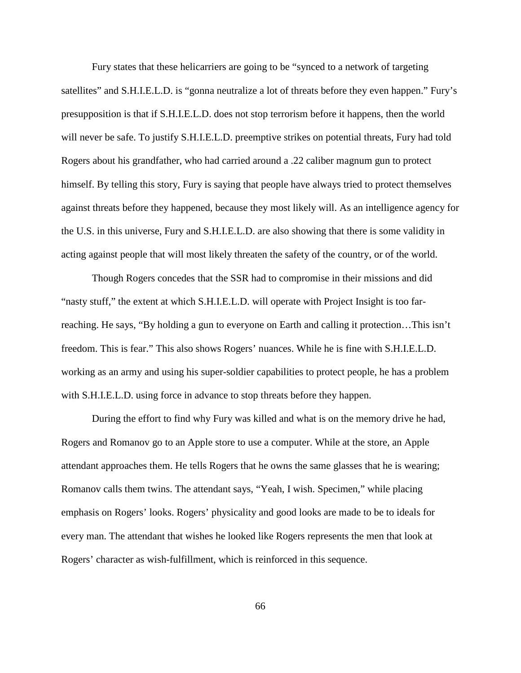Fury states that these helicarriers are going to be "synced to a network of targeting satellites" and S.H.I.E.L.D. is "gonna neutralize a lot of threats before they even happen." Fury's presupposition is that if S.H.I.E.L.D. does not stop terrorism before it happens, then the world will never be safe. To justify S.H.I.E.L.D. preemptive strikes on potential threats, Fury had told Rogers about his grandfather, who had carried around a .22 caliber magnum gun to protect himself. By telling this story, Fury is saying that people have always tried to protect themselves against threats before they happened, because they most likely will. As an intelligence agency for the U.S. in this universe, Fury and S.H.I.E.L.D. are also showing that there is some validity in acting against people that will most likely threaten the safety of the country, or of the world.

Though Rogers concedes that the SSR had to compromise in their missions and did "nasty stuff," the extent at which S.H.I.E.L.D. will operate with Project Insight is too farreaching. He says, "By holding a gun to everyone on Earth and calling it protection…This isn't freedom. This is fear." This also shows Rogers' nuances. While he is fine with S.H.I.E.L.D. working as an army and using his super-soldier capabilities to protect people, he has a problem with S.H.I.E.L.D. using force in advance to stop threats before they happen.

During the effort to find why Fury was killed and what is on the memory drive he had, Rogers and Romanov go to an Apple store to use a computer. While at the store, an Apple attendant approaches them. He tells Rogers that he owns the same glasses that he is wearing; Romanov calls them twins. The attendant says, "Yeah, I wish. Specimen," while placing emphasis on Rogers' looks. Rogers' physicality and good looks are made to be to ideals for every man. The attendant that wishes he looked like Rogers represents the men that look at Rogers' character as wish-fulfillment, which is reinforced in this sequence.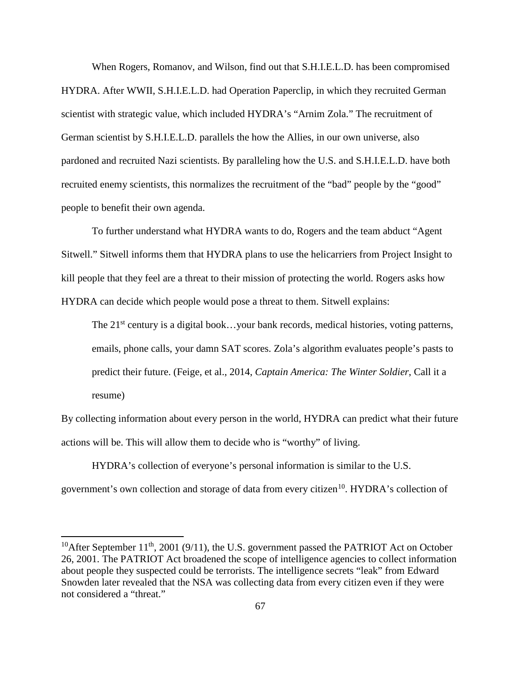When Rogers, Romanov, and Wilson, find out that S.H.I.E.L.D. has been compromised HYDRA. After WWII, S.H.I.E.L.D. had Operation Paperclip, in which they recruited German scientist with strategic value, which included HYDRA's "Arnim Zola." The recruitment of German scientist by S.H.I.E.L.D. parallels the how the Allies, in our own universe, also pardoned and recruited Nazi scientists. By paralleling how the U.S. and S.H.I.E.L.D. have both recruited enemy scientists, this normalizes the recruitment of the "bad" people by the "good" people to benefit their own agenda.

To further understand what HYDRA wants to do, Rogers and the team abduct "Agent Sitwell." Sitwell informs them that HYDRA plans to use the helicarriers from Project Insight to kill people that they feel are a threat to their mission of protecting the world. Rogers asks how HYDRA can decide which people would pose a threat to them. Sitwell explains:

The  $21<sup>st</sup>$  century is a digital book...your bank records, medical histories, voting patterns, emails, phone calls, your damn SAT scores. Zola's algorithm evaluates people's pasts to predict their future. (Feige, et al., 2014, *Captain America: The Winter Soldier*, Call it a resume)

By collecting information about every person in the world, HYDRA can predict what their future actions will be. This will allow them to decide who is "worthy" of living.

HYDRA's collection of everyone's personal information is similar to the U.S. government's own collection and storage of data from every citizen<sup>10</sup>. HYDRA's collection of

<span id="page-74-0"></span><sup>&</sup>lt;sup>10</sup>After September 11<sup>th</sup>, 2001 (9/11), the U.S. government passed the PATRIOT Act on October 26, 2001. The PATRIOT Act broadened the scope of intelligence agencies to collect information about people they suspected could be terrorists. The intelligence secrets "leak" from Edward Snowden later revealed that the NSA was collecting data from every citizen even if they were not considered a "threat."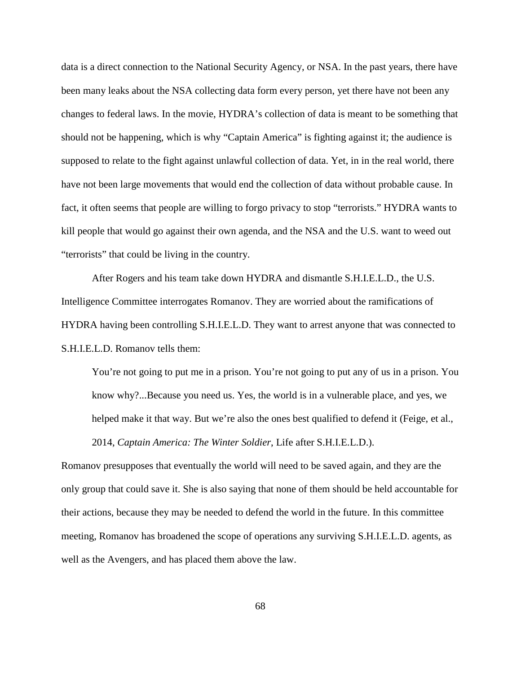data is a direct connection to the National Security Agency, or NSA. In the past years, there have been many leaks about the NSA collecting data form every person, yet there have not been any changes to federal laws. In the movie, HYDRA's collection of data is meant to be something that should not be happening, which is why "Captain America" is fighting against it; the audience is supposed to relate to the fight against unlawful collection of data. Yet, in in the real world, there have not been large movements that would end the collection of data without probable cause. In fact, it often seems that people are willing to forgo privacy to stop "terrorists." HYDRA wants to kill people that would go against their own agenda, and the NSA and the U.S. want to weed out "terrorists" that could be living in the country.

After Rogers and his team take down HYDRA and dismantle S.H.I.E.L.D., the U.S. Intelligence Committee interrogates Romanov. They are worried about the ramifications of HYDRA having been controlling S.H.I.E.L.D. They want to arrest anyone that was connected to S.H.I.E.L.D. Romanov tells them:

You're not going to put me in a prison. You're not going to put any of us in a prison. You know why?...Because you need us. Yes, the world is in a vulnerable place, and yes, we helped make it that way. But we're also the ones best qualified to defend it (Feige, et al., 2014, *Captain America: The Winter Soldier*, Life after S.H.I.E.L.D.).

Romanov presupposes that eventually the world will need to be saved again, and they are the only group that could save it. She is also saying that none of them should be held accountable for their actions, because they may be needed to defend the world in the future. In this committee meeting, Romanov has broadened the scope of operations any surviving S.H.I.E.L.D. agents, as well as the Avengers, and has placed them above the law.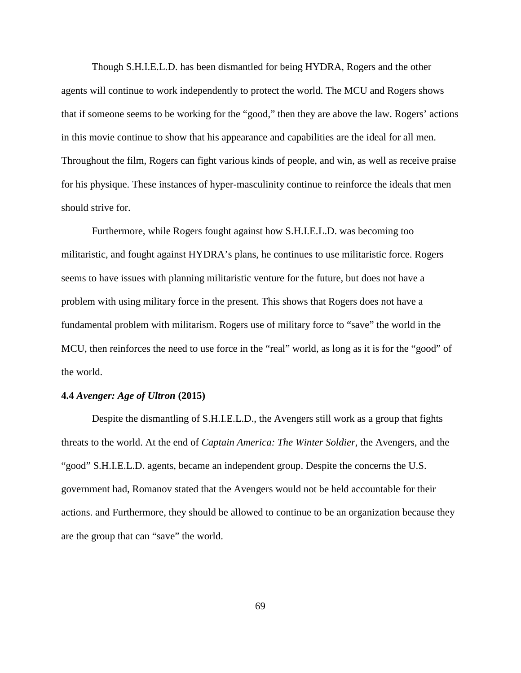Though S.H.I.E.L.D. has been dismantled for being HYDRA, Rogers and the other agents will continue to work independently to protect the world. The MCU and Rogers shows that if someone seems to be working for the "good," then they are above the law. Rogers' actions in this movie continue to show that his appearance and capabilities are the ideal for all men. Throughout the film, Rogers can fight various kinds of people, and win, as well as receive praise for his physique. These instances of hyper-masculinity continue to reinforce the ideals that men should strive for.

Furthermore, while Rogers fought against how S.H.I.E.L.D. was becoming too militaristic, and fought against HYDRA's plans, he continues to use militaristic force. Rogers seems to have issues with planning militaristic venture for the future, but does not have a problem with using military force in the present. This shows that Rogers does not have a fundamental problem with militarism. Rogers use of military force to "save" the world in the MCU, then reinforces the need to use force in the "real" world, as long as it is for the "good" of the world.

# **4.4** *Avenger: Age of Ultron* **(2015)**

Despite the dismantling of S.H.I.E.L.D., the Avengers still work as a group that fights threats to the world. At the end of *Captain America: The Winter Soldier*, the Avengers, and the "good" S.H.I.E.L.D. agents, became an independent group. Despite the concerns the U.S. government had, Romanov stated that the Avengers would not be held accountable for their actions. and Furthermore, they should be allowed to continue to be an organization because they are the group that can "save" the world.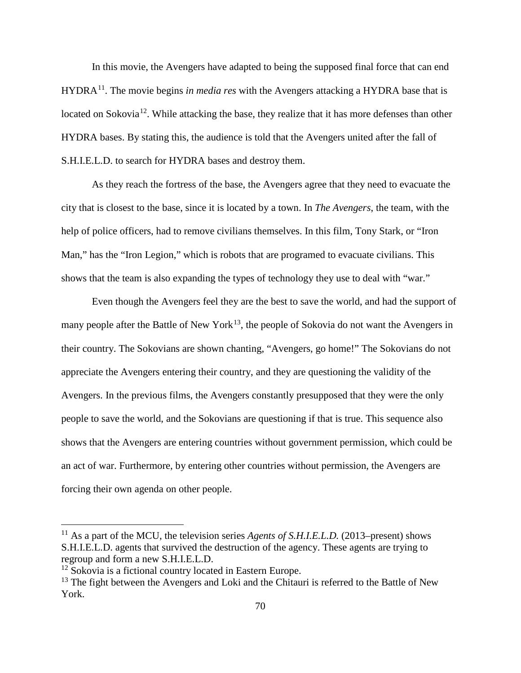In this movie, the Avengers have adapted to being the supposed final force that can end HYDRA<sup>[11](#page-77-0)</sup>. The movie begins *in media res* with the Avengers attacking a HYDRA base that is located on Sokovia<sup>12</sup>. While attacking the base, they realize that it has more defenses than other HYDRA bases. By stating this, the audience is told that the Avengers united after the fall of S.H.I.E.L.D. to search for HYDRA bases and destroy them.

As they reach the fortress of the base, the Avengers agree that they need to evacuate the city that is closest to the base, since it is located by a town. In *The Avengers*, the team, with the help of police officers, had to remove civilians themselves. In this film, Tony Stark, or "Iron Man," has the "Iron Legion," which is robots that are programed to evacuate civilians. This shows that the team is also expanding the types of technology they use to deal with "war."

Even though the Avengers feel they are the best to save the world, and had the support of many people after the Battle of New York<sup>13</sup>, the people of Sokovia do not want the Avengers in their country. The Sokovians are shown chanting, "Avengers, go home!" The Sokovians do not appreciate the Avengers entering their country, and they are questioning the validity of the Avengers. In the previous films, the Avengers constantly presupposed that they were the only people to save the world, and the Sokovians are questioning if that is true. This sequence also shows that the Avengers are entering countries without government permission, which could be an act of war. Furthermore, by entering other countries without permission, the Avengers are forcing their own agenda on other people.

<span id="page-77-0"></span><sup>&</sup>lt;sup>11</sup> As a part of the MCU, the television series *Agents of S.H.I.E.L.D.* (2013–present) shows S.H.I.E.L.D. agents that survived the destruction of the agency. These agents are trying to regroup and form a new S.H.I.E.L.D.

<span id="page-77-1"></span><sup>&</sup>lt;sup>12</sup> Sokovia is a fictional country located in Eastern Europe.

<span id="page-77-2"></span> $13$  The fight between the Avengers and Loki and the Chitauri is referred to the Battle of New York.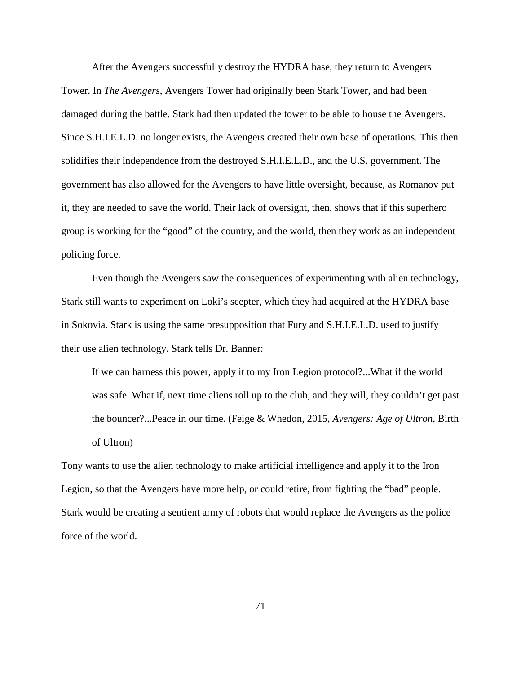After the Avengers successfully destroy the HYDRA base, they return to Avengers Tower. In *The Avengers*, Avengers Tower had originally been Stark Tower, and had been damaged during the battle. Stark had then updated the tower to be able to house the Avengers. Since S.H.I.E.L.D. no longer exists, the Avengers created their own base of operations. This then solidifies their independence from the destroyed S.H.I.E.L.D., and the U.S. government. The government has also allowed for the Avengers to have little oversight, because, as Romanov put it, they are needed to save the world. Their lack of oversight, then, shows that if this superhero group is working for the "good" of the country, and the world, then they work as an independent policing force.

Even though the Avengers saw the consequences of experimenting with alien technology, Stark still wants to experiment on Loki's scepter, which they had acquired at the HYDRA base in Sokovia. Stark is using the same presupposition that Fury and S.H.I.E.L.D. used to justify their use alien technology. Stark tells Dr. Banner:

If we can harness this power, apply it to my Iron Legion protocol?...What if the world was safe. What if, next time aliens roll up to the club, and they will, they couldn't get past the bouncer?...Peace in our time. (Feige & Whedon, 2015, *Avengers: Age of Ultron*, Birth of Ultron)

Tony wants to use the alien technology to make artificial intelligence and apply it to the Iron Legion, so that the Avengers have more help, or could retire, from fighting the "bad" people. Stark would be creating a sentient army of robots that would replace the Avengers as the police force of the world.

71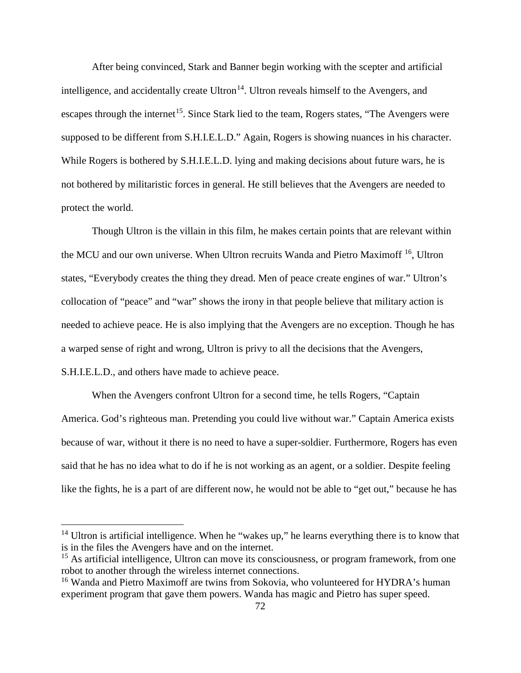After being convinced, Stark and Banner begin working with the scepter and artificial intelligence, and accidentally create Ultron<sup>14</sup>. Ultron reveals himself to the Avengers, and escapes through the internet<sup>15</sup>. Since Stark lied to the team, Rogers states, "The Avengers were supposed to be different from S.H.I.E.L.D." Again, Rogers is showing nuances in his character. While Rogers is bothered by S.H.I.E.L.D. lying and making decisions about future wars, he is not bothered by militaristic forces in general. He still believes that the Avengers are needed to protect the world.

Though Ultron is the villain in this film, he makes certain points that are relevant within the MCU and our own universe. When Ultron recruits Wanda and Pietro Maximoff <sup>16</sup>, Ultron states, "Everybody creates the thing they dread. Men of peace create engines of war." Ultron's collocation of "peace" and "war" shows the irony in that people believe that military action is needed to achieve peace. He is also implying that the Avengers are no exception. Though he has a warped sense of right and wrong, Ultron is privy to all the decisions that the Avengers, S.H.I.E.L.D., and others have made to achieve peace.

When the Avengers confront Ultron for a second time, he tells Rogers, "Captain America. God's righteous man. Pretending you could live without war." Captain America exists because of war, without it there is no need to have a super-soldier. Furthermore, Rogers has even said that he has no idea what to do if he is not working as an agent, or a soldier. Despite feeling like the fights, he is a part of are different now, he would not be able to "get out," because he has

<span id="page-79-0"></span> $14$  Ultron is artificial intelligence. When he "wakes up," he learns everything there is to know that is in the files the Avengers have and on the internet.

<span id="page-79-1"></span><sup>&</sup>lt;sup>15</sup> As artificial intelligence, Ultron can move its consciousness, or program framework, from one robot to another through the wireless internet connections.

<span id="page-79-2"></span><sup>&</sup>lt;sup>16</sup> Wanda and Pietro Maximoff are twins from Sokovia, who volunteered for HYDRA's human experiment program that gave them powers. Wanda has magic and Pietro has super speed.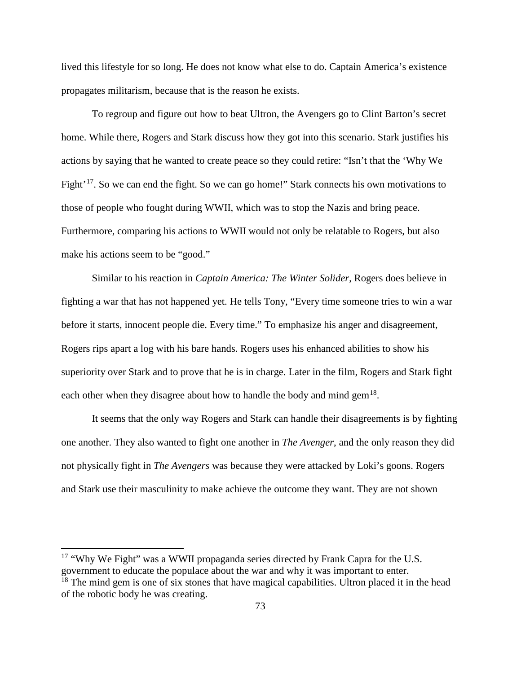lived this lifestyle for so long. He does not know what else to do. Captain America's existence propagates militarism, because that is the reason he exists.

To regroup and figure out how to beat Ultron, the Avengers go to Clint Barton's secret home. While there, Rogers and Stark discuss how they got into this scenario. Stark justifies his actions by saying that he wanted to create peace so they could retire: "Isn't that the 'Why We Fight<sup>'[17](#page-80-0)</sup>. So we can end the fight. So we can go home!" Stark connects his own motivations to those of people who fought during WWII, which was to stop the Nazis and bring peace. Furthermore, comparing his actions to WWII would not only be relatable to Rogers, but also make his actions seem to be "good."

Similar to his reaction in *Captain America: The Winter Solider*, Rogers does believe in fighting a war that has not happened yet. He tells Tony, "Every time someone tries to win a war before it starts, innocent people die. Every time." To emphasize his anger and disagreement, Rogers rips apart a log with his bare hands. Rogers uses his enhanced abilities to show his superiority over Stark and to prove that he is in charge. Later in the film, Rogers and Stark fight each other when they disagree about how to handle the body and mind gem<sup>18</sup>.

It seems that the only way Rogers and Stark can handle their disagreements is by fighting one another. They also wanted to fight one another in *The Avenger*, and the only reason they did not physically fight in *The Avengers* was because they were attacked by Loki's goons. Rogers and Stark use their masculinity to make achieve the outcome they want. They are not shown

<span id="page-80-0"></span><sup>&</sup>lt;sup>17</sup> "Why We Fight" was a WWII propaganda series directed by Frank Capra for the U.S. government to educate the populace about the war and why it was important to enter.

<span id="page-80-1"></span> $18$  The mind gem is one of six stones that have magical capabilities. Ultron placed it in the head of the robotic body he was creating.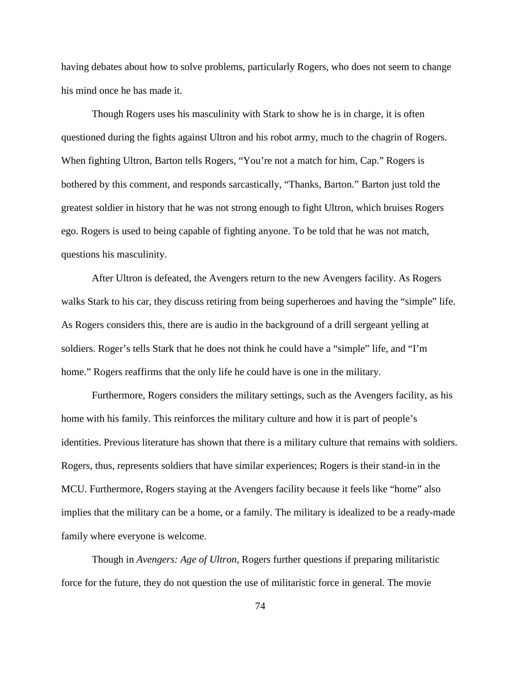having debates about how to solve problems, particularly Rogers, who does not seem to change his mind once he has made it.

Though Rogers uses his masculinity with Stark to show he is in charge, it is often questioned during the fights against Ultron and his robot army, much to the chagrin of Rogers. When fighting Ultron, Barton tells Rogers, "You're not a match for him, Cap." Rogers is bothered by this comment, and responds sarcastically, "Thanks, Barton." Barton just told the greatest soldier in history that he was not strong enough to fight Ultron, which bruises Rogers ego. Rogers is used to being capable of fighting anyone. To be told that he was not match, questions his masculinity.

After Ultron is defeated, the Avengers return to the new Avengers facility. As Rogers walks Stark to his car, they discuss retiring from being superheroes and having the "simple" life. As Rogers considers this, there are is audio in the background of a drill sergeant yelling at soldiers. Roger's tells Stark that he does not think he could have a "simple" life, and "I'm home." Rogers reaffirms that the only life he could have is one in the military.

Furthermore, Rogers considers the military settings, such as the Avengers facility, as his home with his family. This reinforces the military culture and how it is part of people's identities. Previous literature has shown that there is a military culture that remains with soldiers. Rogers, thus, represents soldiers that have similar experiences; Rogers is their stand-in in the MCU. Furthermore, Rogers staying at the Avengers facility because it feels like "home" also implies that the military can be a home, or a family. The military is idealized to be a ready-made family where everyone is welcome.

Though in *Avengers: Age of Ultron*, Rogers further questions if preparing militaristic force for the future, they do not question the use of militaristic force in general. The movie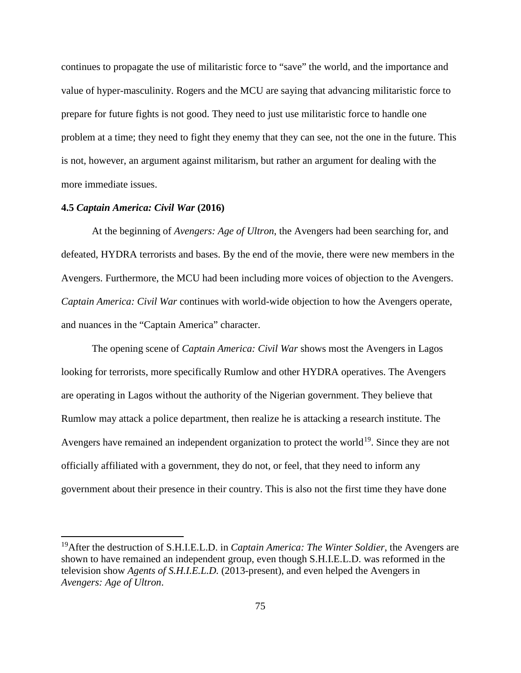continues to propagate the use of militaristic force to "save" the world, and the importance and value of hyper-masculinity. Rogers and the MCU are saying that advancing militaristic force to prepare for future fights is not good. They need to just use militaristic force to handle one problem at a time; they need to fight they enemy that they can see, not the one in the future. This is not, however, an argument against militarism, but rather an argument for dealing with the more immediate issues.

## **4.5** *Captain America: Civil War* **(2016)**

At the beginning of *Avengers: Age of Ultron*, the Avengers had been searching for, and defeated, HYDRA terrorists and bases. By the end of the movie, there were new members in the Avengers. Furthermore, the MCU had been including more voices of objection to the Avengers. *Captain America: Civil War* continues with world-wide objection to how the Avengers operate, and nuances in the "Captain America" character.

The opening scene of *Captain America: Civil War* shows most the Avengers in Lagos looking for terrorists, more specifically Rumlow and other HYDRA operatives. The Avengers are operating in Lagos without the authority of the Nigerian government. They believe that Rumlow may attack a police department, then realize he is attacking a research institute. The Avengers have remained an independent organization to protect the world<sup>[19](#page-82-0)</sup>. Since they are not officially affiliated with a government, they do not, or feel, that they need to inform any government about their presence in their country. This is also not the first time they have done

<span id="page-82-0"></span> <sup>19</sup>After the destruction of S.H.I.E.L.D. in *Captain America: The Winter Soldier*, the Avengers are shown to have remained an independent group, even though S.H.I.E.L.D. was reformed in the television show *Agents of S.H.I.E.L.D.* (2013-present), and even helped the Avengers in *Avengers: Age of Ultron*.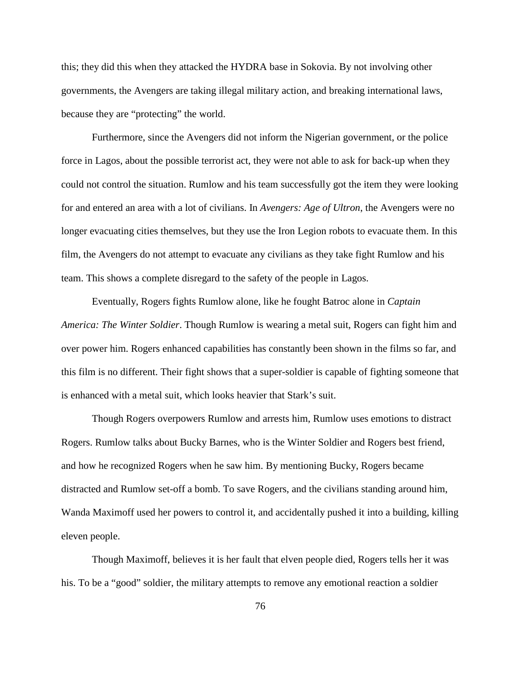this; they did this when they attacked the HYDRA base in Sokovia. By not involving other governments, the Avengers are taking illegal military action, and breaking international laws, because they are "protecting" the world.

Furthermore, since the Avengers did not inform the Nigerian government, or the police force in Lagos, about the possible terrorist act, they were not able to ask for back-up when they could not control the situation. Rumlow and his team successfully got the item they were looking for and entered an area with a lot of civilians. In *Avengers: Age of Ultron*, the Avengers were no longer evacuating cities themselves, but they use the Iron Legion robots to evacuate them. In this film, the Avengers do not attempt to evacuate any civilians as they take fight Rumlow and his team. This shows a complete disregard to the safety of the people in Lagos.

Eventually, Rogers fights Rumlow alone, like he fought Batroc alone in *Captain America: The Winter Soldier*. Though Rumlow is wearing a metal suit, Rogers can fight him and over power him. Rogers enhanced capabilities has constantly been shown in the films so far, and this film is no different. Their fight shows that a super-soldier is capable of fighting someone that is enhanced with a metal suit, which looks heavier that Stark's suit.

Though Rogers overpowers Rumlow and arrests him, Rumlow uses emotions to distract Rogers. Rumlow talks about Bucky Barnes, who is the Winter Soldier and Rogers best friend, and how he recognized Rogers when he saw him. By mentioning Bucky, Rogers became distracted and Rumlow set-off a bomb. To save Rogers, and the civilians standing around him, Wanda Maximoff used her powers to control it, and accidentally pushed it into a building, killing eleven people.

Though Maximoff, believes it is her fault that elven people died, Rogers tells her it was his. To be a "good" soldier, the military attempts to remove any emotional reaction a soldier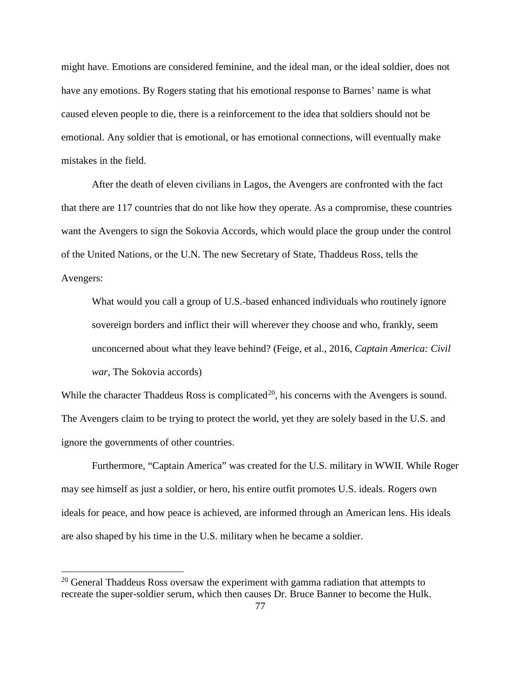might have. Emotions are considered feminine, and the ideal man, or the ideal soldier, does not have any emotions. By Rogers stating that his emotional response to Barnes' name is what caused eleven people to die, there is a reinforcement to the idea that soldiers should not be emotional. Any soldier that is emotional, or has emotional connections, will eventually make mistakes in the field.

After the death of eleven civilians in Lagos, the Avengers are confronted with the fact that there are 117 countries that do not like how they operate. As a compromise, these countries want the Avengers to sign the Sokovia Accords, which would place the group under the control of the United Nations, or the U.N. The new Secretary of State, Thaddeus Ross, tells the Avengers:

What would you call a group of U.S.-based enhanced individuals who routinely ignore sovereign borders and inflict their will wherever they choose and who, frankly, seem unconcerned about what they leave behind? (Feige, et al., 2016, *Captain America: Civil war*, The Sokovia accords)

While the character Thaddeus Ross is complicated<sup>[20](#page-84-0)</sup>, his concerns with the Avengers is sound. The Avengers claim to be trying to protect the world, yet they are solely based in the U.S. and ignore the governments of other countries.

Furthermore, "Captain America" was created for the U.S. military in WWII. While Roger may see himself as just a soldier, or hero, his entire outfit promotes U.S. ideals. Rogers own ideals for peace, and how peace is achieved, are informed through an American lens. His ideals are also shaped by his time in the U.S. military when he became a soldier.

<span id="page-84-0"></span> $20$  General Thaddeus Ross oversaw the experiment with gamma radiation that attempts to recreate the super-soldier serum, which then causes Dr. Bruce Banner to become the Hulk.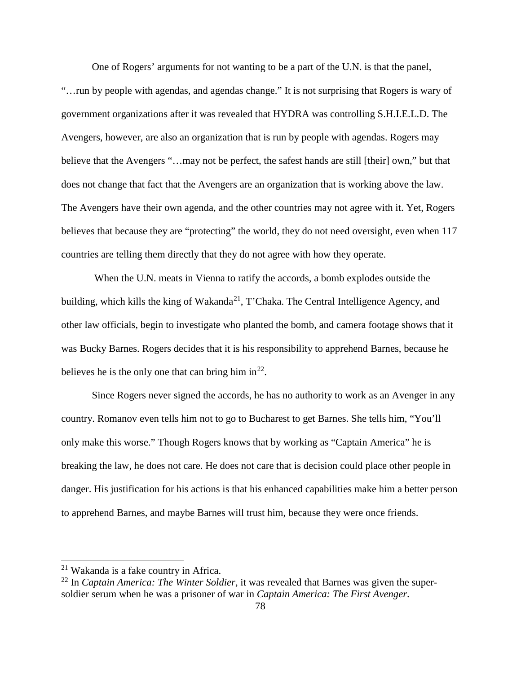One of Rogers' arguments for not wanting to be a part of the U.N. is that the panel,

"…run by people with agendas, and agendas change." It is not surprising that Rogers is wary of government organizations after it was revealed that HYDRA was controlling S.H.I.E.L.D. The Avengers, however, are also an organization that is run by people with agendas. Rogers may believe that the Avengers "…may not be perfect, the safest hands are still [their] own," but that does not change that fact that the Avengers are an organization that is working above the law. The Avengers have their own agenda, and the other countries may not agree with it. Yet, Rogers believes that because they are "protecting" the world, they do not need oversight, even when 117 countries are telling them directly that they do not agree with how they operate.

When the U.N. meats in Vienna to ratify the accords, a bomb explodes outside the building, which kills the king of Wakanda<sup>21</sup>, T'Chaka. The Central Intelligence Agency, and other law officials, begin to investigate who planted the bomb, and camera footage shows that it was Bucky Barnes. Rogers decides that it is his responsibility to apprehend Barnes, because he believes he is the only one that can bring him  $in^{22}$ .

Since Rogers never signed the accords, he has no authority to work as an Avenger in any country. Romanov even tells him not to go to Bucharest to get Barnes. She tells him, "You'll only make this worse." Though Rogers knows that by working as "Captain America" he is breaking the law, he does not care. He does not care that is decision could place other people in danger. His justification for his actions is that his enhanced capabilities make him a better person to apprehend Barnes, and maybe Barnes will trust him, because they were once friends.

<span id="page-85-0"></span> $21$  Wakanda is a fake country in Africa.

<span id="page-85-1"></span><sup>22</sup> In *Captain America: The Winter Soldier*, it was revealed that Barnes was given the supersoldier serum when he was a prisoner of war in *Captain America: The First Avenger*.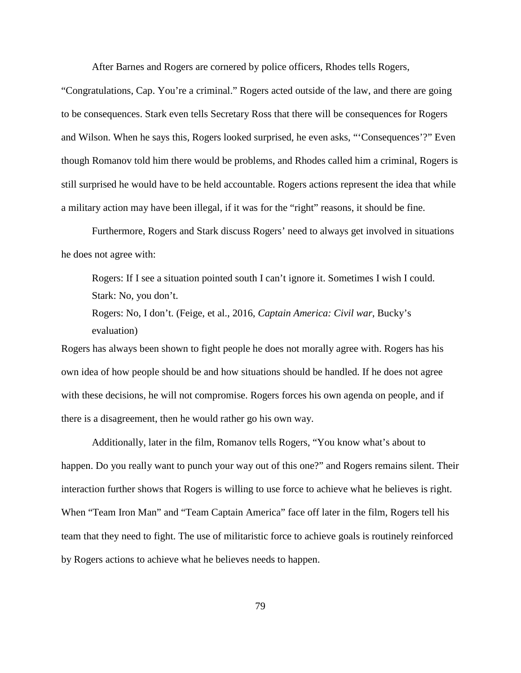After Barnes and Rogers are cornered by police officers, Rhodes tells Rogers,

"Congratulations, Cap. You're a criminal." Rogers acted outside of the law, and there are going to be consequences. Stark even tells Secretary Ross that there will be consequences for Rogers and Wilson. When he says this, Rogers looked surprised, he even asks, "'Consequences'?" Even though Romanov told him there would be problems, and Rhodes called him a criminal, Rogers is still surprised he would have to be held accountable. Rogers actions represent the idea that while a military action may have been illegal, if it was for the "right" reasons, it should be fine.

Furthermore, Rogers and Stark discuss Rogers' need to always get involved in situations he does not agree with:

Rogers: If I see a situation pointed south I can't ignore it. Sometimes I wish I could. Stark: No, you don't.

Rogers: No, I don't. (Feige, et al., 2016, *Captain America: Civil war*, Bucky's evaluation)

Rogers has always been shown to fight people he does not morally agree with. Rogers has his own idea of how people should be and how situations should be handled. If he does not agree with these decisions, he will not compromise. Rogers forces his own agenda on people, and if there is a disagreement, then he would rather go his own way.

Additionally, later in the film, Romanov tells Rogers, "You know what's about to happen. Do you really want to punch your way out of this one?" and Rogers remains silent. Their interaction further shows that Rogers is willing to use force to achieve what he believes is right. When "Team Iron Man" and "Team Captain America" face off later in the film, Rogers tell his team that they need to fight. The use of militaristic force to achieve goals is routinely reinforced by Rogers actions to achieve what he believes needs to happen.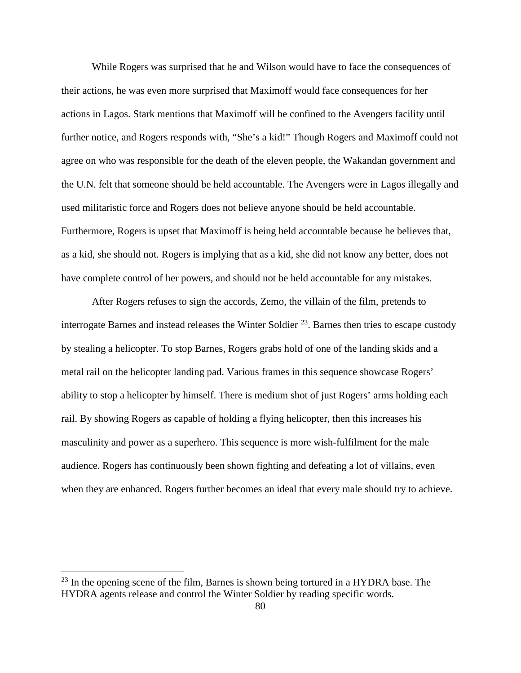While Rogers was surprised that he and Wilson would have to face the consequences of their actions, he was even more surprised that Maximoff would face consequences for her actions in Lagos. Stark mentions that Maximoff will be confined to the Avengers facility until further notice, and Rogers responds with, "She's a kid!" Though Rogers and Maximoff could not agree on who was responsible for the death of the eleven people, the Wakandan government and the U.N. felt that someone should be held accountable. The Avengers were in Lagos illegally and used militaristic force and Rogers does not believe anyone should be held accountable. Furthermore, Rogers is upset that Maximoff is being held accountable because he believes that, as a kid, she should not. Rogers is implying that as a kid, she did not know any better, does not have complete control of her powers, and should not be held accountable for any mistakes.

After Rogers refuses to sign the accords, Zemo, the villain of the film, pretends to interrogate Barnes and instead releases the Winter Soldier  $^{23}$ . Barnes then tries to escape custody by stealing a helicopter. To stop Barnes, Rogers grabs hold of one of the landing skids and a metal rail on the helicopter landing pad. Various frames in this sequence showcase Rogers' ability to stop a helicopter by himself. There is medium shot of just Rogers' arms holding each rail. By showing Rogers as capable of holding a flying helicopter, then this increases his masculinity and power as a superhero. This sequence is more wish-fulfilment for the male audience. Rogers has continuously been shown fighting and defeating a lot of villains, even when they are enhanced. Rogers further becomes an ideal that every male should try to achieve.

<span id="page-87-0"></span> $^{23}$  In the opening scene of the film, Barnes is shown being tortured in a HYDRA base. The HYDRA agents release and control the Winter Soldier by reading specific words.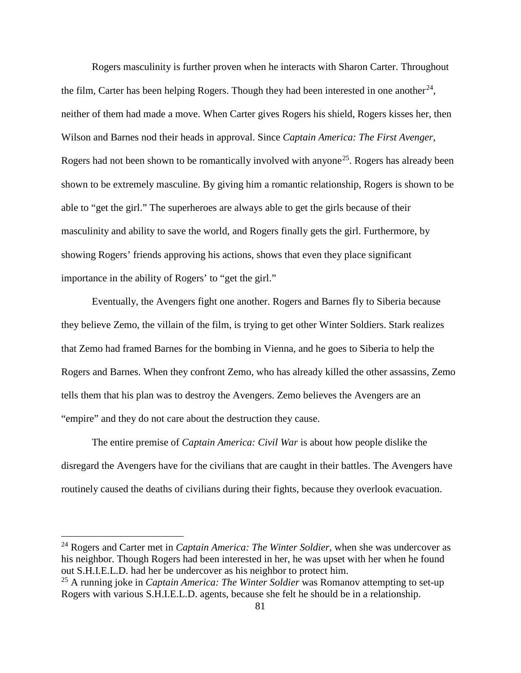Rogers masculinity is further proven when he interacts with Sharon Carter. Throughout the film, Carter has been helping Rogers. Though they had been interested in one another<sup>[24](#page-88-0)</sup>, neither of them had made a move. When Carter gives Rogers his shield, Rogers kisses her, then Wilson and Barnes nod their heads in approval. Since *Captain America: The First Avenger*, Rogers had not been shown to be romantically involved with anyone<sup>25</sup>. Rogers has already been shown to be extremely masculine. By giving him a romantic relationship, Rogers is shown to be able to "get the girl." The superheroes are always able to get the girls because of their masculinity and ability to save the world, and Rogers finally gets the girl. Furthermore, by showing Rogers' friends approving his actions, shows that even they place significant importance in the ability of Rogers' to "get the girl."

Eventually, the Avengers fight one another. Rogers and Barnes fly to Siberia because they believe Zemo, the villain of the film, is trying to get other Winter Soldiers. Stark realizes that Zemo had framed Barnes for the bombing in Vienna, and he goes to Siberia to help the Rogers and Barnes. When they confront Zemo, who has already killed the other assassins, Zemo tells them that his plan was to destroy the Avengers. Zemo believes the Avengers are an "empire" and they do not care about the destruction they cause.

The entire premise of *Captain America: Civil War* is about how people dislike the disregard the Avengers have for the civilians that are caught in their battles. The Avengers have routinely caused the deaths of civilians during their fights, because they overlook evacuation.

<span id="page-88-0"></span> <sup>24</sup> Rogers and Carter met in *Captain America: The Winter Soldier*, when she was undercover as his neighbor. Though Rogers had been interested in her, he was upset with her when he found out S.H.I.E.L.D. had her be undercover as his neighbor to protect him.

<span id="page-88-1"></span><sup>25</sup> A running joke in *Captain America: The Winter Soldier* was Romanov attempting to set-up Rogers with various S.H.I.E.L.D. agents, because she felt he should be in a relationship.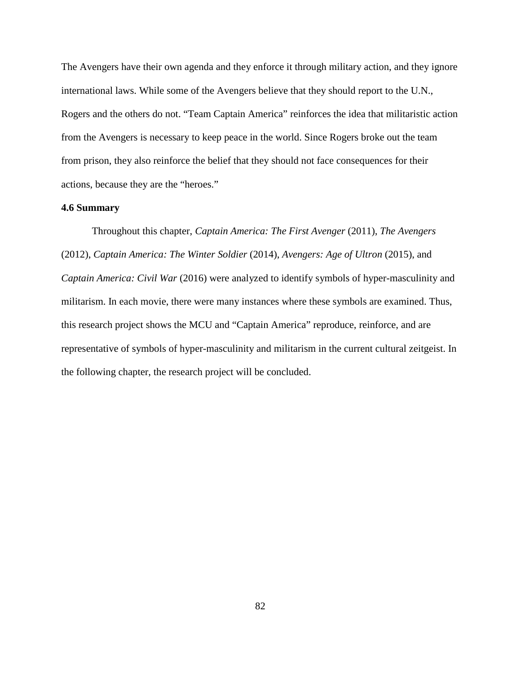The Avengers have their own agenda and they enforce it through military action, and they ignore international laws. While some of the Avengers believe that they should report to the U.N., Rogers and the others do not. "Team Captain America" reinforces the idea that militaristic action from the Avengers is necessary to keep peace in the world. Since Rogers broke out the team from prison, they also reinforce the belief that they should not face consequences for their actions, because they are the "heroes."

# **4.6 Summary**

Throughout this chapter, *Captain America: The First Avenger* (2011), *The Avengers* (2012), *Captain America: The Winter Soldier* (2014), *Avengers: Age of Ultron* (2015), and *Captain America: Civil War* (2016) were analyzed to identify symbols of hyper-masculinity and militarism. In each movie, there were many instances where these symbols are examined. Thus, this research project shows the MCU and "Captain America" reproduce, reinforce, and are representative of symbols of hyper-masculinity and militarism in the current cultural zeitgeist. In the following chapter, the research project will be concluded.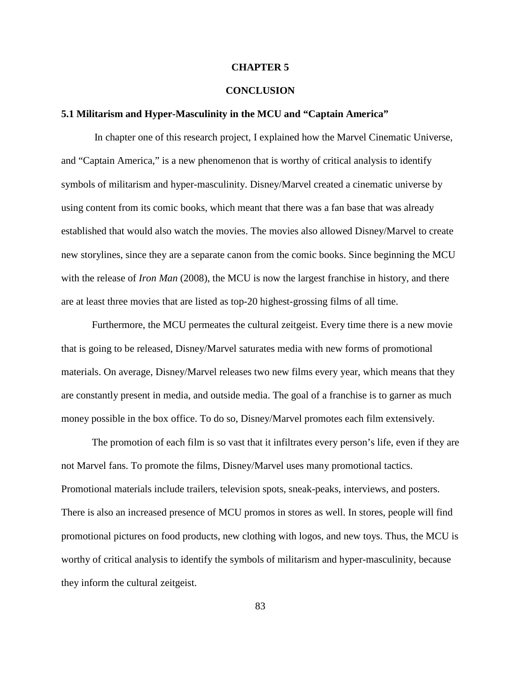## **CHAPTER 5**

# **CONCLUSION**

## **5.1 Militarism and Hyper-Masculinity in the MCU and "Captain America"**

In chapter one of this research project, I explained how the Marvel Cinematic Universe, and "Captain America," is a new phenomenon that is worthy of critical analysis to identify symbols of militarism and hyper-masculinity. Disney/Marvel created a cinematic universe by using content from its comic books, which meant that there was a fan base that was already established that would also watch the movies. The movies also allowed Disney/Marvel to create new storylines, since they are a separate canon from the comic books. Since beginning the MCU with the release of *Iron Man* (2008), the MCU is now the largest franchise in history, and there are at least three movies that are listed as top-20 highest-grossing films of all time.

Furthermore, the MCU permeates the cultural zeitgeist. Every time there is a new movie that is going to be released, Disney/Marvel saturates media with new forms of promotional materials. On average, Disney/Marvel releases two new films every year, which means that they are constantly present in media, and outside media. The goal of a franchise is to garner as much money possible in the box office. To do so, Disney/Marvel promotes each film extensively.

The promotion of each film is so vast that it infiltrates every person's life, even if they are not Marvel fans. To promote the films, Disney/Marvel uses many promotional tactics. Promotional materials include trailers, television spots, sneak-peaks, interviews, and posters. There is also an increased presence of MCU promos in stores as well. In stores, people will find promotional pictures on food products, new clothing with logos, and new toys. Thus, the MCU is worthy of critical analysis to identify the symbols of militarism and hyper-masculinity, because they inform the cultural zeitgeist.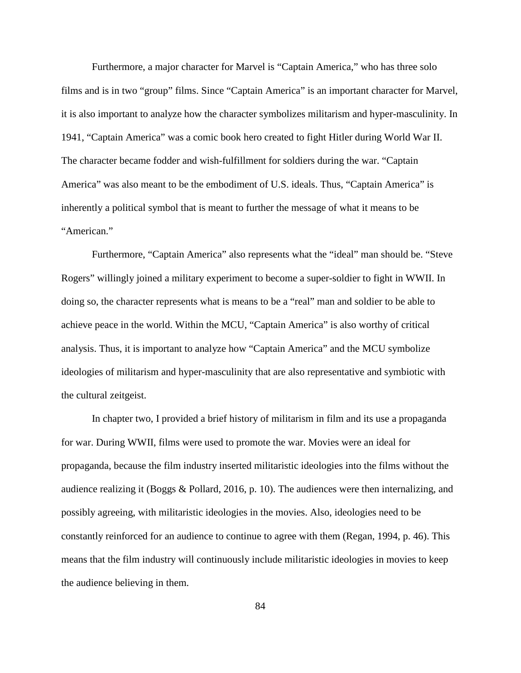Furthermore, a major character for Marvel is "Captain America," who has three solo films and is in two "group" films. Since "Captain America" is an important character for Marvel, it is also important to analyze how the character symbolizes militarism and hyper-masculinity. In 1941, "Captain America" was a comic book hero created to fight Hitler during World War II. The character became fodder and wish-fulfillment for soldiers during the war. "Captain America" was also meant to be the embodiment of U.S. ideals. Thus, "Captain America" is inherently a political symbol that is meant to further the message of what it means to be "American."

Furthermore, "Captain America" also represents what the "ideal" man should be. "Steve Rogers" willingly joined a military experiment to become a super-soldier to fight in WWII. In doing so, the character represents what is means to be a "real" man and soldier to be able to achieve peace in the world. Within the MCU, "Captain America" is also worthy of critical analysis. Thus, it is important to analyze how "Captain America" and the MCU symbolize ideologies of militarism and hyper-masculinity that are also representative and symbiotic with the cultural zeitgeist.

In chapter two, I provided a brief history of militarism in film and its use a propaganda for war. During WWII, films were used to promote the war. Movies were an ideal for propaganda, because the film industry inserted militaristic ideologies into the films without the audience realizing it (Boggs & Pollard, 2016, p. 10). The audiences were then internalizing, and possibly agreeing, with militaristic ideologies in the movies. Also, ideologies need to be constantly reinforced for an audience to continue to agree with them (Regan, 1994, p. 46). This means that the film industry will continuously include militaristic ideologies in movies to keep the audience believing in them.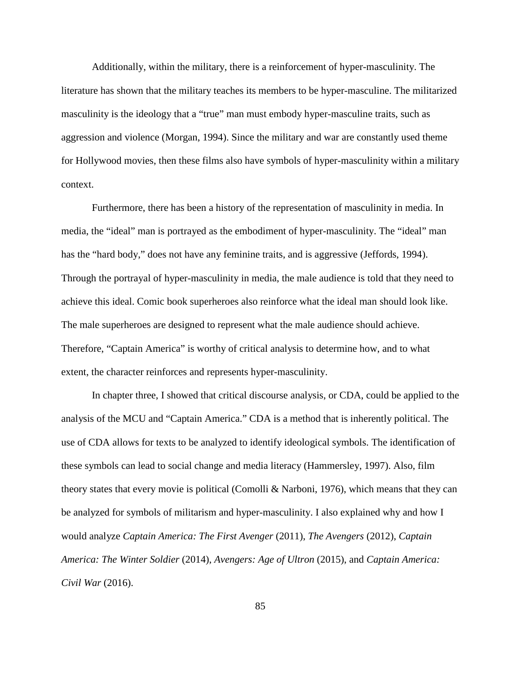Additionally, within the military, there is a reinforcement of hyper-masculinity. The literature has shown that the military teaches its members to be hyper-masculine. The militarized masculinity is the ideology that a "true" man must embody hyper-masculine traits, such as aggression and violence (Morgan, 1994). Since the military and war are constantly used theme for Hollywood movies, then these films also have symbols of hyper-masculinity within a military context.

Furthermore, there has been a history of the representation of masculinity in media. In media, the "ideal" man is portrayed as the embodiment of hyper-masculinity. The "ideal" man has the "hard body," does not have any feminine traits, and is aggressive (Jeffords, 1994). Through the portrayal of hyper-masculinity in media, the male audience is told that they need to achieve this ideal. Comic book superheroes also reinforce what the ideal man should look like. The male superheroes are designed to represent what the male audience should achieve. Therefore, "Captain America" is worthy of critical analysis to determine how, and to what extent, the character reinforces and represents hyper-masculinity.

In chapter three, I showed that critical discourse analysis, or CDA, could be applied to the analysis of the MCU and "Captain America." CDA is a method that is inherently political. The use of CDA allows for texts to be analyzed to identify ideological symbols. The identification of these symbols can lead to social change and media literacy (Hammersley, 1997). Also, film theory states that every movie is political (Comolli & Narboni, 1976), which means that they can be analyzed for symbols of militarism and hyper-masculinity. I also explained why and how I would analyze *Captain America: The First Avenger* (2011), *The Avengers* (2012), *Captain America: The Winter Soldier* (2014), *Avengers: Age of Ultron* (2015), and *Captain America: Civil War* (2016).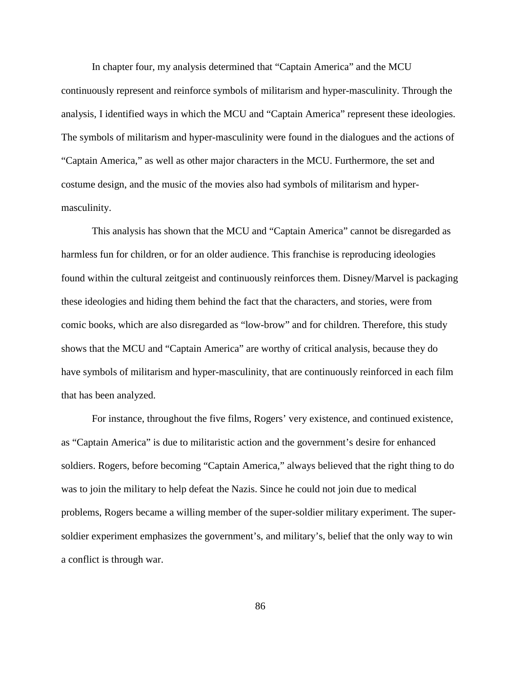In chapter four, my analysis determined that "Captain America" and the MCU continuously represent and reinforce symbols of militarism and hyper-masculinity. Through the analysis, I identified ways in which the MCU and "Captain America" represent these ideologies. The symbols of militarism and hyper-masculinity were found in the dialogues and the actions of "Captain America," as well as other major characters in the MCU. Furthermore, the set and costume design, and the music of the movies also had symbols of militarism and hypermasculinity.

This analysis has shown that the MCU and "Captain America" cannot be disregarded as harmless fun for children, or for an older audience. This franchise is reproducing ideologies found within the cultural zeitgeist and continuously reinforces them. Disney/Marvel is packaging these ideologies and hiding them behind the fact that the characters, and stories, were from comic books, which are also disregarded as "low-brow" and for children. Therefore, this study shows that the MCU and "Captain America" are worthy of critical analysis, because they do have symbols of militarism and hyper-masculinity, that are continuously reinforced in each film that has been analyzed.

For instance, throughout the five films, Rogers' very existence, and continued existence, as "Captain America" is due to militaristic action and the government's desire for enhanced soldiers. Rogers, before becoming "Captain America," always believed that the right thing to do was to join the military to help defeat the Nazis. Since he could not join due to medical problems, Rogers became a willing member of the super-soldier military experiment. The supersoldier experiment emphasizes the government's, and military's, belief that the only way to win a conflict is through war.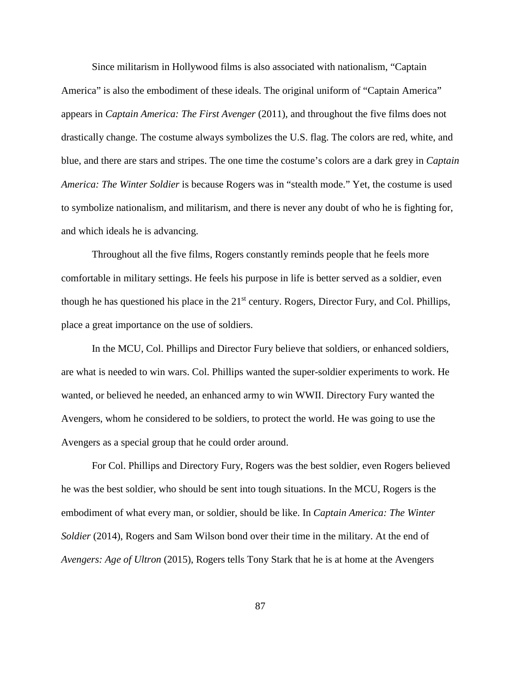Since militarism in Hollywood films is also associated with nationalism, "Captain America" is also the embodiment of these ideals. The original uniform of "Captain America" appears in *Captain America: The First Avenger* (2011), and throughout the five films does not drastically change. The costume always symbolizes the U.S. flag. The colors are red, white, and blue, and there are stars and stripes. The one time the costume's colors are a dark grey in *Captain America: The Winter Soldier* is because Rogers was in "stealth mode." Yet, the costume is used to symbolize nationalism, and militarism, and there is never any doubt of who he is fighting for, and which ideals he is advancing.

Throughout all the five films, Rogers constantly reminds people that he feels more comfortable in military settings. He feels his purpose in life is better served as a soldier, even though he has questioned his place in the  $21<sup>st</sup>$  century. Rogers, Director Fury, and Col. Phillips, place a great importance on the use of soldiers.

In the MCU, Col. Phillips and Director Fury believe that soldiers, or enhanced soldiers, are what is needed to win wars. Col. Phillips wanted the super-soldier experiments to work. He wanted, or believed he needed, an enhanced army to win WWII. Directory Fury wanted the Avengers, whom he considered to be soldiers, to protect the world. He was going to use the Avengers as a special group that he could order around.

For Col. Phillips and Directory Fury, Rogers was the best soldier, even Rogers believed he was the best soldier, who should be sent into tough situations. In the MCU, Rogers is the embodiment of what every man, or soldier, should be like. In *Captain America: The Winter Soldier* (2014), Rogers and Sam Wilson bond over their time in the military. At the end of *Avengers: Age of Ultron* (2015), Rogers tells Tony Stark that he is at home at the Avengers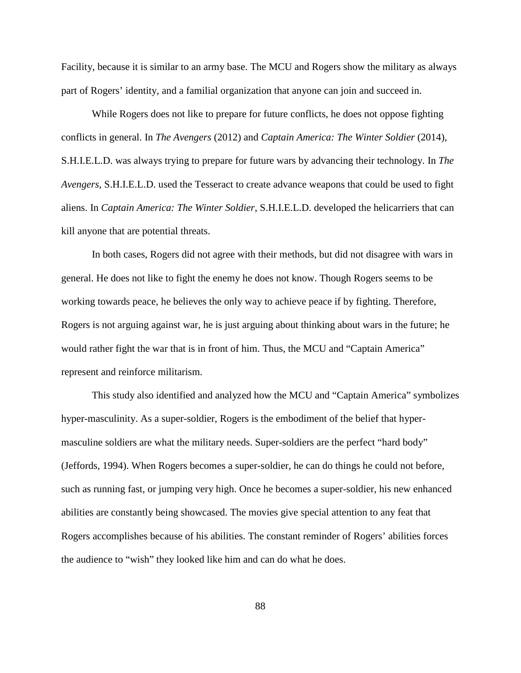Facility, because it is similar to an army base. The MCU and Rogers show the military as always part of Rogers' identity, and a familial organization that anyone can join and succeed in.

While Rogers does not like to prepare for future conflicts, he does not oppose fighting conflicts in general. In *The Avengers* (2012) and *Captain America: The Winter Soldier* (2014), S.H.I.E.L.D. was always trying to prepare for future wars by advancing their technology. In *The Avengers*, S.H.I.E.L.D. used the Tesseract to create advance weapons that could be used to fight aliens. In *Captain America: The Winter Soldier*, S.H.I.E.L.D. developed the helicarriers that can kill anyone that are potential threats.

In both cases, Rogers did not agree with their methods, but did not disagree with wars in general. He does not like to fight the enemy he does not know. Though Rogers seems to be working towards peace, he believes the only way to achieve peace if by fighting. Therefore, Rogers is not arguing against war, he is just arguing about thinking about wars in the future; he would rather fight the war that is in front of him. Thus, the MCU and "Captain America" represent and reinforce militarism.

This study also identified and analyzed how the MCU and "Captain America" symbolizes hyper-masculinity. As a super-soldier, Rogers is the embodiment of the belief that hypermasculine soldiers are what the military needs. Super-soldiers are the perfect "hard body" (Jeffords, 1994). When Rogers becomes a super-soldier, he can do things he could not before, such as running fast, or jumping very high. Once he becomes a super-soldier, his new enhanced abilities are constantly being showcased. The movies give special attention to any feat that Rogers accomplishes because of his abilities. The constant reminder of Rogers' abilities forces the audience to "wish" they looked like him and can do what he does.

88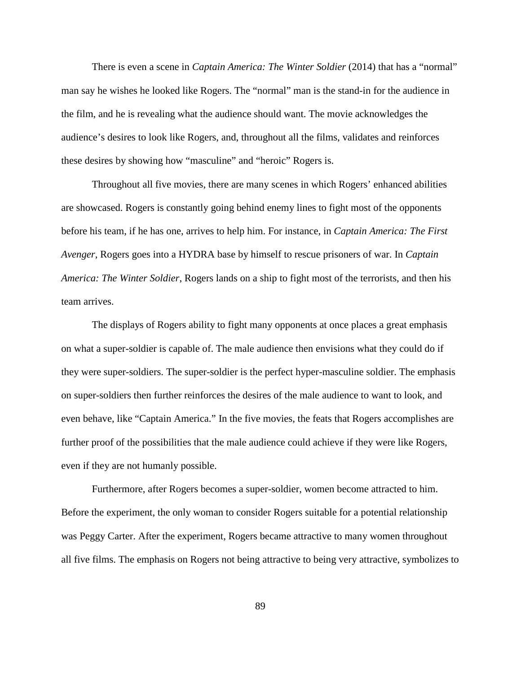There is even a scene in *Captain America: The Winter Soldier* (2014) that has a "normal" man say he wishes he looked like Rogers. The "normal" man is the stand-in for the audience in the film, and he is revealing what the audience should want. The movie acknowledges the audience's desires to look like Rogers, and, throughout all the films, validates and reinforces these desires by showing how "masculine" and "heroic" Rogers is.

Throughout all five movies, there are many scenes in which Rogers' enhanced abilities are showcased. Rogers is constantly going behind enemy lines to fight most of the opponents before his team, if he has one, arrives to help him. For instance, in *Captain America: The First Avenger*, Rogers goes into a HYDRA base by himself to rescue prisoners of war. In *Captain America: The Winter Soldier*, Rogers lands on a ship to fight most of the terrorists, and then his team arrives.

The displays of Rogers ability to fight many opponents at once places a great emphasis on what a super-soldier is capable of. The male audience then envisions what they could do if they were super-soldiers. The super-soldier is the perfect hyper-masculine soldier. The emphasis on super-soldiers then further reinforces the desires of the male audience to want to look, and even behave, like "Captain America." In the five movies, the feats that Rogers accomplishes are further proof of the possibilities that the male audience could achieve if they were like Rogers, even if they are not humanly possible.

Furthermore, after Rogers becomes a super-soldier, women become attracted to him. Before the experiment, the only woman to consider Rogers suitable for a potential relationship was Peggy Carter. After the experiment, Rogers became attractive to many women throughout all five films. The emphasis on Rogers not being attractive to being very attractive, symbolizes to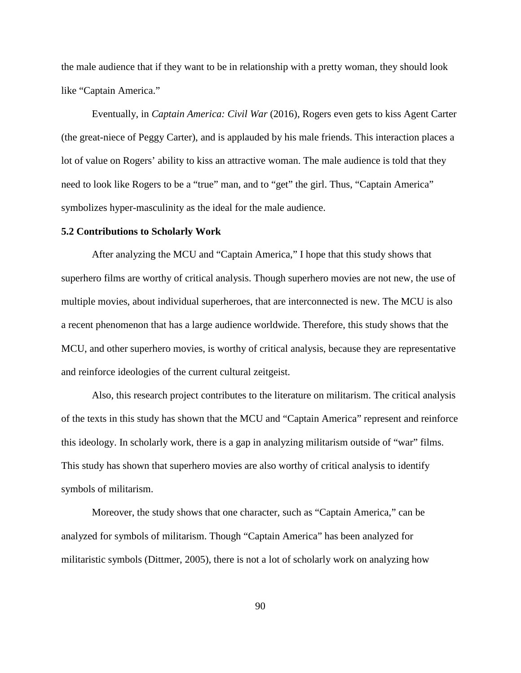the male audience that if they want to be in relationship with a pretty woman, they should look like "Captain America."

Eventually, in *Captain America: Civil War* (2016), Rogers even gets to kiss Agent Carter (the great-niece of Peggy Carter), and is applauded by his male friends. This interaction places a lot of value on Rogers' ability to kiss an attractive woman. The male audience is told that they need to look like Rogers to be a "true" man, and to "get" the girl. Thus, "Captain America" symbolizes hyper-masculinity as the ideal for the male audience.

#### **5.2 Contributions to Scholarly Work**

After analyzing the MCU and "Captain America," I hope that this study shows that superhero films are worthy of critical analysis. Though superhero movies are not new, the use of multiple movies, about individual superheroes, that are interconnected is new. The MCU is also a recent phenomenon that has a large audience worldwide. Therefore, this study shows that the MCU, and other superhero movies, is worthy of critical analysis, because they are representative and reinforce ideologies of the current cultural zeitgeist.

Also, this research project contributes to the literature on militarism. The critical analysis of the texts in this study has shown that the MCU and "Captain America" represent and reinforce this ideology. In scholarly work, there is a gap in analyzing militarism outside of "war" films. This study has shown that superhero movies are also worthy of critical analysis to identify symbols of militarism.

Moreover, the study shows that one character, such as "Captain America," can be analyzed for symbols of militarism. Though "Captain America" has been analyzed for militaristic symbols (Dittmer, 2005), there is not a lot of scholarly work on analyzing how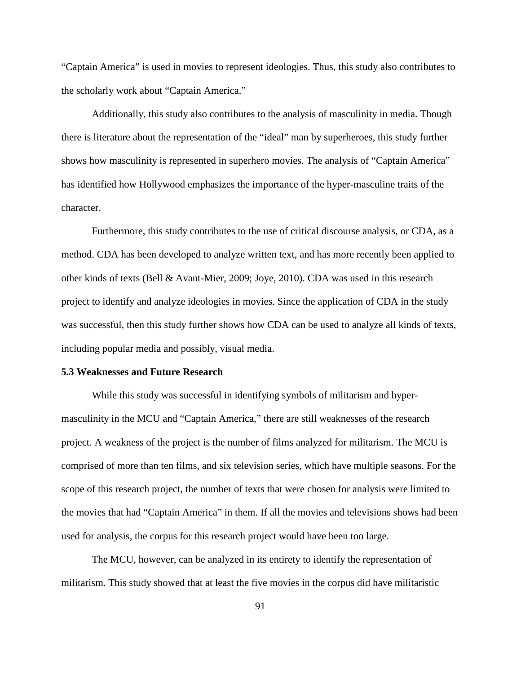"Captain America" is used in movies to represent ideologies. Thus, this study also contributes to the scholarly work about "Captain America."

Additionally, this study also contributes to the analysis of masculinity in media. Though there is literature about the representation of the "ideal" man by superheroes, this study further shows how masculinity is represented in superhero movies. The analysis of "Captain America" has identified how Hollywood emphasizes the importance of the hyper-masculine traits of the character.

Furthermore, this study contributes to the use of critical discourse analysis, or CDA, as a method. CDA has been developed to analyze written text, and has more recently been applied to other kinds of texts (Bell & Avant-Mier, 2009; Joye, 2010). CDA was used in this research project to identify and analyze ideologies in movies. Since the application of CDA in the study was successful, then this study further shows how CDA can be used to analyze all kinds of texts, including popular media and possibly, visual media.

## **5.3 Weaknesses and Future Research**

While this study was successful in identifying symbols of militarism and hypermasculinity in the MCU and "Captain America," there are still weaknesses of the research project. A weakness of the project is the number of films analyzed for militarism. The MCU is comprised of more than ten films, and six television series, which have multiple seasons. For the scope of this research project, the number of texts that were chosen for analysis were limited to the movies that had "Captain America" in them. If all the movies and televisions shows had been used for analysis, the corpus for this research project would have been too large.

The MCU, however, can be analyzed in its entirety to identify the representation of militarism. This study showed that at least the five movies in the corpus did have militaristic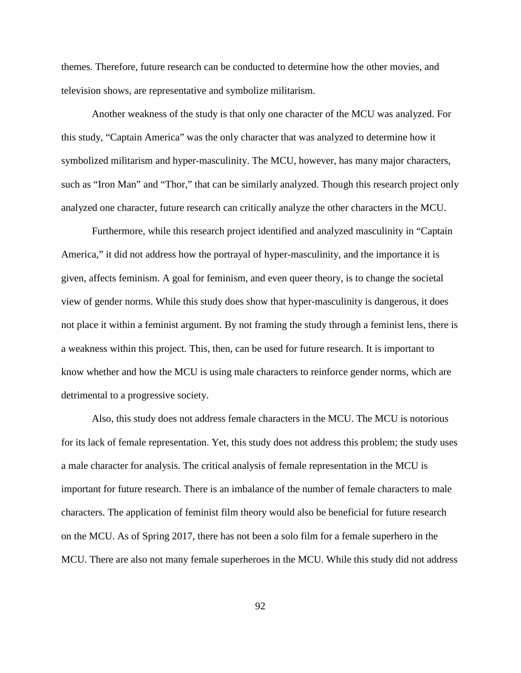themes. Therefore, future research can be conducted to determine how the other movies, and television shows, are representative and symbolize militarism.

Another weakness of the study is that only one character of the MCU was analyzed. For this study, "Captain America" was the only character that was analyzed to determine how it symbolized militarism and hyper-masculinity. The MCU, however, has many major characters, such as "Iron Man" and "Thor," that can be similarly analyzed. Though this research project only analyzed one character, future research can critically analyze the other characters in the MCU.

Furthermore, while this research project identified and analyzed masculinity in "Captain America," it did not address how the portrayal of hyper-masculinity, and the importance it is given, affects feminism. A goal for feminism, and even queer theory, is to change the societal view of gender norms. While this study does show that hyper-masculinity is dangerous, it does not place it within a feminist argument. By not framing the study through a feminist lens, there is a weakness within this project. This, then, can be used for future research. It is important to know whether and how the MCU is using male characters to reinforce gender norms, which are detrimental to a progressive society.

Also, this study does not address female characters in the MCU. The MCU is notorious for its lack of female representation. Yet, this study does not address this problem; the study uses a male character for analysis. The critical analysis of female representation in the MCU is important for future research. There is an imbalance of the number of female characters to male characters. The application of feminist film theory would also be beneficial for future research on the MCU. As of Spring 2017, there has not been a solo film for a female superhero in the MCU. There are also not many female superheroes in the MCU. While this study did not address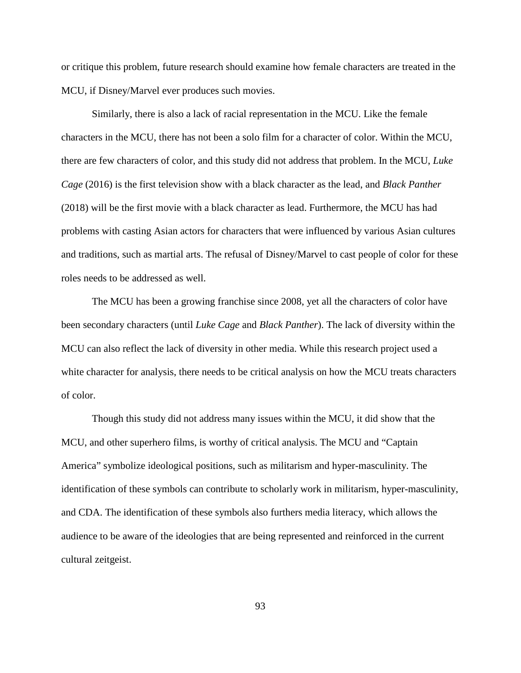or critique this problem, future research should examine how female characters are treated in the MCU, if Disney/Marvel ever produces such movies.

Similarly, there is also a lack of racial representation in the MCU. Like the female characters in the MCU, there has not been a solo film for a character of color. Within the MCU, there are few characters of color, and this study did not address that problem. In the MCU, *Luke Cage* (2016) is the first television show with a black character as the lead, and *Black Panther* (2018) will be the first movie with a black character as lead. Furthermore, the MCU has had problems with casting Asian actors for characters that were influenced by various Asian cultures and traditions, such as martial arts. The refusal of Disney/Marvel to cast people of color for these roles needs to be addressed as well.

The MCU has been a growing franchise since 2008, yet all the characters of color have been secondary characters (until *Luke Cage* and *Black Panther*). The lack of diversity within the MCU can also reflect the lack of diversity in other media. While this research project used a white character for analysis, there needs to be critical analysis on how the MCU treats characters of color.

Though this study did not address many issues within the MCU, it did show that the MCU, and other superhero films, is worthy of critical analysis. The MCU and "Captain America" symbolize ideological positions, such as militarism and hyper-masculinity. The identification of these symbols can contribute to scholarly work in militarism, hyper-masculinity, and CDA. The identification of these symbols also furthers media literacy, which allows the audience to be aware of the ideologies that are being represented and reinforced in the current cultural zeitgeist.

93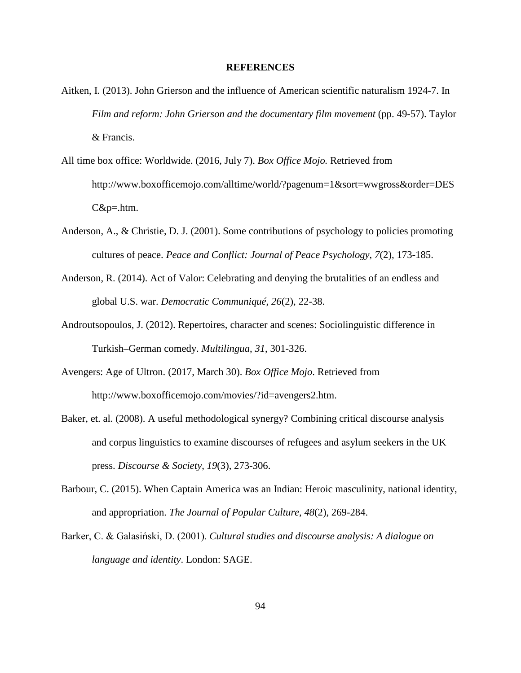## **REFERENCES**

- Aitken, I. (2013). John Grierson and the influence of American scientific naturalism 1924-7. In *Film and reform: John Grierson and the documentary film movement* (pp. 49-57). Taylor & Francis.
- All time box office: Worldwide. (2016, July 7). *Box Office Mojo.* Retrieved from http://www.boxofficemojo.com/alltime/world/?pagenum=1&sort=wwgross&order=DES  $C&p=.htm.$
- Anderson, A., & Christie, D. J. (2001). Some contributions of psychology to policies promoting cultures of peace. *Peace and Conflict: Journal of Peace Psychology*, *7*(2), 173-185.
- Anderson, R. (2014). Act of Valor: Celebrating and denying the brutalities of an endless and global U.S. war. *Democratic Communiqué*, *26*(2), 22-38.
- Androutsopoulos, J. (2012). Repertoires, character and scenes: Sociolinguistic difference in Turkish–German comedy. *Multilingua*, *31*, 301-326.
- Avengers: Age of Ultron. (2017, March 30). *Box Office Mojo*. Retrieved from http://www.boxofficemojo.com/movies/?id=avengers2.htm.
- Baker, et. al. (2008). A useful methodological synergy? Combining critical discourse analysis and corpus linguistics to examine discourses of refugees and asylum seekers in the UK press. *Discourse & Society*, *19*(3), 273-306.
- Barbour, C. (2015). When Captain America was an Indian: Heroic masculinity, national identity, and appropriation. *The Journal of Popular Culture*, *48*(2), 269-284.
- Barker, C. & Galasiński, D. (2001). *Cultural studies and discourse analysis: A dialogue on language and identity*. London: SAGE.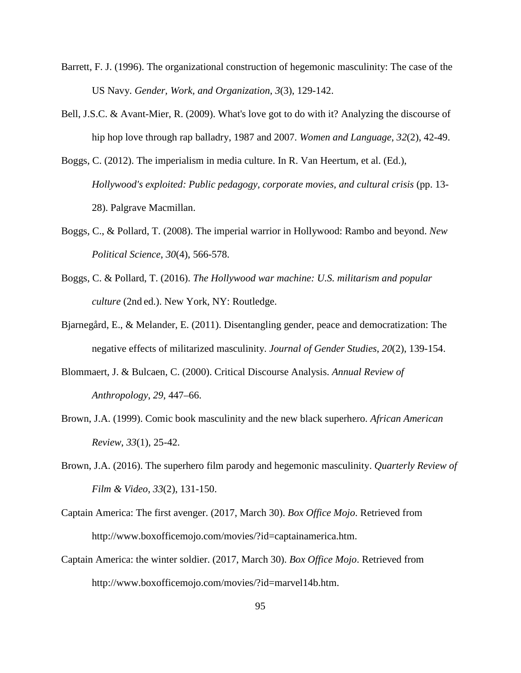- Barrett, F. J. (1996). The organizational construction of hegemonic masculinity: The case of the US Navy. *Gender, Work, and Organization*, *3*(3), 129-142.
- Bell, J.S.C. & Avant-Mier, R. (2009). What's love got to do with it? Analyzing the discourse of hip hop love through rap balladry, 1987 and 2007. *Women and Language*, *32*(2), 42-49.
- Boggs, C. (2012). The imperialism in media culture. In R. Van Heertum, et al. (Ed.), *Hollywood's exploited: Public pedagogy, corporate movies, and cultural crisis* (pp. 13- 28). Palgrave Macmillan.
- Boggs, C., & Pollard, T. (2008). The imperial warrior in Hollywood: Rambo and beyond. *New Political Science*, *30*(4), 566-578.
- Boggs, C. & Pollard, T. (2016). *The Hollywood war machine: U.S. militarism and popular culture* (2nd ed.). New York, NY: Routledge.
- Bjarnegård, E., & Melander, E. (2011). Disentangling gender, peace and democratization: The negative effects of militarized masculinity. *Journal of Gender Studies*, *20*(2), 139-154.
- Blommaert, J. & Bulcaen, C. (2000). Critical Discourse Analysis. *Annual Review of Anthropology*, *29*, 447–66.
- Brown, J.A. (1999). Comic book masculinity and the new black superhero. *African American Review*, *33*(1), 25-42.
- Brown, J.A. (2016). The superhero film parody and hegemonic masculinity. *Quarterly Review of Film & Video*, *33*(2), 131-150.
- Captain America: The first avenger. (2017, March 30). *Box Office Mojo*. Retrieved from http://www.boxofficemojo.com/movies/?id=captainamerica.htm.
- Captain America: the winter soldier. (2017, March 30). *Box Office Mojo*. Retrieved from http://www.boxofficemojo.com/movies/?id=marvel14b.htm.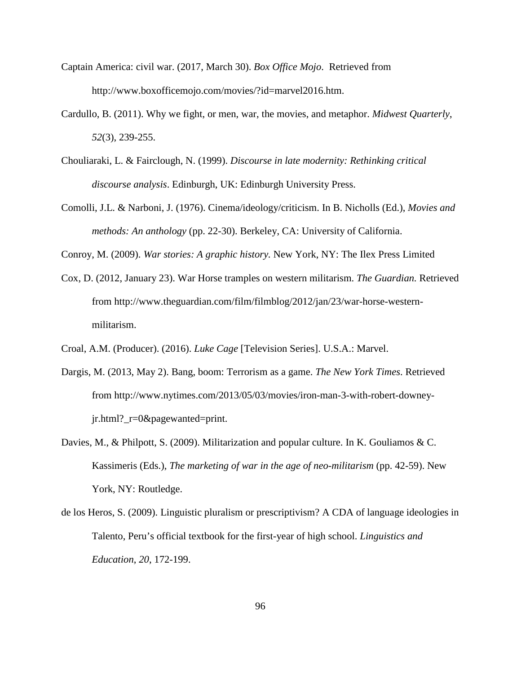- Captain America: civil war. (2017, March 30). *Box Office Mojo*. Retrieved from http://www.boxofficemojo.com/movies/?id=marvel2016.htm.
- Cardullo, B. (2011). Why we fight, or men, war, the movies, and metaphor. *Midwest Quarterly*, *52*(3), 239-255.
- Chouliaraki, L. & Fairclough, N. (1999). *Discourse in late modernity: Rethinking critical discourse analysis*. Edinburgh, UK: Edinburgh University Press.
- Comolli, J.L. & Narboni, J. (1976). Cinema/ideology/criticism. In B. Nicholls (Ed.), *Movies and methods: An anthology* (pp. 22-30). Berkeley, CA: University of California.
- Conroy, M. (2009). *War stories: A graphic history.* New York, NY: The Ilex Press Limited
- Cox, D. (2012, January 23). War Horse tramples on western militarism. *The Guardian.* Retrieved from http://www.theguardian.com/film/filmblog/2012/jan/23/war-horse-westernmilitarism.
- Croal, A.M. (Producer). (2016). *Luke Cage* [Television Series]. U.S.A.: Marvel.
- Dargis, M. (2013, May 2). Bang, boom: Terrorism as a game. *The New York Times*. Retrieved from http://www.nytimes.com/2013/05/03/movies/iron-man-3-with-robert-downeyjr.html?\_r=0&pagewanted=print.
- Davies, M., & Philpott, S. (2009). Militarization and popular culture. In K. Gouliamos & C. Kassimeris (Eds.), *The marketing of war in the age of neo-militarism* (pp. 42-59). New York, NY: Routledge.
- de los Heros, S. (2009). Linguistic pluralism or prescriptivism? A CDA of language ideologies in Talento, Peru's official textbook for the first-year of high school. *Linguistics and Education*, *20*, 172-199.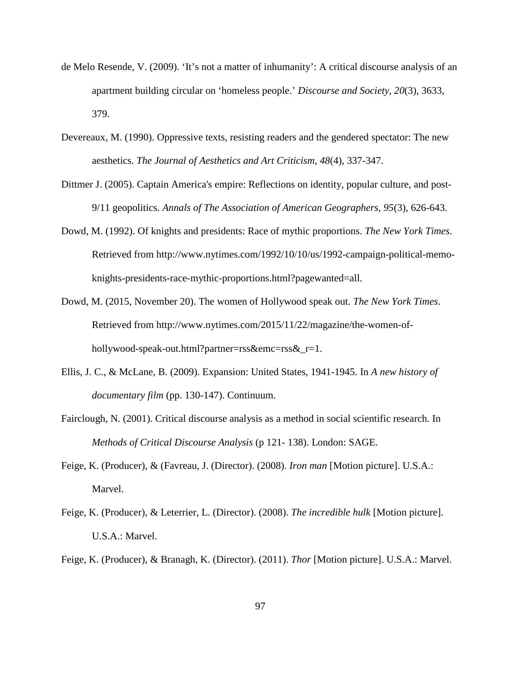- de Melo Resende, V. (2009). 'It's not a matter of inhumanity': A critical discourse analysis of an apartment building circular on 'homeless people.' *Discourse and Society*, *20*(3), 3633, 379.
- Devereaux, M. (1990). Oppressive texts, resisting readers and the gendered spectator: The new aesthetics. *The Journal of Aesthetics and Art Criticism, 48*(4), 337-347.
- Dittmer J. (2005). Captain America's empire: Reflections on identity, popular culture, and post-9/11 geopolitics. *Annals of The Association of American Geographers*, *95*(3), 626-643.
- Dowd, M. (1992). Of knights and presidents: Race of mythic proportions. *The New York Times*. Retrieved from http://www.nytimes.com/1992/10/10/us/1992-campaign-political-memoknights-presidents-race-mythic-proportions.html?pagewanted=all.
- Dowd, M. (2015, November 20). The women of Hollywood speak out. *The New York Times*. Retrieved from http://www.nytimes.com/2015/11/22/magazine/the-women-ofhollywood-speak-out.html?partner=rss&emc=rss&\_r=1.
- Ellis, J. C., & McLane, B. (2009). Expansion: United States, 1941-1945. In *A new history of documentary film* (pp. 130-147). Continuum.
- Fairclough, N. (2001). Critical discourse analysis as a method in social scientific research. In *Methods of Critical Discourse Analysis* (p 121- 138). London: SAGE.
- Feige, K. (Producer), & (Favreau, J. (Director). (2008). *Iron man* [Motion picture]. U.S.A.: Marvel.
- Feige, K. (Producer), & Leterrier, L. (Director). (2008). *The incredible hulk* [Motion picture]. U.S.A.: Marvel.
- Feige, K. (Producer), & Branagh, K. (Director). (2011). *Thor* [Motion picture]. U.S.A.: Marvel.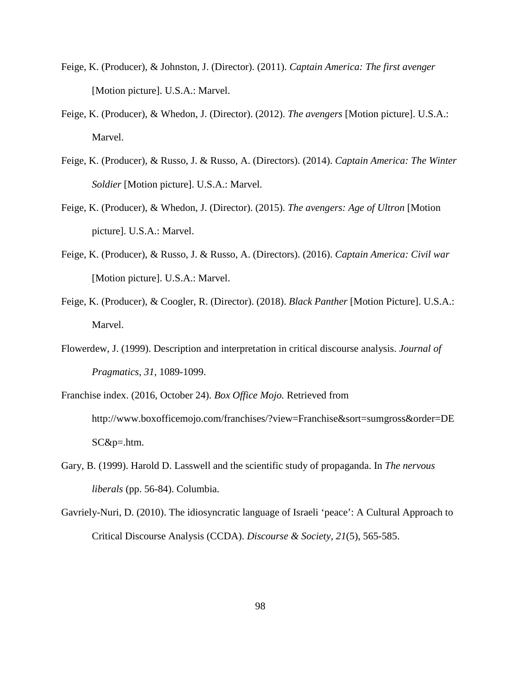- Feige, K. (Producer), & Johnston, J. (Director). (2011). *Captain America: The first avenger* [Motion picture]. U.S.A.: Marvel.
- Feige, K. (Producer), & Whedon, J. (Director). (2012). *The avengers* [Motion picture]. U.S.A.: Marvel.
- Feige, K. (Producer), & Russo, J. & Russo, A. (Directors). (2014). *Captain America: The Winter Soldier* [Motion picture]. U.S.A.: Marvel.
- Feige, K. (Producer), & Whedon, J. (Director). (2015). *The avengers: Age of Ultron* [Motion picture]. U.S.A.: Marvel.
- Feige, K. (Producer), & Russo, J. & Russo, A. (Directors). (2016). *Captain America: Civil war* [Motion picture]. U.S.A.: Marvel.
- Feige, K. (Producer), & Coogler, R. (Director). (2018). *Black Panther* [Motion Picture]. U.S.A.: Marvel.
- Flowerdew, J. (1999). Description and interpretation in critical discourse analysis. *Journal of Pragmatics*, *31*, 1089-1099.
- Franchise index. (2016, October 24). *Box Office Mojo.* Retrieved from http://www.boxofficemojo.com/franchises/?view=Franchise&sort=sumgross&order=DE SC&p=.htm.
- Gary, B. (1999). Harold D. Lasswell and the scientific study of propaganda. In *The nervous liberals* (pp. 56-84). Columbia.
- Gavriely-Nuri, D. (2010). The idiosyncratic language of Israeli 'peace': A Cultural Approach to Critical Discourse Analysis (CCDA). *Discourse & Society*, *21*(5), 565-585.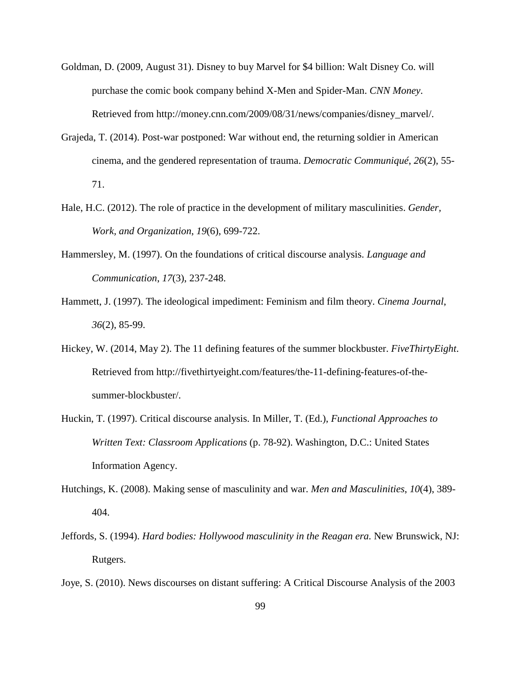- Goldman, D. (2009, August 31). Disney to buy Marvel for \$4 billion: Walt Disney Co. will purchase the comic book company behind X-Men and Spider-Man. *CNN Money*. Retrieved from http://money.cnn.com/2009/08/31/news/companies/disney\_marvel/.
- Grajeda, T. (2014). Post-war postponed: War without end, the returning soldier in American cinema, and the gendered representation of trauma. *Democratic Communiqué*, *26*(2), 55- 71.
- Hale, H.C. (2012). The role of practice in the development of military masculinities. *Gender, Work, and Organization*, *19*(6), 699-722.
- Hammersley, M. (1997). On the foundations of critical discourse analysis. *Language and Communication*, *17*(3), 237-248.
- Hammett, J. (1997). The ideological impediment: Feminism and film theory. *Cinema Journal*, *36*(2), 85-99.
- Hickey, W. (2014, May 2). The 11 defining features of the summer blockbuster. *FiveThirtyEight*. Retrieved from http://fivethirtyeight.com/features/the-11-defining-features-of-thesummer-blockbuster/.
- Huckin, T. (1997). Critical discourse analysis. In Miller, T. (Ed.), *Functional Approaches to Written Text: Classroom Applications* (p. 78-92). Washington, D.C.: United States Information Agency.
- Hutchings, K. (2008). Making sense of masculinity and war. *Men and Masculinities*, *10*(4), 389- 404.
- Jeffords, S. (1994). *Hard bodies: Hollywood masculinity in the Reagan era.* New Brunswick, NJ: Rutgers.
- Joye, S. (2010). News discourses on distant suffering: A Critical Discourse Analysis of the 2003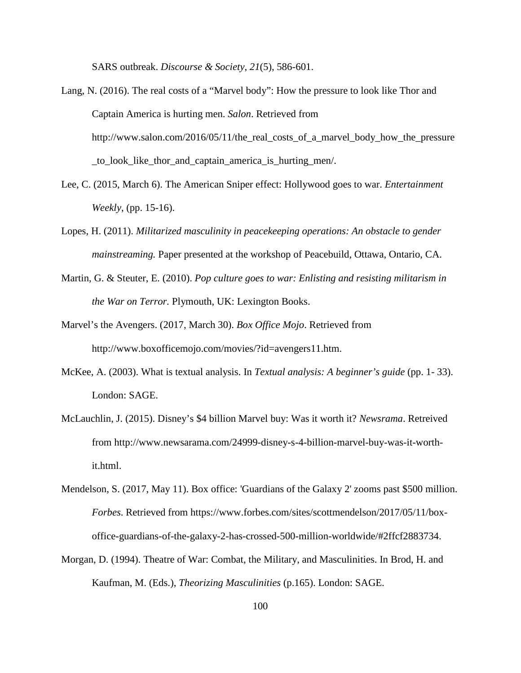SARS outbreak. *Discourse & Society*, *21*(5), 586-601.

Lang, N. (2016). The real costs of a "Marvel body": How the pressure to look like Thor and Captain America is hurting men. *Salon*. Retrieved from http://www.salon.com/2016/05/11/the real costs of a marvel body how the pressure \_to\_look\_like\_thor\_and\_captain\_america\_is\_hurting\_men/.

- Lee, C. (2015, March 6). The American Sniper effect: Hollywood goes to war. *Entertainment Weekly*, (pp. 15-16).
- Lopes, H. (2011). *Militarized masculinity in peacekeeping operations: An obstacle to gender mainstreaming.* Paper presented at the workshop of Peacebuild, Ottawa, Ontario, CA.
- Martin, G. & Steuter, E. (2010). *Pop culture goes to war: Enlisting and resisting militarism in the War on Terror.* Plymouth, UK: Lexington Books.
- Marvel's the Avengers. (2017, March 30). *Box Office Mojo*. Retrieved from http://www.boxofficemojo.com/movies/?id=avengers11.htm.
- McKee, A. (2003). What is textual analysis. In *Textual analysis: A beginner's guide* (pp. 1- 33). London: SAGE.
- McLauchlin, J. (2015). Disney's \$4 billion Marvel buy: Was it worth it? *Newsrama*. Retreived from http://www.newsarama.com/24999-disney-s-4-billion-marvel-buy-was-it-worthit.html.
- Mendelson, S. (2017, May 11). Box office: 'Guardians of the Galaxy 2' zooms past \$500 million. *Forbes*. Retrieved from https://www.forbes.com/sites/scottmendelson/2017/05/11/boxoffice-guardians-of-the-galaxy-2-has-crossed-500-million-worldwide/#2ffcf2883734.
- Morgan, D. (1994). Theatre of War: Combat, the Military, and Masculinities. In Brod, H. and Kaufman, M. (Eds.), *Theorizing Masculinities* (p.165). London: SAGE.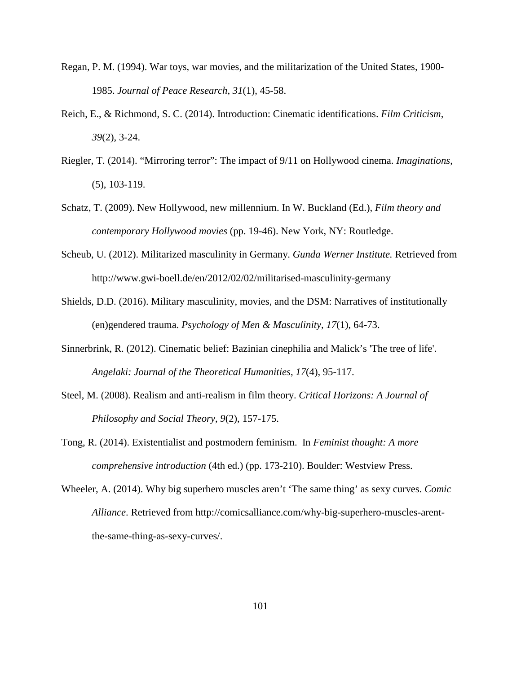- Regan, P. M. (1994). War toys, war movies, and the militarization of the United States, 1900- 1985. *Journal of Peace Research*, *31*(1), 45-58.
- Reich, E., & Richmond, S. C. (2014). Introduction: Cinematic identifications. *Film Criticism*, *39*(2), 3-24.
- Riegler, T. (2014). "Mirroring terror": The impact of 9/11 on Hollywood cinema. *Imaginations*, (5), 103-119.
- Schatz, T. (2009). New Hollywood, new millennium. In W. Buckland (Ed.), *Film theory and contemporary Hollywood movies* (pp. 19-46). New York, NY: Routledge.
- Scheub, U. (2012). Militarized masculinity in Germany. *Gunda Werner Institute.* Retrieved from http://www.gwi-boell.de/en/2012/02/02/militarised-masculinity-germany
- Shields, D.D. (2016). Military masculinity, movies, and the DSM: Narratives of institutionally (en)gendered trauma. *Psychology of Men & Masculinity*, *17*(1), 64-73.
- Sinnerbrink, R. (2012). Cinematic belief: Bazinian cinephilia and Malick's 'The tree of life'. *Angelaki: Journal of the Theoretical Humanities*, *17*(4), 95-117.
- Steel, M. (2008). Realism and anti-realism in film theory. *Critical Horizons: A Journal of Philosophy and Social Theory*, *9*(2), 157-175.
- Tong, R. (2014). Existentialist and postmodern feminism. In *Feminist thought: A more comprehensive introduction* (4th ed.) (pp. 173-210). Boulder: Westview Press.
- Wheeler, A. (2014). Why big superhero muscles aren't 'The same thing' as sexy curves. *Comic Alliance*. Retrieved from http://comicsalliance.com/why-big-superhero-muscles-arentthe-same-thing-as-sexy-curves/.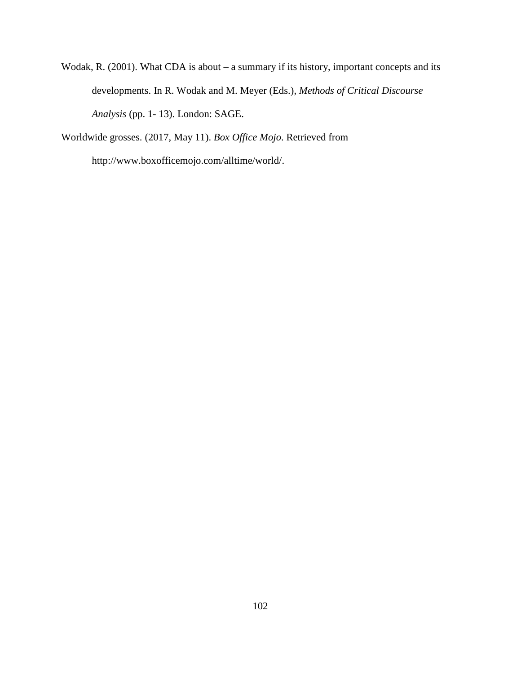Wodak, R. (2001). What CDA is about – a summary if its history, important concepts and its developments. In R. Wodak and M. Meyer (Eds.), *Methods of Critical Discourse Analysis* (pp. 1- 13). London: SAGE.

Worldwide grosses. (2017, May 11). *Box Office Mojo*. Retrieved from

http://www.boxofficemojo.com/alltime/world/.